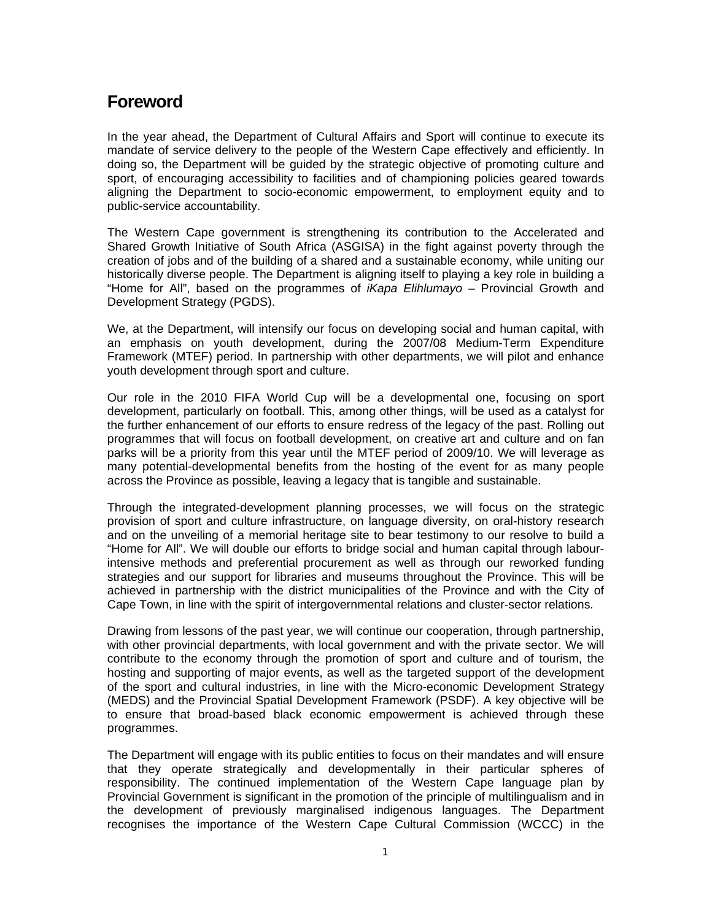# **Foreword**

In the year ahead, the Department of Cultural Affairs and Sport will continue to execute its mandate of service delivery to the people of the Western Cape effectively and efficiently. In doing so, the Department will be guided by the strategic objective of promoting culture and sport, of encouraging accessibility to facilities and of championing policies geared towards aligning the Department to socio-economic empowerment, to employment equity and to public-service accountability.

The Western Cape government is strengthening its contribution to the Accelerated and Shared Growth Initiative of South Africa (ASGISA) in the fight against poverty through the creation of jobs and of the building of a shared and a sustainable economy, while uniting our historically diverse people. The Department is aligning itself to playing a key role in building a "Home for All", based on the programmes of *iKapa Elihlumayo –* Provincial Growth and Development Strategy (PGDS).

We, at the Department, will intensify our focus on developing social and human capital, with an emphasis on youth development, during the 2007/08 Medium-Term Expenditure Framework (MTEF) period. In partnership with other departments, we will pilot and enhance youth development through sport and culture.

Our role in the 2010 FIFA World Cup will be a developmental one, focusing on sport development, particularly on football. This, among other things, will be used as a catalyst for the further enhancement of our efforts to ensure redress of the legacy of the past. Rolling out programmes that will focus on football development, on creative art and culture and on fan parks will be a priority from this year until the MTEF period of 2009/10. We will leverage as many potential-developmental benefits from the hosting of the event for as many people across the Province as possible, leaving a legacy that is tangible and sustainable.

Through the integrated-development planning processes, we will focus on the strategic provision of sport and culture infrastructure, on language diversity, on oral-history research and on the unveiling of a memorial heritage site to bear testimony to our resolve to build a "Home for All". We will double our efforts to bridge social and human capital through labourintensive methods and preferential procurement as well as through our reworked funding strategies and our support for libraries and museums throughout the Province. This will be achieved in partnership with the district municipalities of the Province and with the City of Cape Town, in line with the spirit of intergovernmental relations and cluster-sector relations.

Drawing from lessons of the past year, we will continue our cooperation, through partnership, with other provincial departments, with local government and with the private sector. We will contribute to the economy through the promotion of sport and culture and of tourism, the hosting and supporting of major events, as well as the targeted support of the development of the sport and cultural industries, in line with the Micro-economic Development Strategy (MEDS) and the Provincial Spatial Development Framework (PSDF). A key objective will be to ensure that broad-based black economic empowerment is achieved through these programmes.

The Department will engage with its public entities to focus on their mandates and will ensure that they operate strategically and developmentally in their particular spheres of responsibility. The continued implementation of the Western Cape language plan by Provincial Government is significant in the promotion of the principle of multilingualism and in the development of previously marginalised indigenous languages. The Department recognises the importance of the Western Cape Cultural Commission (WCCC) in the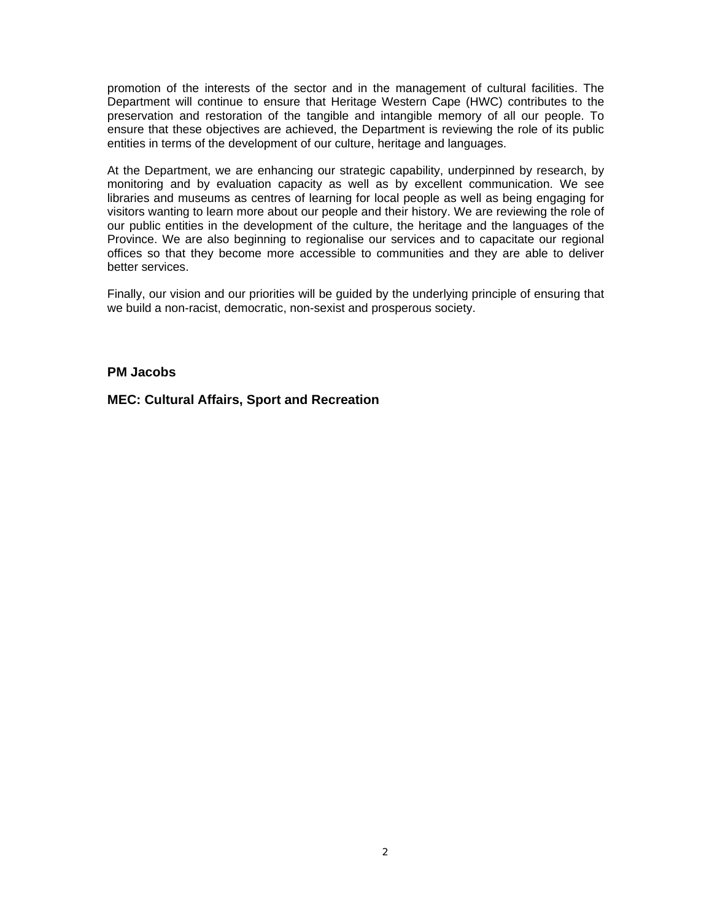promotion of the interests of the sector and in the management of cultural facilities. The Department will continue to ensure that Heritage Western Cape (HWC) contributes to the preservation and restoration of the tangible and intangible memory of all our people. To ensure that these objectives are achieved, the Department is reviewing the role of its public entities in terms of the development of our culture, heritage and languages.

At the Department, we are enhancing our strategic capability, underpinned by research, by monitoring and by evaluation capacity as well as by excellent communication. We see libraries and museums as centres of learning for local people as well as being engaging for visitors wanting to learn more about our people and their history. We are reviewing the role of our public entities in the development of the culture, the heritage and the languages of the Province. We are also beginning to regionalise our services and to capacitate our regional offices so that they become more accessible to communities and they are able to deliver better services.

Finally, our vision and our priorities will be guided by the underlying principle of ensuring that we build a non-racist, democratic, non-sexist and prosperous society.

## **PM Jacobs**

# **MEC: Cultural Affairs, Sport and Recreation**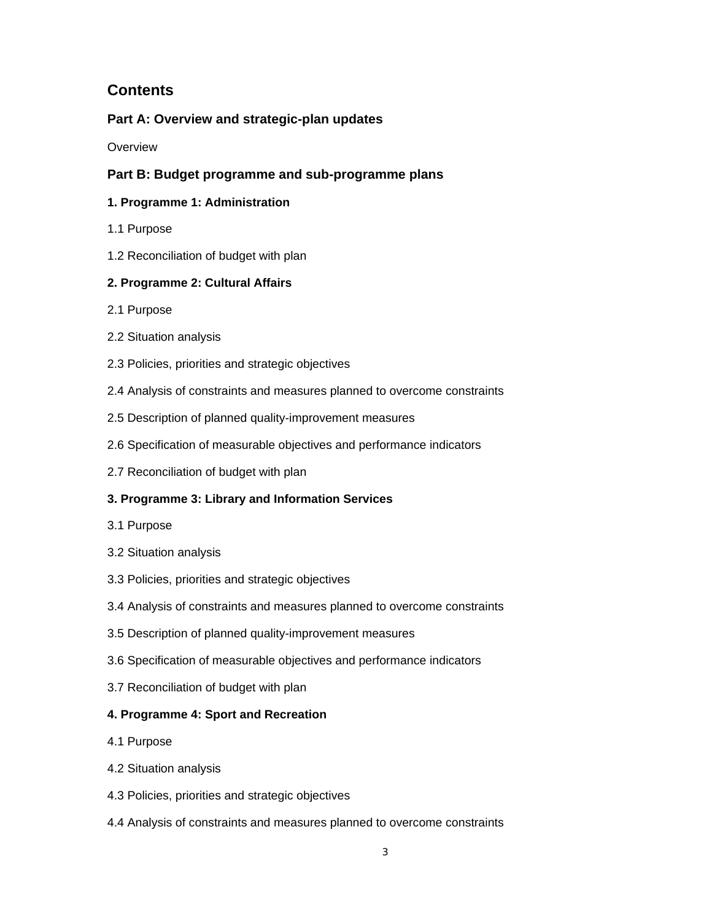# **Contents**

# **Part A: Overview and strategic-plan updates**

**Overview** 

# **Part B: Budget programme and sub-programme plans**

# **1. Programme 1: Administration**

- 1.1 Purpose
- 1.2 Reconciliation of budget with plan

# **2. Programme 2: Cultural Affairs**

- 2.1 Purpose
- 2.2 Situation analysis
- 2.3 Policies, priorities and strategic objectives
- 2.4 Analysis of constraints and measures planned to overcome constraints
- 2.5 Description of planned quality-improvement measures
- 2.6 Specification of measurable objectives and performance indicators
- 2.7 Reconciliation of budget with plan

# **3. Programme 3: Library and Information Services**

- 3.1 Purpose
- 3.2 Situation analysis
- 3.3 Policies, priorities and strategic objectives
- 3.4 Analysis of constraints and measures planned to overcome constraints
- 3.5 Description of planned quality-improvement measures
- 3.6 Specification of measurable objectives and performance indicators
- 3.7 Reconciliation of budget with plan

# **4. Programme 4: Sport and Recreation**

- 4.1 Purpose
- 4.2 Situation analysis
- 4.3 Policies, priorities and strategic objectives
- 4.4 Analysis of constraints and measures planned to overcome constraints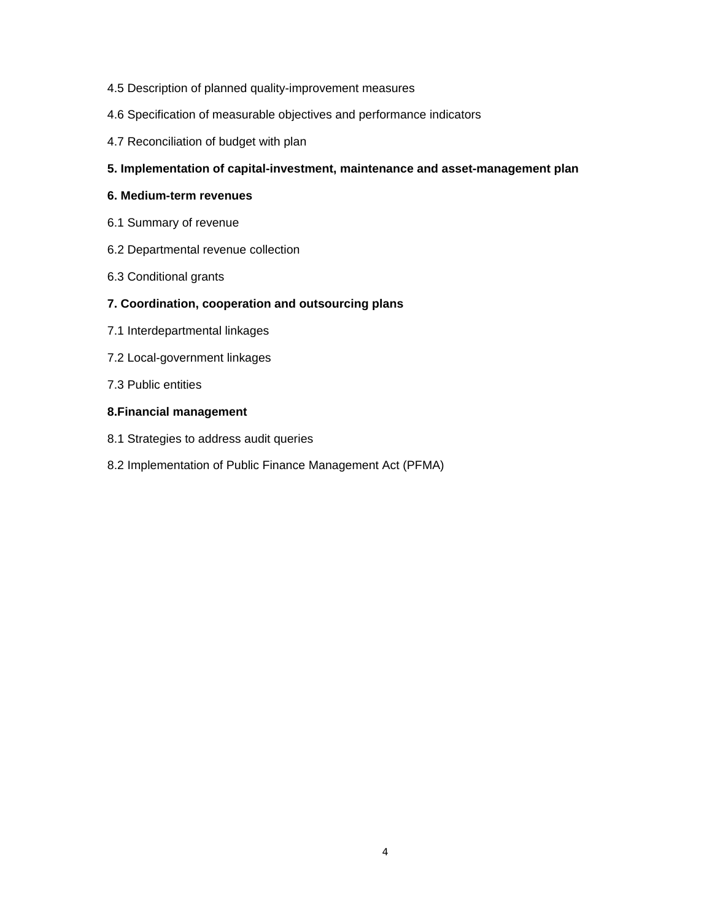- 4.5 Description of planned quality-improvement measures
- 4.6 Specification of measurable objectives and performance indicators
- 4.7 Reconciliation of budget with plan

## **5. Implementation of capital-investment, maintenance and asset-management plan**

## **6. Medium-term revenues**

- 6.1 Summary of revenue
- 6.2 Departmental revenue collection
- 6.3 Conditional grants

## **7. Coordination, cooperation and outsourcing plans**

- 7.1 Interdepartmental linkages
- 7.2 Local-government linkages
- 7.3 Public entities

## **8.Financial management**

- 8.1 Strategies to address audit queries
- 8.2 Implementation of Public Finance Management Act (PFMA)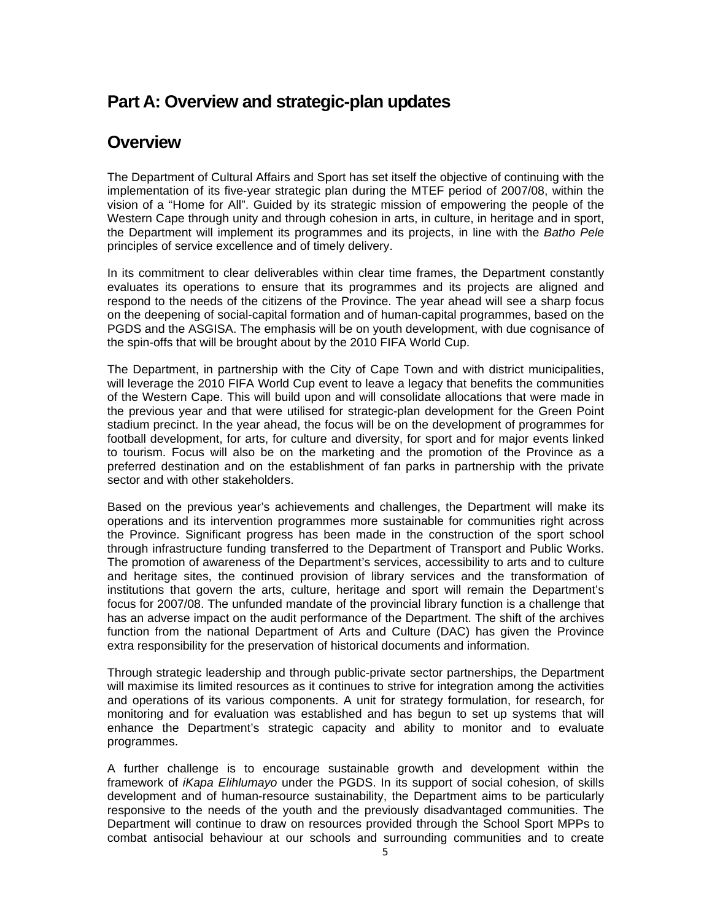# **Part A: Overview and strategic-plan updates**

# **Overview**

The Department of Cultural Affairs and Sport has set itself the objective of continuing with the implementation of its five-year strategic plan during the MTEF period of 2007/08, within the vision of a "Home for All". Guided by its strategic mission of empowering the people of the Western Cape through unity and through cohesion in arts, in culture, in heritage and in sport, the Department will implement its programmes and its projects, in line with the *Batho Pele* principles of service excellence and of timely delivery.

In its commitment to clear deliverables within clear time frames, the Department constantly evaluates its operations to ensure that its programmes and its projects are aligned and respond to the needs of the citizens of the Province. The year ahead will see a sharp focus on the deepening of social-capital formation and of human-capital programmes, based on the PGDS and the ASGISA. The emphasis will be on youth development, with due cognisance of the spin-offs that will be brought about by the 2010 FIFA World Cup.

The Department, in partnership with the City of Cape Town and with district municipalities, will leverage the 2010 FIFA World Cup event to leave a legacy that benefits the communities of the Western Cape. This will build upon and will consolidate allocations that were made in the previous year and that were utilised for strategic-plan development for the Green Point stadium precinct. In the year ahead, the focus will be on the development of programmes for football development, for arts, for culture and diversity, for sport and for major events linked to tourism. Focus will also be on the marketing and the promotion of the Province as a preferred destination and on the establishment of fan parks in partnership with the private sector and with other stakeholders.

Based on the previous year's achievements and challenges, the Department will make its operations and its intervention programmes more sustainable for communities right across the Province. Significant progress has been made in the construction of the sport school through infrastructure funding transferred to the Department of Transport and Public Works. The promotion of awareness of the Department's services, accessibility to arts and to culture and heritage sites, the continued provision of library services and the transformation of institutions that govern the arts, culture, heritage and sport will remain the Department's focus for 2007/08. The unfunded mandate of the provincial library function is a challenge that has an adverse impact on the audit performance of the Department. The shift of the archives function from the national Department of Arts and Culture (DAC) has given the Province extra responsibility for the preservation of historical documents and information.

Through strategic leadership and through public-private sector partnerships, the Department will maximise its limited resources as it continues to strive for integration among the activities and operations of its various components. A unit for strategy formulation, for research, for monitoring and for evaluation was established and has begun to set up systems that will enhance the Department's strategic capacity and ability to monitor and to evaluate programmes.

A further challenge is to encourage sustainable growth and development within the framework of *iKapa Elihlumayo* under the PGDS. In its support of social cohesion, of skills development and of human-resource sustainability, the Department aims to be particularly responsive to the needs of the youth and the previously disadvantaged communities. The Department will continue to draw on resources provided through the School Sport MPPs to combat antisocial behaviour at our schools and surrounding communities and to create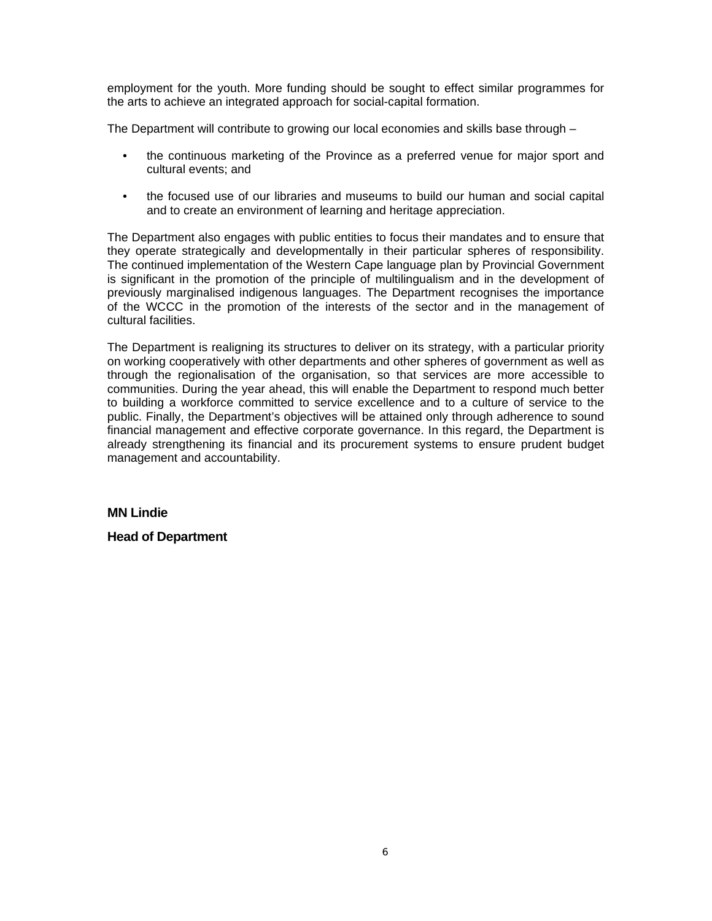employment for the youth. More funding should be sought to effect similar programmes for the arts to achieve an integrated approach for social-capital formation.

The Department will contribute to growing our local economies and skills base through –

- the continuous marketing of the Province as a preferred venue for major sport and cultural events; and
- the focused use of our libraries and museums to build our human and social capital and to create an environment of learning and heritage appreciation.

The Department also engages with public entities to focus their mandates and to ensure that they operate strategically and developmentally in their particular spheres of responsibility. The continued implementation of the Western Cape language plan by Provincial Government is significant in the promotion of the principle of multilingualism and in the development of previously marginalised indigenous languages. The Department recognises the importance of the WCCC in the promotion of the interests of the sector and in the management of cultural facilities.

The Department is realigning its structures to deliver on its strategy, with a particular priority on working cooperatively with other departments and other spheres of government as well as through the regionalisation of the organisation, so that services are more accessible to communities. During the year ahead, this will enable the Department to respond much better to building a workforce committed to service excellence and to a culture of service to the public. Finally, the Department's objectives will be attained only through adherence to sound financial management and effective corporate governance. In this regard, the Department is already strengthening its financial and its procurement systems to ensure prudent budget management and accountability.

**MN Lindie** 

**Head of Department**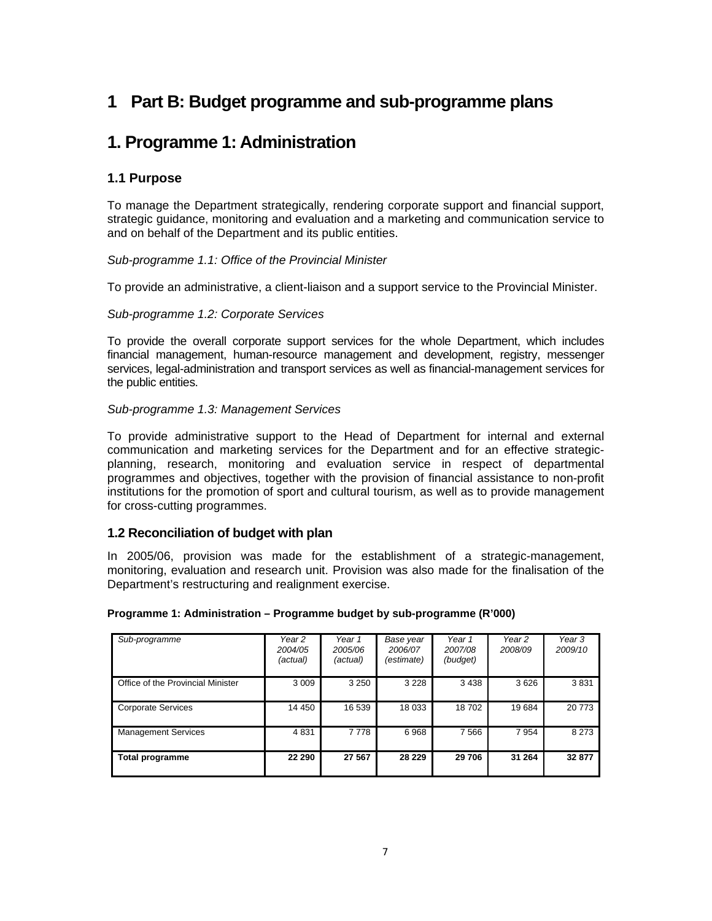# **1 Part B: Budget programme and sub-programme plans**

# **1. Programme 1: Administration**

# **1.1 Purpose**

To manage the Department strategically, rendering corporate support and financial support, strategic guidance, monitoring and evaluation and a marketing and communication service to and on behalf of the Department and its public entities.

## *Sub-programme 1.1: Office of the Provincial Minister*

To provide an administrative, a client-liaison and a support service to the Provincial Minister.

## *Sub-programme 1.2: Corporate Services*

To provide the overall corporate support services for the whole Department, which includes financial management, human-resource management and development, registry, messenger services, legal-administration and transport services as well as financial-management services for the public entities.

## *Sub-programme 1.3: Management Services*

To provide administrative support to the Head of Department for internal and external communication and marketing services for the Department and for an effective strategicplanning, research, monitoring and evaluation service in respect of departmental programmes and objectives, together with the provision of financial assistance to non-profit institutions for the promotion of sport and cultural tourism, as well as to provide management for cross-cutting programmes.

# **1.2 Reconciliation of budget with plan**

In 2005/06, provision was made for the establishment of a strategic-management, monitoring, evaluation and research unit. Provision was also made for the finalisation of the Department's restructuring and realignment exercise.

| Sub-programme                     | Year 2<br>2004/05<br>(actual) | Year 1<br>2005/06<br>(actual) | Base year<br>2006/07<br>(estimate) | Year 1<br>2007/08<br>(budget) | Year 2<br>2008/09 | Year 3<br>2009/10 |
|-----------------------------------|-------------------------------|-------------------------------|------------------------------------|-------------------------------|-------------------|-------------------|
| Office of the Provincial Minister | 3 0 0 9                       | 3 2 5 0                       | 3 2 2 8                            | 3 4 3 8                       | 3626              | 3831              |
| <b>Corporate Services</b>         | 14 450                        | 16 539                        | 18 033                             | 18702                         | 19684             | 20 773            |
| <b>Management Services</b>        | 4831                          | 7778                          | 6968                               | 7566                          | 7954              | 8 2 7 3           |
| Total programme                   | 22 290                        | 27 567                        | 28 2 29                            | 29 706                        | 31 264            | 32 877            |

#### **Programme 1: Administration – Programme budget by sub-programme (R'000)**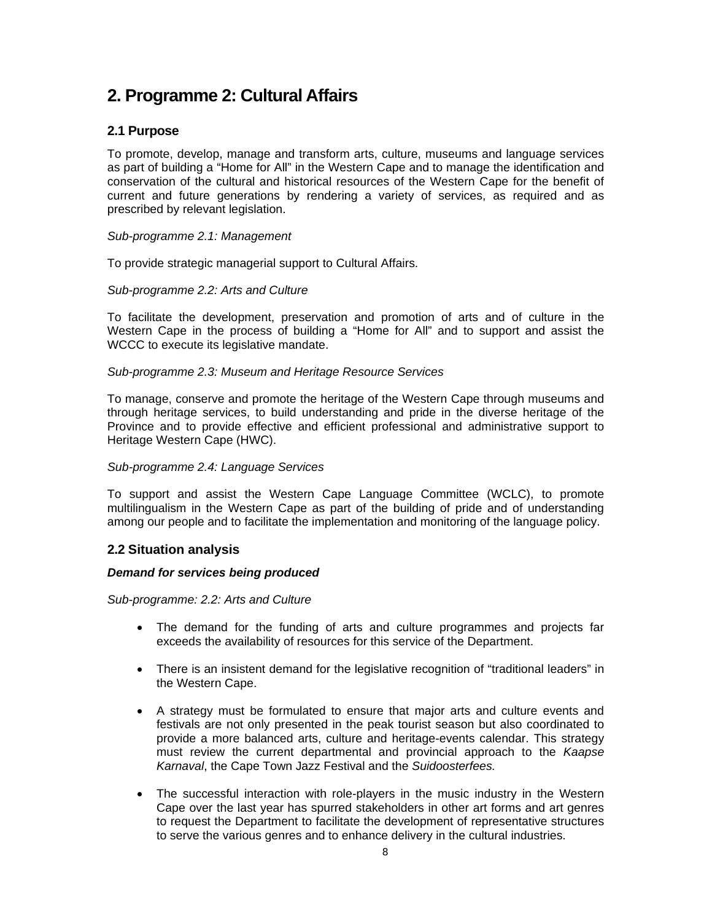# **2. Programme 2: Cultural Affairs**

# **2.1 Purpose**

To promote, develop, manage and transform arts, culture, museums and language services as part of building a "Home for All" in the Western Cape and to manage the identification and conservation of the cultural and historical resources of the Western Cape for the benefit of current and future generations by rendering a variety of services, as required and as prescribed by relevant legislation.

## *Sub-programme 2.1: Management*

To provide strategic managerial support to Cultural Affairs.

## *Sub-programme 2.2: Arts and Culture*

To facilitate the development, preservation and promotion of arts and of culture in the Western Cape in the process of building a "Home for All" and to support and assist the WCCC to execute its legislative mandate.

## *Sub-programme 2.3: Museum and Heritage Resource Services*

To manage, conserve and promote the heritage of the Western Cape through museums and through heritage services, to build understanding and pride in the diverse heritage of the Province and to provide effective and efficient professional and administrative support to Heritage Western Cape (HWC).

#### *Sub-programme 2.4: Language Services*

To support and assist the Western Cape Language Committee (WCLC), to promote multilingualism in the Western Cape as part of the building of pride and of understanding among our people and to facilitate the implementation and monitoring of the language policy.

# **2.2 Situation analysis**

#### *Demand for services being produced*

*Sub-programme: 2.2: Arts and Culture* 

- The demand for the funding of arts and culture programmes and projects far exceeds the availability of resources for this service of the Department.
- There is an insistent demand for the legislative recognition of "traditional leaders" in the Western Cape.
- A strategy must be formulated to ensure that major arts and culture events and festivals are not only presented in the peak tourist season but also coordinated to provide a more balanced arts, culture and heritage-events calendar. This strategy must review the current departmental and provincial approach to the *Kaapse Karnaval*, the Cape Town Jazz Festival and the *Suidoosterfees.*
- The successful interaction with role-players in the music industry in the Western Cape over the last year has spurred stakeholders in other art forms and art genres to request the Department to facilitate the development of representative structures to serve the various genres and to enhance delivery in the cultural industries.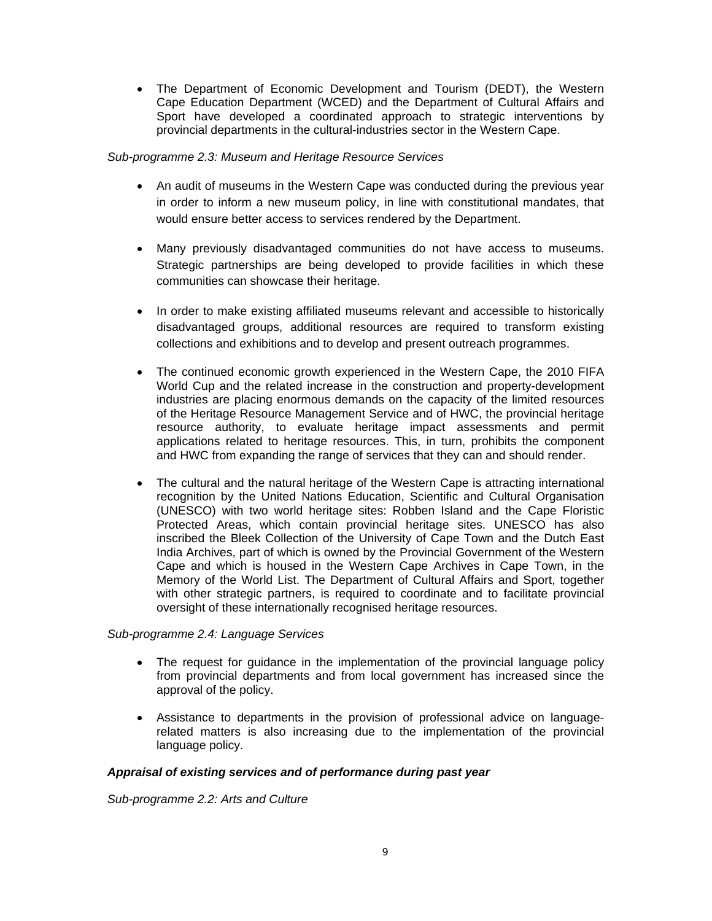• The Department of Economic Development and Tourism (DEDT), the Western Cape Education Department (WCED) and the Department of Cultural Affairs and Sport have developed a coordinated approach to strategic interventions by provincial departments in the cultural-industries sector in the Western Cape.

## *Sub-programme 2.3: Museum and Heritage Resource Services*

- An audit of museums in the Western Cape was conducted during the previous year in order to inform a new museum policy, in line with constitutional mandates, that would ensure better access to services rendered by the Department.
- Many previously disadvantaged communities do not have access to museums. Strategic partnerships are being developed to provide facilities in which these communities can showcase their heritage.
- In order to make existing affiliated museums relevant and accessible to historically disadvantaged groups, additional resources are required to transform existing collections and exhibitions and to develop and present outreach programmes.
- The continued economic growth experienced in the Western Cape, the 2010 FIFA World Cup and the related increase in the construction and property-development industries are placing enormous demands on the capacity of the limited resources of the Heritage Resource Management Service and of HWC, the provincial heritage resource authority, to evaluate heritage impact assessments and permit applications related to heritage resources. This, in turn, prohibits the component and HWC from expanding the range of services that they can and should render.
- The cultural and the natural heritage of the Western Cape is attracting international recognition by the United Nations Education, Scientific and Cultural Organisation (UNESCO) with two world heritage sites: Robben Island and the Cape Floristic Protected Areas, which contain provincial heritage sites. UNESCO has also inscribed the Bleek Collection of the University of Cape Town and the Dutch East India Archives, part of which is owned by the Provincial Government of the Western Cape and which is housed in the Western Cape Archives in Cape Town, in the Memory of the World List. The Department of Cultural Affairs and Sport, together with other strategic partners, is required to coordinate and to facilitate provincial oversight of these internationally recognised heritage resources.

# *Sub-programme 2.4: Language Services*

- The request for guidance in the implementation of the provincial language policy from provincial departments and from local government has increased since the approval of the policy.
- Assistance to departments in the provision of professional advice on languagerelated matters is also increasing due to the implementation of the provincial language policy.

#### *Appraisal of existing services and of performance during past year*

*Sub-programme 2.2: Arts and Culture*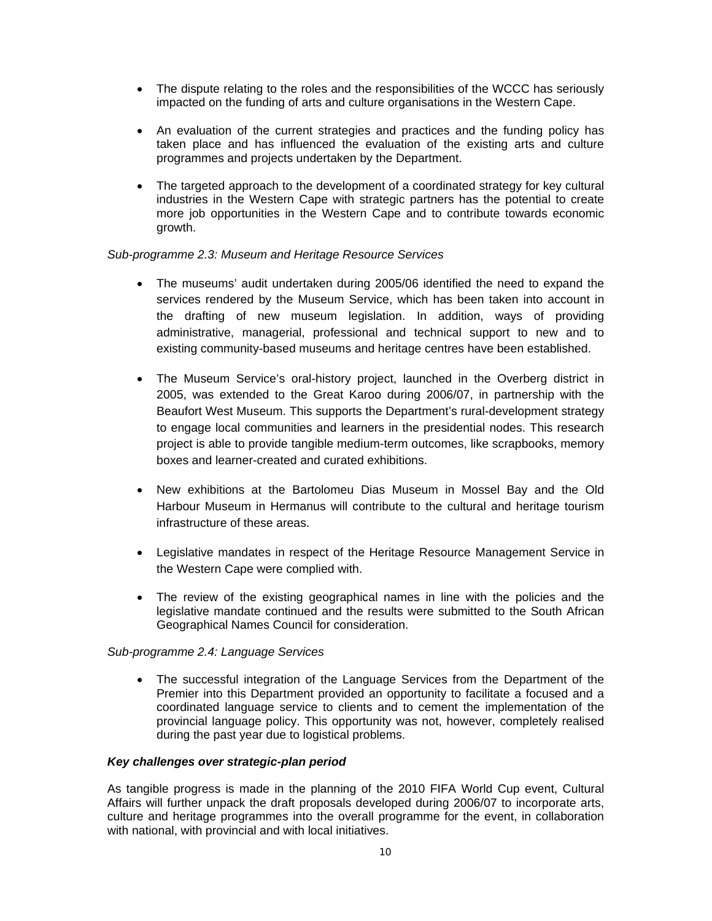- The dispute relating to the roles and the responsibilities of the WCCC has seriously impacted on the funding of arts and culture organisations in the Western Cape.
- An evaluation of the current strategies and practices and the funding policy has taken place and has influenced the evaluation of the existing arts and culture programmes and projects undertaken by the Department.
- The targeted approach to the development of a coordinated strategy for key cultural industries in the Western Cape with strategic partners has the potential to create more job opportunities in the Western Cape and to contribute towards economic growth.

#### *Sub-programme 2.3: Museum and Heritage Resource Services*

- The museums' audit undertaken during 2005/06 identified the need to expand the services rendered by the Museum Service, which has been taken into account in the drafting of new museum legislation. In addition, ways of providing administrative, managerial, professional and technical support to new and to existing community-based museums and heritage centres have been established.
- The Museum Service's oral-history project, launched in the Overberg district in 2005, was extended to the Great Karoo during 2006/07, in partnership with the Beaufort West Museum. This supports the Department's rural-development strategy to engage local communities and learners in the presidential nodes. This research project is able to provide tangible medium-term outcomes, like scrapbooks, memory boxes and learner-created and curated exhibitions.
- New exhibitions at the Bartolomeu Dias Museum in Mossel Bay and the Old Harbour Museum in Hermanus will contribute to the cultural and heritage tourism infrastructure of these areas.
- Legislative mandates in respect of the Heritage Resource Management Service in the Western Cape were complied with.
- The review of the existing geographical names in line with the policies and the legislative mandate continued and the results were submitted to the South African Geographical Names Council for consideration.

#### *Sub-programme 2.4: Language Services*

• The successful integration of the Language Services from the Department of the Premier into this Department provided an opportunity to facilitate a focused and a coordinated language service to clients and to cement the implementation of the provincial language policy. This opportunity was not, however, completely realised during the past year due to logistical problems.

### *Key challenges over strategic-plan period*

As tangible progress is made in the planning of the 2010 FIFA World Cup event, Cultural Affairs will further unpack the draft proposals developed during 2006/07 to incorporate arts, culture and heritage programmes into the overall programme for the event, in collaboration with national, with provincial and with local initiatives.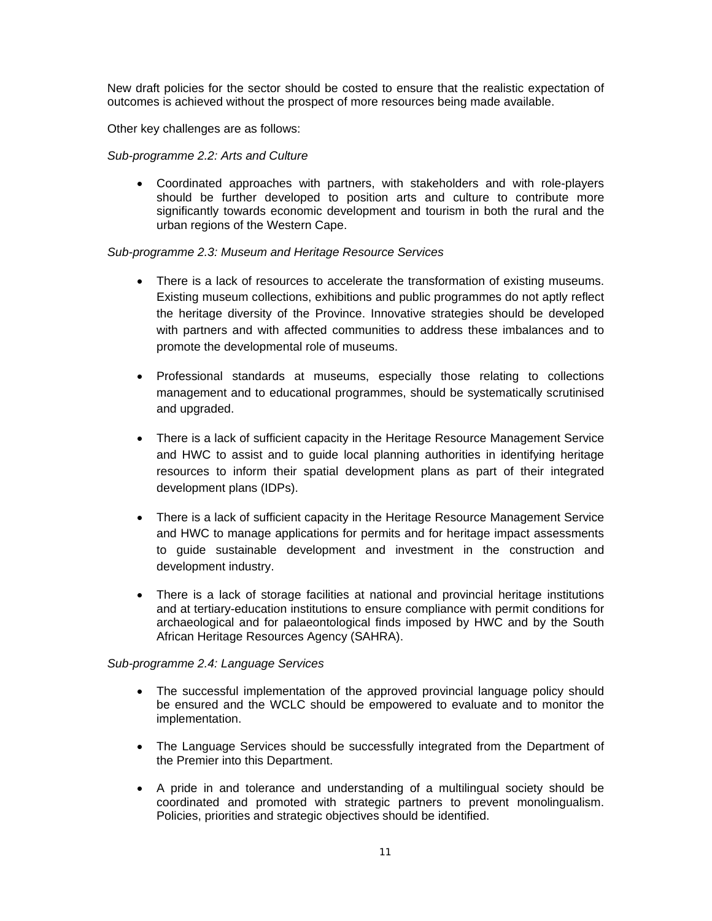New draft policies for the sector should be costed to ensure that the realistic expectation of outcomes is achieved without the prospect of more resources being made available.

Other key challenges are as follows:

*Sub-programme 2.2: Arts and Culture* 

• Coordinated approaches with partners, with stakeholders and with role-players should be further developed to position arts and culture to contribute more significantly towards economic development and tourism in both the rural and the urban regions of the Western Cape.

#### *Sub-programme 2.3: Museum and Heritage Resource Services*

- There is a lack of resources to accelerate the transformation of existing museums. Existing museum collections, exhibitions and public programmes do not aptly reflect the heritage diversity of the Province. Innovative strategies should be developed with partners and with affected communities to address these imbalances and to promote the developmental role of museums.
- Professional standards at museums, especially those relating to collections management and to educational programmes, should be systematically scrutinised and upgraded.
- There is a lack of sufficient capacity in the Heritage Resource Management Service and HWC to assist and to guide local planning authorities in identifying heritage resources to inform their spatial development plans as part of their integrated development plans (IDPs).
- There is a lack of sufficient capacity in the Heritage Resource Management Service and HWC to manage applications for permits and for heritage impact assessments to guide sustainable development and investment in the construction and development industry.
- There is a lack of storage facilities at national and provincial heritage institutions and at tertiary-education institutions to ensure compliance with permit conditions for archaeological and for palaeontological finds imposed by HWC and by the South African Heritage Resources Agency (SAHRA).

#### *Sub-programme 2.4: Language Services*

- The successful implementation of the approved provincial language policy should be ensured and the WCLC should be empowered to evaluate and to monitor the implementation.
- The Language Services should be successfully integrated from the Department of the Premier into this Department.
- A pride in and tolerance and understanding of a multilingual society should be coordinated and promoted with strategic partners to prevent monolingualism. Policies, priorities and strategic objectives should be identified.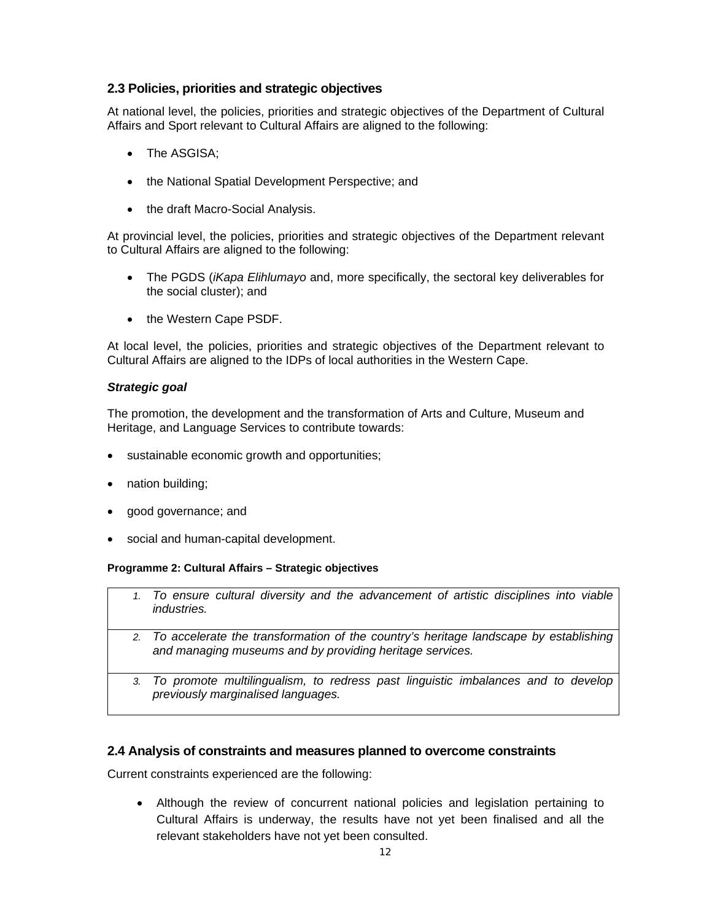# **2.3 Policies, priorities and strategic objectives**

At national level, the policies, priorities and strategic objectives of the Department of Cultural Affairs and Sport relevant to Cultural Affairs are aligned to the following:

- The ASGISA;
- the National Spatial Development Perspective; and
- the draft Macro-Social Analysis.

At provincial level, the policies, priorities and strategic objectives of the Department relevant to Cultural Affairs are aligned to the following:

- The PGDS (*iKapa Elihlumayo* and, more specifically, the sectoral key deliverables for the social cluster); and
- the Western Cape PSDF.

At local level, the policies, priorities and strategic objectives of the Department relevant to Cultural Affairs are aligned to the IDPs of local authorities in the Western Cape.

## *Strategic goal*

The promotion, the development and the transformation of Arts and Culture, Museum and Heritage, and Language Services to contribute towards:

- sustainable economic growth and opportunities;
- nation building;
- good governance; and
- social and human-capital development.

#### **Programme 2: Cultural Affairs – Strategic objectives**

|    | 1. To ensure cultural diversity and the advancement of artistic disciplines into viable<br><i>industries.</i>                                       |
|----|-----------------------------------------------------------------------------------------------------------------------------------------------------|
|    | 2. To accelerate the transformation of the country's heritage landscape by establishing<br>and managing museums and by providing heritage services. |
| 3. | To promote multilingualism, to redress past linguistic imbalances and to develop<br>previously marginalised languages.                              |

# **2.4 Analysis of constraints and measures planned to overcome constraints**

Current constraints experienced are the following:

• Although the review of concurrent national policies and legislation pertaining to Cultural Affairs is underway, the results have not yet been finalised and all the relevant stakeholders have not yet been consulted.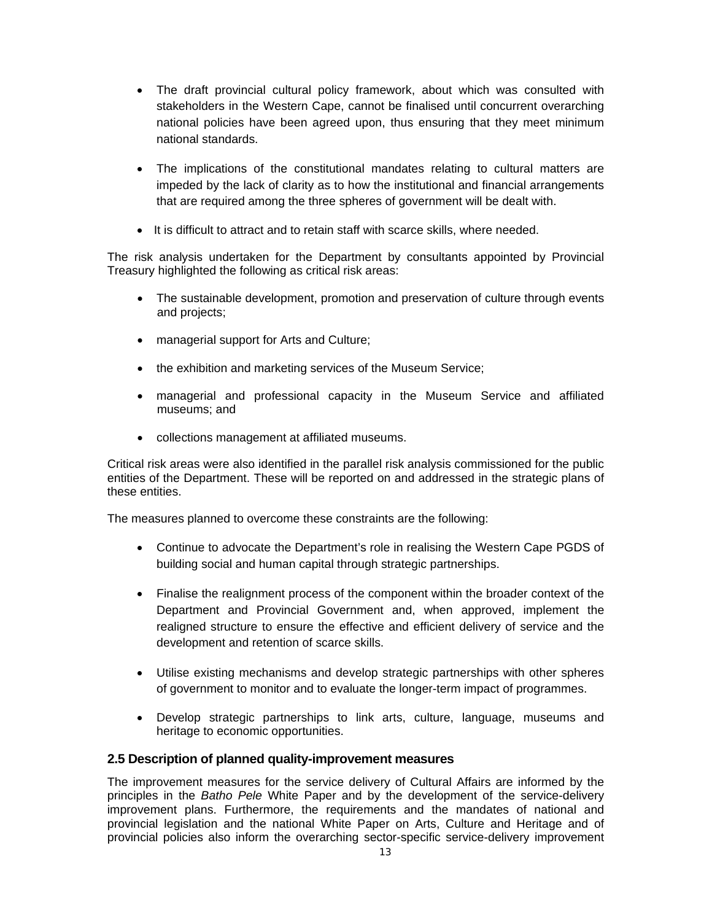- The draft provincial cultural policy framework, about which was consulted with stakeholders in the Western Cape, cannot be finalised until concurrent overarching national policies have been agreed upon, thus ensuring that they meet minimum national standards.
- The implications of the constitutional mandates relating to cultural matters are impeded by the lack of clarity as to how the institutional and financial arrangements that are required among the three spheres of government will be dealt with.
- It is difficult to attract and to retain staff with scarce skills, where needed.

The risk analysis undertaken for the Department by consultants appointed by Provincial Treasury highlighted the following as critical risk areas:

- The sustainable development, promotion and preservation of culture through events and projects;
- managerial support for Arts and Culture;
- the exhibition and marketing services of the Museum Service;
- managerial and professional capacity in the Museum Service and affiliated museums; and
- collections management at affiliated museums.

Critical risk areas were also identified in the parallel risk analysis commissioned for the public entities of the Department. These will be reported on and addressed in the strategic plans of these entities.

The measures planned to overcome these constraints are the following:

- Continue to advocate the Department's role in realising the Western Cape PGDS of building social and human capital through strategic partnerships.
- Finalise the realignment process of the component within the broader context of the Department and Provincial Government and, when approved, implement the realigned structure to ensure the effective and efficient delivery of service and the development and retention of scarce skills.
- Utilise existing mechanisms and develop strategic partnerships with other spheres of government to monitor and to evaluate the longer-term impact of programmes.
- Develop strategic partnerships to link arts, culture, language, museums and heritage to economic opportunities.

# **2.5 Description of planned quality-improvement measures**

The improvement measures for the service delivery of Cultural Affairs are informed by the principles in the *Batho Pele* White Paper and by the development of the service-delivery improvement plans. Furthermore, the requirements and the mandates of national and provincial legislation and the national White Paper on Arts, Culture and Heritage and of provincial policies also inform the overarching sector-specific service-delivery improvement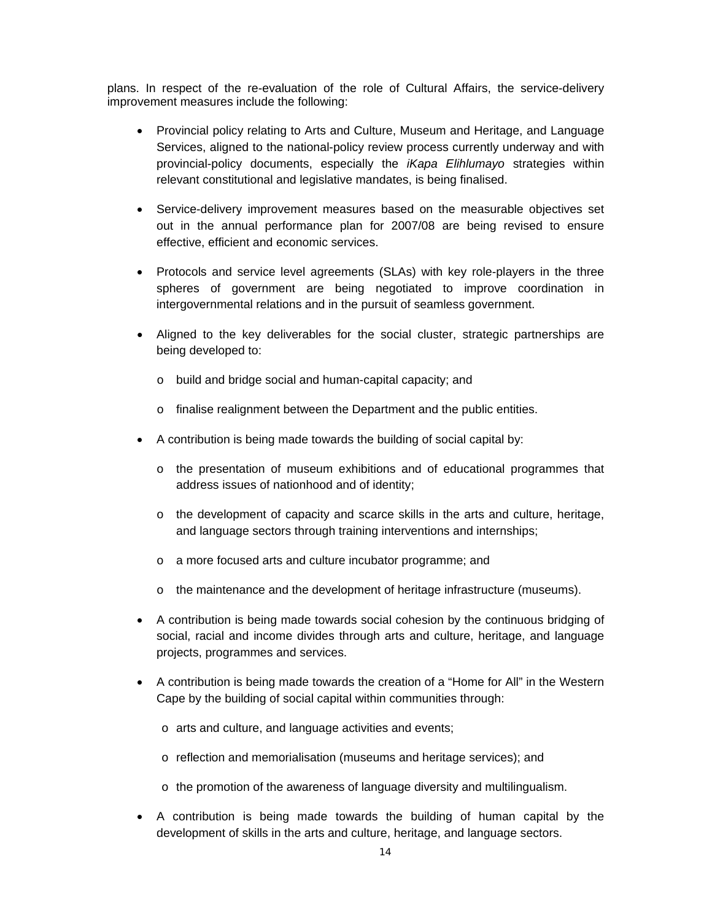plans. In respect of the re-evaluation of the role of Cultural Affairs, the service-delivery improvement measures include the following:

- Provincial policy relating to Arts and Culture, Museum and Heritage, and Language Services, aligned to the national-policy review process currently underway and with provincial-policy documents, especially the *iKapa Elihlumayo* strategies within relevant constitutional and legislative mandates, is being finalised.
- Service-delivery improvement measures based on the measurable objectives set out in the annual performance plan for 2007/08 are being revised to ensure effective, efficient and economic services.
- Protocols and service level agreements (SLAs) with key role-players in the three spheres of government are being negotiated to improve coordination in intergovernmental relations and in the pursuit of seamless government.
- Aligned to the key deliverables for the social cluster, strategic partnerships are being developed to:
	- o build and bridge social and human-capital capacity; and
	- o finalise realignment between the Department and the public entities.
- A contribution is being made towards the building of social capital by:
	- o the presentation of museum exhibitions and of educational programmes that address issues of nationhood and of identity;
	- $\circ$  the development of capacity and scarce skills in the arts and culture, heritage, and language sectors through training interventions and internships;
	- o a more focused arts and culture incubator programme; and
	- o the maintenance and the development of heritage infrastructure (museums).
- A contribution is being made towards social cohesion by the continuous bridging of social, racial and income divides through arts and culture, heritage, and language projects, programmes and services.
- A contribution is being made towards the creation of a "Home for All" in the Western Cape by the building of social capital within communities through:
	- o arts and culture, and language activities and events;
	- $\circ$  reflection and memorialisation (museums and heritage services); and
	- o the promotion of the awareness of language diversity and multilingualism.
- A contribution is being made towards the building of human capital by the development of skills in the arts and culture, heritage, and language sectors.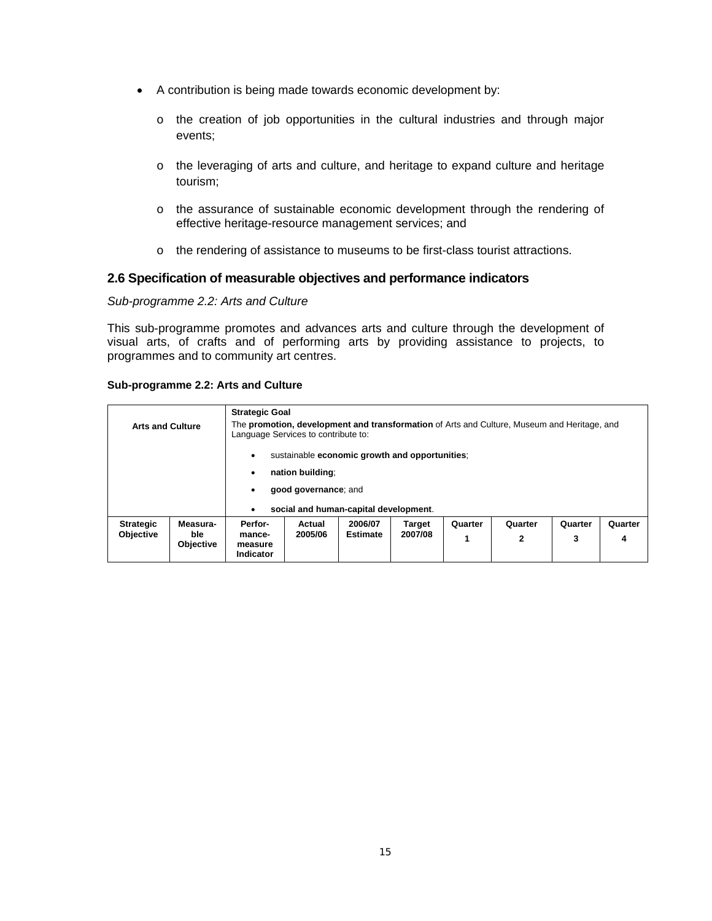- A contribution is being made towards economic development by:
	- o the creation of job opportunities in the cultural industries and through major events;
	- o the leveraging of arts and culture, and heritage to expand culture and heritage tourism;
	- o the assurance of sustainable economic development through the rendering of effective heritage-resource management services; and
	- o the rendering of assistance to museums to be first-class tourist attractions.

# **2.6 Specification of measurable objectives and performance indicators**

## *Sub-programme 2.2: Arts and Culture*

This sub-programme promotes and advances arts and culture through the development of visual arts, of crafts and of performing arts by providing assistance to projects, to programmes and to community art centres.

| Sub-programme 2.2: Arts and Culture |  |  |  |  |  |
|-------------------------------------|--|--|--|--|--|
|-------------------------------------|--|--|--|--|--|

| <b>Arts and Culture</b>              |                                     | <b>Strategic Goal</b><br>Language Services to contribute to: |                                                                                                                                     |                            |                          |              | The <b>promotion, development and transformation</b> of Arts and Culture, Museum and Heritage, and |              |              |
|--------------------------------------|-------------------------------------|--------------------------------------------------------------|-------------------------------------------------------------------------------------------------------------------------------------|----------------------------|--------------------------|--------------|----------------------------------------------------------------------------------------------------|--------------|--------------|
|                                      |                                     | ٠<br>٠<br>٠<br>٠                                             | sustainable economic growth and opportunities;<br>nation building:<br>good governance; and<br>social and human-capital development. |                            |                          |              |                                                                                                    |              |              |
| <b>Strategic</b><br><b>Objective</b> | Measura-<br>ble<br><b>Objective</b> | Perfor-<br>mance-<br>measure<br>Indicator                    | Actual<br>2005/06                                                                                                                   | 2006/07<br><b>Estimate</b> | <b>Target</b><br>2007/08 | Quarter<br>1 | Quarter<br>2                                                                                       | Quarter<br>3 | Quarter<br>4 |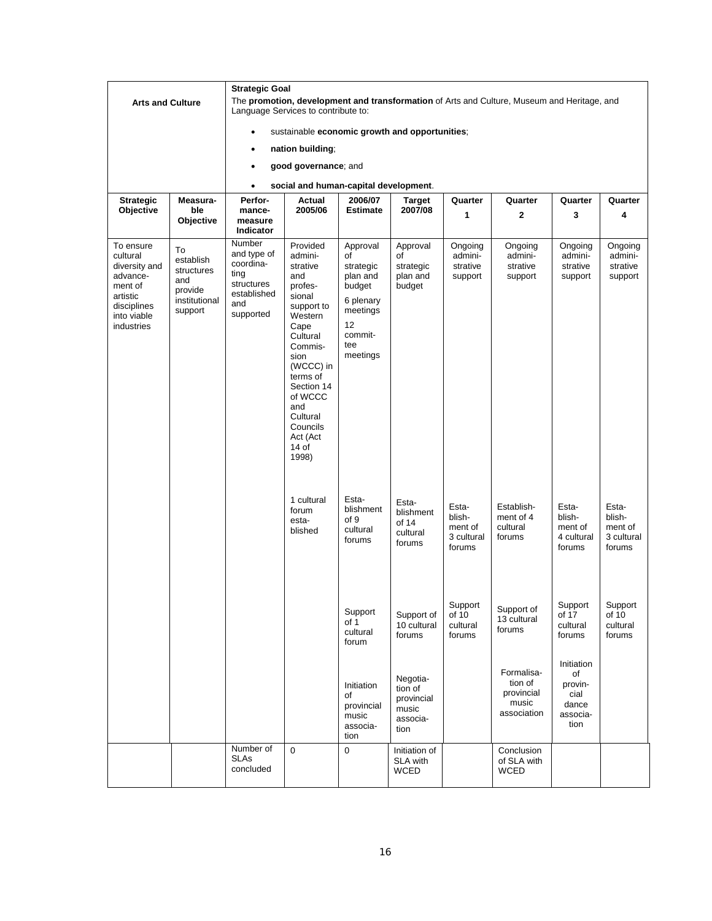|                                                                                                                       |                                                                             | <b>Strategic Goal</b>                                                                       |                                                                                                                                                                                                                                              |                                                                                                                             |                                                                |                                                    |                                                                                             |                                                                  |                                                    |  |  |
|-----------------------------------------------------------------------------------------------------------------------|-----------------------------------------------------------------------------|---------------------------------------------------------------------------------------------|----------------------------------------------------------------------------------------------------------------------------------------------------------------------------------------------------------------------------------------------|-----------------------------------------------------------------------------------------------------------------------------|----------------------------------------------------------------|----------------------------------------------------|---------------------------------------------------------------------------------------------|------------------------------------------------------------------|----------------------------------------------------|--|--|
| <b>Arts and Culture</b>                                                                                               |                                                                             |                                                                                             | Language Services to contribute to:                                                                                                                                                                                                          |                                                                                                                             |                                                                |                                                    | The promotion, development and transformation of Arts and Culture, Museum and Heritage, and |                                                                  |                                                    |  |  |
|                                                                                                                       |                                                                             |                                                                                             | sustainable economic growth and opportunities;                                                                                                                                                                                               |                                                                                                                             |                                                                |                                                    |                                                                                             |                                                                  |                                                    |  |  |
|                                                                                                                       |                                                                             |                                                                                             | nation building:                                                                                                                                                                                                                             |                                                                                                                             |                                                                |                                                    |                                                                                             |                                                                  |                                                    |  |  |
|                                                                                                                       |                                                                             |                                                                                             | good governance; and                                                                                                                                                                                                                         |                                                                                                                             |                                                                |                                                    |                                                                                             |                                                                  |                                                    |  |  |
|                                                                                                                       |                                                                             | $\bullet$                                                                                   | social and human-capital development.                                                                                                                                                                                                        |                                                                                                                             |                                                                |                                                    |                                                                                             |                                                                  |                                                    |  |  |
| <b>Strategic</b>                                                                                                      | Measura-                                                                    | Perfor-                                                                                     | Actual                                                                                                                                                                                                                                       | 2006/07                                                                                                                     | <b>Target</b>                                                  | Quarter                                            | Quarter                                                                                     | Quarter                                                          | Quarter                                            |  |  |
| Objective                                                                                                             | ble<br>Objective                                                            | mance-<br>measure<br>Indicator                                                              | 2005/06                                                                                                                                                                                                                                      | Estimate                                                                                                                    | 2007/08                                                        | 1                                                  | $\mathbf{2}$                                                                                | 3                                                                | 4                                                  |  |  |
| To ensure<br>cultural<br>diversity and<br>advance-<br>ment of<br>artistic<br>disciplines<br>into viable<br>industries | To<br>establish<br>structures<br>and<br>provide<br>institutional<br>support | Number<br>and type of<br>coordina-<br>ting<br>structures<br>established<br>and<br>supported | Provided<br>admini-<br>strative<br>and<br>profes-<br>sional<br>support to<br>Western<br>Cape<br>Cultural<br>Commis-<br>sion<br>(WCCC) in<br>terms of<br>Section 14<br>of WCCC<br>and<br>Cultural<br>Councils<br>Act (Act<br>$14$ of<br>1998) | Approval<br>of<br>strategic<br>plan and<br>budget<br>6 plenary<br>meetings<br>12 <sup>2</sup><br>commit-<br>tee<br>meetings | Approval<br>of<br>strategic<br>plan and<br>budget              | Ongoing<br>admini-<br>strative<br>support          | Ongoing<br>admini-<br>strative<br>support                                                   | Ongoing<br>admini-<br>strative<br>support                        | Ongoing<br>admini-<br>strative<br>support          |  |  |
|                                                                                                                       |                                                                             |                                                                                             | 1 cultural<br>forum<br>esta-<br>blished                                                                                                                                                                                                      | Esta-<br>blishment<br>of 9<br>cultural<br>forums                                                                            | Esta-<br>blishment<br>of 14<br>cultural<br>forums              | Esta-<br>blish-<br>ment of<br>3 cultural<br>forums | Establish-<br>ment of 4<br>cultural<br>forums                                               | Esta-<br>blish-<br>ment of<br>4 cultural<br>forums               | Esta-<br>blish-<br>ment of<br>3 cultural<br>forums |  |  |
|                                                                                                                       |                                                                             |                                                                                             |                                                                                                                                                                                                                                              | Support<br>of 1<br>cultural<br>forum                                                                                        | Support of<br>10 cultural<br>forums                            | Support<br>of 10<br>cultural<br>forums             | Support of<br>13 cultural<br>forums                                                         | Support<br>of 17<br>cultural<br>forums                           | Support<br>of 10<br>cultural<br>forums             |  |  |
|                                                                                                                       |                                                                             |                                                                                             |                                                                                                                                                                                                                                              | Initiation<br>of<br>provincial<br>music<br>associa-<br>tion                                                                 | Negotia-<br>tion of<br>provincial<br>music<br>associa-<br>tion |                                                    | Formalisa-<br>tion of<br>provincial<br>music<br>association                                 | Initiation<br>of<br>provin-<br>cial<br>dance<br>associa-<br>tion |                                                    |  |  |
|                                                                                                                       |                                                                             | Number of<br><b>SLAs</b><br>concluded                                                       | $\mathbf 0$                                                                                                                                                                                                                                  | 0                                                                                                                           | Initiation of<br>SLA with<br><b>WCED</b>                       |                                                    | Conclusion<br>of SLA with<br><b>WCED</b>                                                    |                                                                  |                                                    |  |  |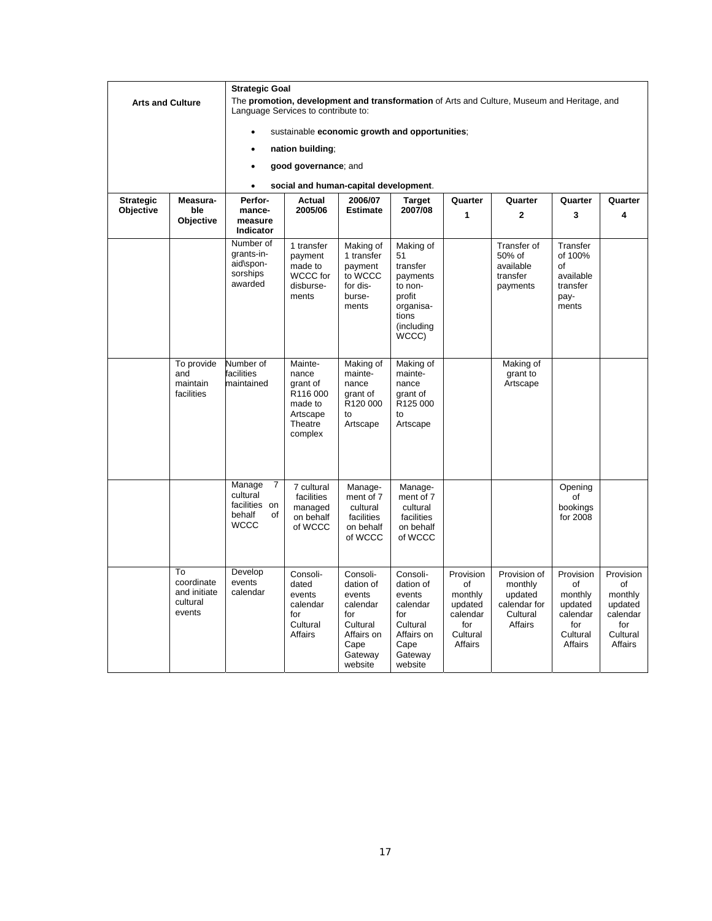|                         |                                                        | <b>Strategic Goal</b>                                                   |                                                                                      |                                                                                                            |                                                                                                            |                                                                                 |                                                                                             |                                                                                 |                                                                                 |
|-------------------------|--------------------------------------------------------|-------------------------------------------------------------------------|--------------------------------------------------------------------------------------|------------------------------------------------------------------------------------------------------------|------------------------------------------------------------------------------------------------------------|---------------------------------------------------------------------------------|---------------------------------------------------------------------------------------------|---------------------------------------------------------------------------------|---------------------------------------------------------------------------------|
| <b>Arts and Culture</b> |                                                        | Language Services to contribute to:                                     |                                                                                      |                                                                                                            |                                                                                                            |                                                                                 | The promotion, development and transformation of Arts and Culture, Museum and Heritage, and |                                                                                 |                                                                                 |
|                         |                                                        |                                                                         | sustainable economic growth and opportunities;                                       |                                                                                                            |                                                                                                            |                                                                                 |                                                                                             |                                                                                 |                                                                                 |
|                         |                                                        |                                                                         | nation building;                                                                     |                                                                                                            |                                                                                                            |                                                                                 |                                                                                             |                                                                                 |                                                                                 |
|                         |                                                        | $\bullet$                                                               | good governance; and                                                                 |                                                                                                            |                                                                                                            |                                                                                 |                                                                                             |                                                                                 |                                                                                 |
|                         |                                                        |                                                                         | social and human-capital development.                                                |                                                                                                            |                                                                                                            |                                                                                 |                                                                                             |                                                                                 |                                                                                 |
| <b>Strategic</b>        | Measura-                                               | Perfor-                                                                 | Actual                                                                               | 2006/07                                                                                                    | <b>Target</b>                                                                                              | Quarter                                                                         | Quarter                                                                                     | Quarter                                                                         | Quarter                                                                         |
| Objective               | ble<br><b>Objective</b>                                | mance-<br>measure<br><b>Indicator</b>                                   | 2005/06                                                                              | <b>Estimate</b>                                                                                            | 2007/08                                                                                                    | 1                                                                               | $\mathbf{2}$                                                                                | 3                                                                               | 4                                                                               |
|                         |                                                        | Number of<br>grants-in-<br>aid\spon-<br>sorships<br>awarded             | 1 transfer<br>payment<br>made to<br>WCCC for<br>disburse-<br>ments                   | Making of<br>1 transfer<br>payment<br>to WCCC<br>for dis-<br>burse-<br>ments                               | Making of<br>51<br>transfer<br>payments<br>to non-<br>profit<br>organisa-<br>tions<br>(including<br>WCCC)  |                                                                                 | Transfer of<br>50% of<br>available<br>transfer<br>payments                                  | Transfer<br>of 100%<br>of<br>available<br>transfer<br>pay-<br>ments             |                                                                                 |
|                         | To provide<br>and<br>maintain<br>facilities            | Number of<br>facilities<br>maintained                                   | Mainte-<br>nance<br>grant of<br>R116000<br>made to<br>Artscape<br>Theatre<br>complex | Making of<br>mainte-<br>nance<br>grant of<br>R120 000<br>to<br>Artscape                                    | Making of<br>mainte-<br>nance<br>grant of<br>R125 000<br>to<br>Artscape                                    |                                                                                 | Making of<br>grant to<br>Artscape                                                           |                                                                                 |                                                                                 |
|                         |                                                        | Manage<br>7<br>cultural<br>facilities on<br>behalf<br>of<br><b>WCCC</b> | 7 cultural<br>facilities<br>managed<br>on behalf<br>of WCCC                          | Manage-<br>ment of 7<br>cultural<br>facilities<br>on behalf<br>of WCCC                                     | Manage-<br>ment of 7<br>cultural<br>facilities<br>on behalf<br>of WCCC                                     |                                                                                 |                                                                                             | Opening<br>of<br>bookings<br>for 2008                                           |                                                                                 |
|                         | To<br>coordinate<br>and initiate<br>cultural<br>events | Develop<br>events<br>calendar                                           | Consoli-<br>dated<br>events<br>calendar<br>for<br>Cultural<br>Affairs                | Consoli-<br>dation of<br>events<br>calendar<br>for<br>Cultural<br>Affairs on<br>Cape<br>Gateway<br>website | Consoli-<br>dation of<br>events<br>calendar<br>for<br>Cultural<br>Affairs on<br>Cape<br>Gateway<br>website | Provision<br>of<br>monthly<br>updated<br>calendar<br>for<br>Cultural<br>Affairs | Provision of<br>monthly<br>updated<br>calendar for<br>Cultural<br>Affairs                   | Provision<br>of<br>monthly<br>updated<br>calendar<br>for<br>Cultural<br>Affairs | Provision<br>of<br>monthly<br>updated<br>calendar<br>for<br>Cultural<br>Affairs |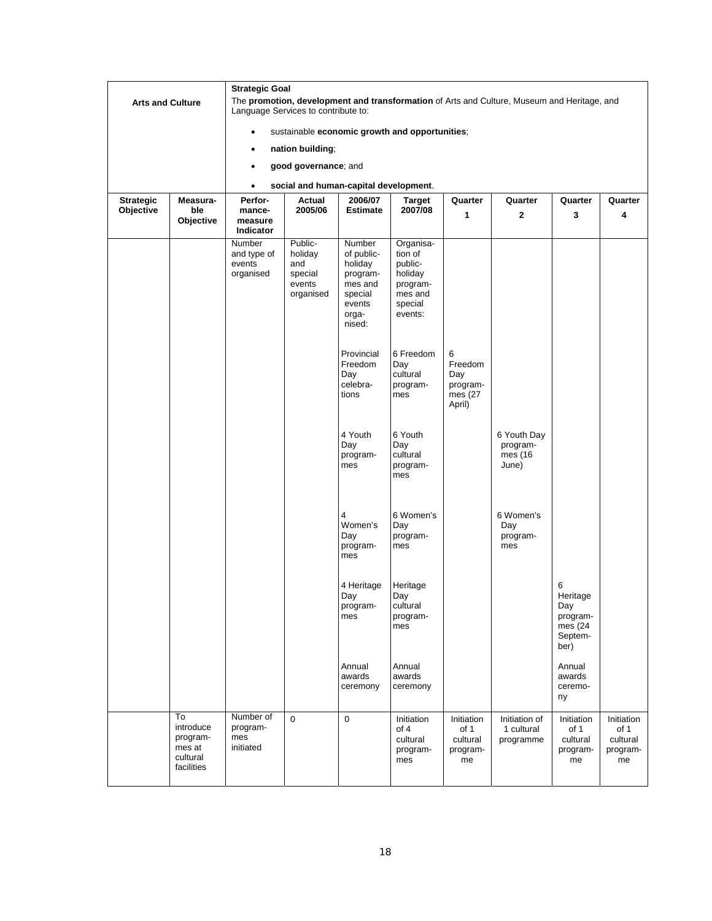|                         |                                                                 | <b>Strategic Goal</b>                               |                                                                                |                                                                                                |                                                                                         |                                                      |                                                                                             |                                                                |                                                  |
|-------------------------|-----------------------------------------------------------------|-----------------------------------------------------|--------------------------------------------------------------------------------|------------------------------------------------------------------------------------------------|-----------------------------------------------------------------------------------------|------------------------------------------------------|---------------------------------------------------------------------------------------------|----------------------------------------------------------------|--------------------------------------------------|
| <b>Arts and Culture</b> |                                                                 | Language Services to contribute to:                 |                                                                                |                                                                                                |                                                                                         |                                                      | The promotion, development and transformation of Arts and Culture, Museum and Heritage, and |                                                                |                                                  |
|                         |                                                                 | ٠                                                   |                                                                                |                                                                                                | sustainable economic growth and opportunities;                                          |                                                      |                                                                                             |                                                                |                                                  |
|                         |                                                                 |                                                     | nation building;                                                               |                                                                                                |                                                                                         |                                                      |                                                                                             |                                                                |                                                  |
|                         |                                                                 | ٠                                                   | good governance; and                                                           |                                                                                                |                                                                                         |                                                      |                                                                                             |                                                                |                                                  |
|                         |                                                                 | ٠                                                   | social and human-capital development.                                          |                                                                                                |                                                                                         |                                                      |                                                                                             |                                                                |                                                  |
| <b>Strategic</b>        | Measura-                                                        | Perfor-                                             | Actual<br>2006/07<br><b>Target</b><br>Quarter<br>Quarter<br>Quarter<br>Quarter |                                                                                                |                                                                                         |                                                      |                                                                                             |                                                                |                                                  |
| Objective               | ble<br>Objective                                                | mance-<br>measure<br>Indicator                      | 2005/06                                                                        | <b>Estimate</b>                                                                                | 2007/08                                                                                 | 1                                                    | $\mathbf{2}$                                                                                | 3                                                              | 4                                                |
|                         |                                                                 | <b>Number</b><br>and type of<br>events<br>organised | Public-<br>holiday<br>and<br>special<br>events<br>organised                    | Number<br>of public-<br>holiday<br>program-<br>mes and<br>special<br>events<br>orga-<br>nised: | Organisa-<br>tion of<br>public-<br>holiday<br>program-<br>mes and<br>special<br>events: |                                                      |                                                                                             |                                                                |                                                  |
|                         |                                                                 |                                                     |                                                                                | Provincial<br>Freedom<br>Day<br>celebra-<br>tions                                              | 6 Freedom<br>Day<br>cultural<br>program-<br>mes                                         | 6<br>Freedom<br>Day<br>program-<br>mes (27<br>April) |                                                                                             |                                                                |                                                  |
|                         |                                                                 |                                                     |                                                                                | 4 Youth<br>Day<br>program-<br>mes                                                              | 6 Youth<br>Day<br>cultural<br>program-<br>mes                                           |                                                      | 6 Youth Day<br>program-<br>mes (16<br>June)                                                 |                                                                |                                                  |
|                         |                                                                 |                                                     |                                                                                | Women's<br>Day<br>program-<br>mes                                                              | 6 Women's<br>Day<br>program-<br>mes                                                     |                                                      | 6 Women's<br>Day<br>program-<br>mes                                                         |                                                                |                                                  |
|                         |                                                                 |                                                     |                                                                                | 4 Heritage<br>Day<br>program-<br>mes                                                           | Heritage<br>Day<br>cultural<br>program-<br>mes                                          |                                                      |                                                                                             | 6<br>Heritage<br>Day<br>program-<br>mes (24<br>Septem-<br>ber) |                                                  |
|                         |                                                                 |                                                     |                                                                                | Annual<br>awards<br>ceremony                                                                   | Annual<br>awards<br>ceremony                                                            |                                                      |                                                                                             | Annual<br>awards<br>ceremo-<br>ny                              |                                                  |
|                         | To<br>introduce<br>program-<br>mes at<br>cultural<br>facilities | Number of<br>program-<br>mes<br>initiated           | $\mathsf 0$                                                                    | $\mathbf 0$                                                                                    | Initiation<br>of 4<br>cultural<br>program-<br>mes                                       | Initiation<br>of 1<br>cultural<br>program-<br>me     | Initiation of<br>1 cultural<br>programme                                                    | Initiation<br>of 1<br>cultural<br>program-<br>me               | Initiation<br>of 1<br>cultural<br>program-<br>me |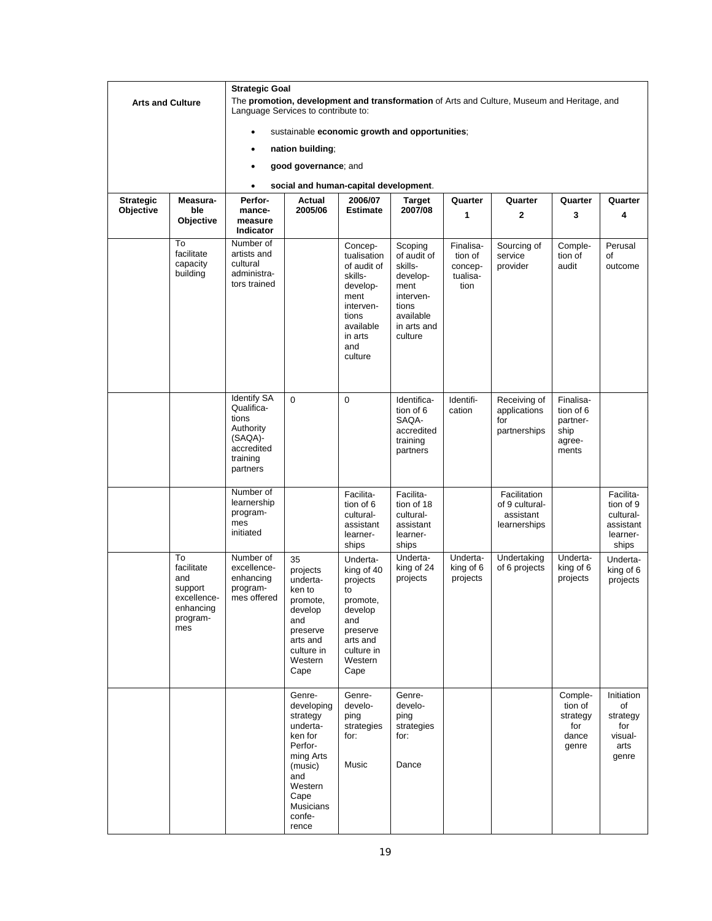|                               |                                                                                   | <b>Strategic Goal</b>                                                                                   |                                                                                                                                                             |                                                                                                                                      |                                                                                                                    |                                                     |                                                                                             |                                                               |                                                                       |
|-------------------------------|-----------------------------------------------------------------------------------|---------------------------------------------------------------------------------------------------------|-------------------------------------------------------------------------------------------------------------------------------------------------------------|--------------------------------------------------------------------------------------------------------------------------------------|--------------------------------------------------------------------------------------------------------------------|-----------------------------------------------------|---------------------------------------------------------------------------------------------|---------------------------------------------------------------|-----------------------------------------------------------------------|
| <b>Arts and Culture</b>       |                                                                                   | Language Services to contribute to:                                                                     |                                                                                                                                                             |                                                                                                                                      |                                                                                                                    |                                                     | The promotion, development and transformation of Arts and Culture, Museum and Heritage, and |                                                               |                                                                       |
|                               |                                                                                   |                                                                                                         | sustainable economic growth and opportunities;                                                                                                              |                                                                                                                                      |                                                                                                                    |                                                     |                                                                                             |                                                               |                                                                       |
|                               |                                                                                   |                                                                                                         | nation building;                                                                                                                                            |                                                                                                                                      |                                                                                                                    |                                                     |                                                                                             |                                                               |                                                                       |
|                               |                                                                                   |                                                                                                         |                                                                                                                                                             |                                                                                                                                      |                                                                                                                    |                                                     |                                                                                             |                                                               |                                                                       |
|                               |                                                                                   |                                                                                                         | good governance; and                                                                                                                                        |                                                                                                                                      |                                                                                                                    |                                                     |                                                                                             |                                                               |                                                                       |
|                               |                                                                                   | $\bullet$                                                                                               | social and human-capital development.                                                                                                                       |                                                                                                                                      |                                                                                                                    |                                                     |                                                                                             |                                                               |                                                                       |
| <b>Strategic</b><br>Objective | Measura-<br>ble<br>Objective                                                      | Perfor-<br>mance-<br>measure<br>Indicator                                                               | Actual<br>2005/06                                                                                                                                           | 2006/07<br><b>Estimate</b>                                                                                                           | <b>Target</b><br>2007/08                                                                                           | Quarter<br>1                                        | Quarter<br>$\mathbf{2}$                                                                     | Quarter<br>3                                                  | Quarter<br>4                                                          |
|                               | To<br>facilitate<br>capacity<br>building                                          | Number of<br>artists and<br>cultural<br>administra-<br>tors trained                                     |                                                                                                                                                             | Concep-<br>tualisation<br>of audit of<br>skills-<br>develop-<br>ment<br>interven-<br>tions<br>available<br>in arts<br>and<br>culture | Scoping<br>of audit of<br>skills-<br>develop-<br>ment<br>interven-<br>tions<br>available<br>in arts and<br>culture | Finalisa-<br>tion of<br>concep-<br>tualisa-<br>tion | Sourcing of<br>service<br>provider                                                          | Comple-<br>tion of<br>audit                                   | Perusal<br>of<br>outcome                                              |
|                               |                                                                                   | <b>Identify SA</b><br>Qualifica-<br>tions<br>Authority<br>(SAQA)-<br>accredited<br>training<br>partners | $\mathbf 0$                                                                                                                                                 | $\mathbf 0$                                                                                                                          | Identifica-<br>tion of 6<br>SAQA-<br>accredited<br>training<br>partners                                            | Identifi-<br>cation                                 | Receiving of<br>applications<br>for<br>partnerships                                         | Finalisa-<br>tion of 6<br>partner-<br>ship<br>agree-<br>ments |                                                                       |
|                               |                                                                                   | Number of<br>learnership<br>program-<br>mes<br>initiated                                                |                                                                                                                                                             | Facilita-<br>tion of 6<br>cultural-<br>assistant<br>learner-<br>ships                                                                | Facilita-<br>tion of 18<br>cultural-<br>assistant<br>learner-<br>ships                                             |                                                     | Facilitation<br>of 9 cultural-<br>assistant<br>learnerships                                 |                                                               | Facilita-<br>tion of 9<br>cultural-<br>assistant<br>learner-<br>ships |
|                               | To<br>facilitate<br>and<br>support<br>excellence-<br>enhancing<br>program-<br>mes | Number of<br>excellence-<br>enhancing<br>program-<br>mes offered                                        | 35<br>projects<br>underta-<br>ken to<br>promote,<br>develop<br>and<br>preserve<br>arts and<br>culture in<br>Western<br>Cape                                 | Underta-<br>king of 40<br>projects<br>to<br>promote,<br>develop<br>and<br>preserve<br>arts and<br>culture in<br>Western<br>Cape      | Underta-<br>king of 24<br>projects                                                                                 | Underta-<br>king of 6<br>projects                   | Undertaking<br>of 6 projects                                                                | Underta-<br>king of 6<br>projects                             | Underta-<br>king of 6<br>projects                                     |
|                               |                                                                                   |                                                                                                         | Genre-<br>developing<br>strategy<br>underta-<br>ken for<br>Perfor-<br>ming Arts<br>(music)<br>and<br>Western<br>Cape<br><b>Musicians</b><br>confe-<br>rence | Genre-<br>develo-<br>ping<br>strategies<br>for:<br>Music                                                                             | Genre-<br>develo-<br>ping<br>strategies<br>for:<br>Dance                                                           |                                                     |                                                                                             | Comple-<br>tion of<br>strategy<br>for<br>dance<br>genre       | Initiation<br>of<br>strategy<br>for<br>visual-<br>arts<br>genre       |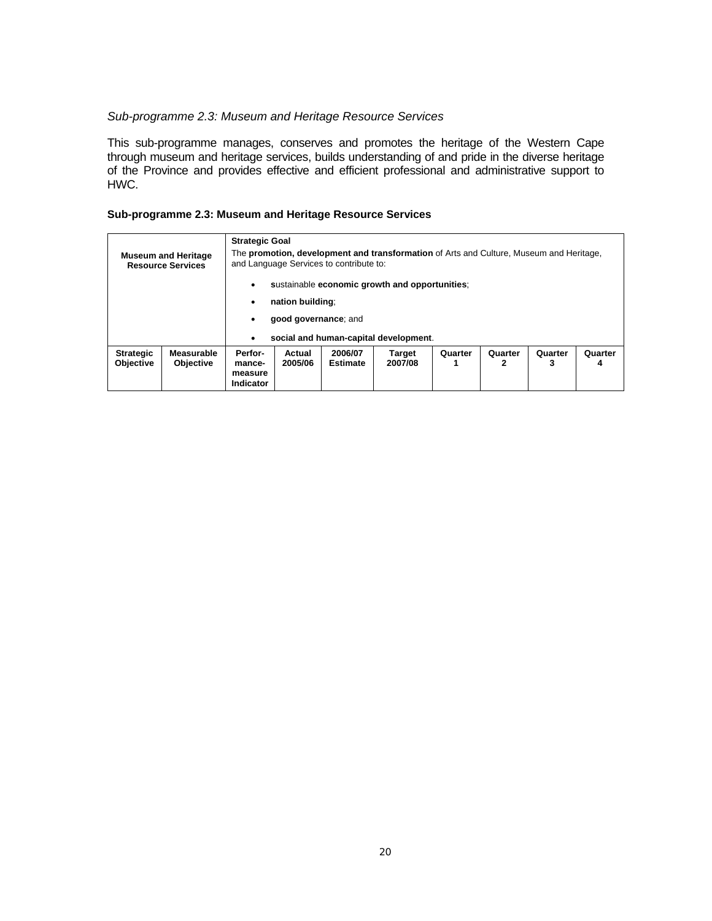#### *Sub-programme 2.3: Museum and Heritage Resource Services*

This sub-programme manages, conserves and promotes the heritage of the Western Cape through museum and heritage services, builds understanding of and pride in the diverse heritage of the Province and provides effective and efficient professional and administrative support to HWC.

#### **Sub-programme 2.3: Museum and Heritage Resource Services**

| <b>Strategic Goal</b><br>The promotion, development and transformation of Arts and Culture, Museum and Heritage,<br><b>Museum and Heritage</b><br>and Language Services to contribute to:<br><b>Resource Services</b> |                                |                                                  |                   |                            |                                                |              |              |              |              |
|-----------------------------------------------------------------------------------------------------------------------------------------------------------------------------------------------------------------------|--------------------------------|--------------------------------------------------|-------------------|----------------------------|------------------------------------------------|--------------|--------------|--------------|--------------|
|                                                                                                                                                                                                                       |                                | ٠                                                |                   |                            | sustainable economic growth and opportunities: |              |              |              |              |
|                                                                                                                                                                                                                       |                                | nation building:<br>٠                            |                   |                            |                                                |              |              |              |              |
| good governance; and                                                                                                                                                                                                  |                                |                                                  |                   |                            |                                                |              |              |              |              |
|                                                                                                                                                                                                                       |                                | $\bullet$                                        |                   |                            | social and human-capital development.          |              |              |              |              |
| <b>Strategic</b><br><b>Objective</b>                                                                                                                                                                                  | Measurable<br><b>Objective</b> | Perfor-<br>mance-<br>measure<br><b>Indicator</b> | Actual<br>2005/06 | 2006/07<br><b>Estimate</b> | <b>Target</b><br>2007/08                       | Quarter<br>1 | Quarter<br>2 | Quarter<br>3 | Quarter<br>4 |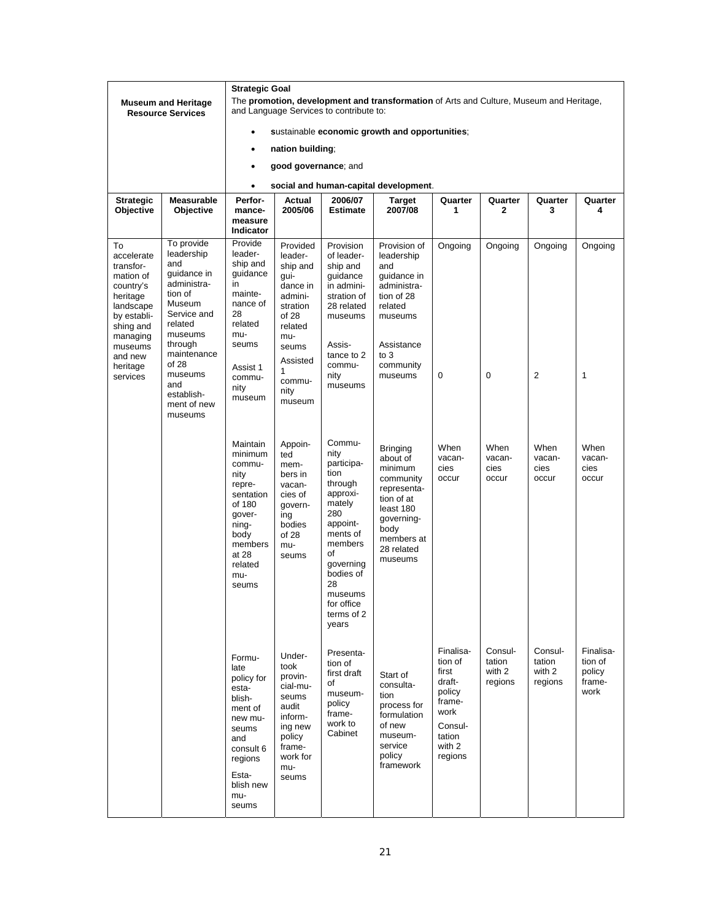|                                                                                                                                                                        |                                                                                                                                                                                                                      | <b>Strategic Goal</b>                                                                                                                               |                                                                                                                                                             |                                                                                                                                                                                                       |                                                                                                                                                            |                                                                                                               |                                        |                                        |                                                  |
|------------------------------------------------------------------------------------------------------------------------------------------------------------------------|----------------------------------------------------------------------------------------------------------------------------------------------------------------------------------------------------------------------|-----------------------------------------------------------------------------------------------------------------------------------------------------|-------------------------------------------------------------------------------------------------------------------------------------------------------------|-------------------------------------------------------------------------------------------------------------------------------------------------------------------------------------------------------|------------------------------------------------------------------------------------------------------------------------------------------------------------|---------------------------------------------------------------------------------------------------------------|----------------------------------------|----------------------------------------|--------------------------------------------------|
|                                                                                                                                                                        | <b>Museum and Heritage</b><br><b>Resource Services</b>                                                                                                                                                               |                                                                                                                                                     |                                                                                                                                                             | and Language Services to contribute to:                                                                                                                                                               | The promotion, development and transformation of Arts and Culture, Museum and Heritage,                                                                    |                                                                                                               |                                        |                                        |                                                  |
|                                                                                                                                                                        |                                                                                                                                                                                                                      |                                                                                                                                                     |                                                                                                                                                             |                                                                                                                                                                                                       | sustainable economic growth and opportunities;                                                                                                             |                                                                                                               |                                        |                                        |                                                  |
|                                                                                                                                                                        |                                                                                                                                                                                                                      | $\bullet$                                                                                                                                           | nation building;                                                                                                                                            |                                                                                                                                                                                                       |                                                                                                                                                            |                                                                                                               |                                        |                                        |                                                  |
|                                                                                                                                                                        |                                                                                                                                                                                                                      | $\bullet$                                                                                                                                           | good governance; and                                                                                                                                        |                                                                                                                                                                                                       |                                                                                                                                                            |                                                                                                               |                                        |                                        |                                                  |
|                                                                                                                                                                        |                                                                                                                                                                                                                      | $\bullet$                                                                                                                                           |                                                                                                                                                             |                                                                                                                                                                                                       | social and human-capital development.                                                                                                                      |                                                                                                               |                                        |                                        |                                                  |
| <b>Strategic</b>                                                                                                                                                       | <b>Measurable</b>                                                                                                                                                                                                    | Perfor-                                                                                                                                             | Actual                                                                                                                                                      | 2006/07                                                                                                                                                                                               | <b>Target</b>                                                                                                                                              | Quarter                                                                                                       | Quarter                                | Quarter                                | Quarter                                          |
| Objective                                                                                                                                                              | Objective                                                                                                                                                                                                            | mance-<br>measure<br>Indicator                                                                                                                      | 2005/06                                                                                                                                                     | <b>Estimate</b>                                                                                                                                                                                       | 2007/08                                                                                                                                                    | 1                                                                                                             | 2                                      | 3                                      | 4                                                |
| To<br>accelerate<br>transfor-<br>mation of<br>country's<br>heritage<br>landscape<br>by establi-<br>shing and<br>managing<br>museums<br>and new<br>heritage<br>services | To provide<br>leadership<br>and<br>guidance in<br>administra-<br>tion of<br>Museum<br>Service and<br>related<br>museums<br>through<br>maintenance<br>of 28<br>museums<br>and<br>establish-<br>ment of new<br>museums | Provide<br>leader-<br>ship and<br>guidance<br>in<br>mainte-<br>nance of<br>28<br>related<br>mu-<br>seums<br>Assist 1<br>commu-<br>nity<br>museum    | Provided<br>leader-<br>ship and<br>gui-<br>dance in<br>admini-<br>stration<br>of 28<br>related<br>mu-<br>seums<br>Assisted<br>1<br>commu-<br>nity<br>museum | Provision<br>of leader-<br>ship and<br>guidance<br>in admini-<br>stration of<br>28 related<br>museums<br>Assis-<br>tance to 2<br>commu-<br>nity<br>museums                                            | Provision of<br>leadership<br>and<br>guidance in<br>administra-<br>tion of 28<br>related<br>museums<br>Assistance<br>to $3$<br>community<br>museums        | Ongoing<br>0                                                                                                  | Ongoing<br>0                           | Ongoing<br>2                           | Ongoing<br>1                                     |
|                                                                                                                                                                        |                                                                                                                                                                                                                      | Maintain<br>minimum<br>commu-<br>nity<br>repre-<br>sentation<br>of 180<br>gover-<br>ning-<br>body<br>members<br>at 28<br>related<br>mu-<br>seums    | Appoin-<br>ted<br>mem-<br>bers in<br>vacan-<br>cies of<br>govern-<br>ing<br>bodies<br>of 28<br>mu-<br>seums                                                 | Commu-<br>nity<br>participa-<br>tion<br>through<br>approxi-<br>mately<br>280<br>appoint-<br>ments of<br>members<br>οf<br>governing<br>bodies of<br>28<br>museums<br>for office<br>terms of 2<br>years | <b>Bringing</b><br>about of<br>minimum<br>community<br>representa-<br>tion of at<br>least 180<br>governing-<br>body<br>members at<br>28 related<br>museums | When<br>vacan-<br>cies<br>occur                                                                               | When<br>vacan-<br>cies<br>occur        | When<br>vacan-<br>cies<br>occur        | When<br>vacan-<br>cies<br>occur                  |
|                                                                                                                                                                        |                                                                                                                                                                                                                      | Formu-<br>late<br>policy for<br>esta-<br>blish-<br>ment of<br>new mu-<br>seums<br>and<br>consult 6<br>regions<br>Esta-<br>blish new<br>mu-<br>seums | Under-<br>took<br>provin-<br>cial-mu-<br>seums<br>audit<br>inform-<br>ing new<br>policy<br>frame-<br>work for<br>mu-<br>seums                               | Presenta-<br>tion of<br>first draft<br>of<br>museum-<br>policy<br>frame-<br>work to<br>Cabinet                                                                                                        | Start of<br>consulta-<br>tion<br>process for<br>formulation<br>of new<br>museum-<br>service<br>policy<br>framework                                         | Finalisa-<br>tion of<br>first<br>draft-<br>policy<br>frame-<br>work<br>Consul-<br>tation<br>with 2<br>regions | Consul-<br>tation<br>with 2<br>regions | Consul-<br>tation<br>with 2<br>regions | Finalisa-<br>tion of<br>policy<br>frame-<br>work |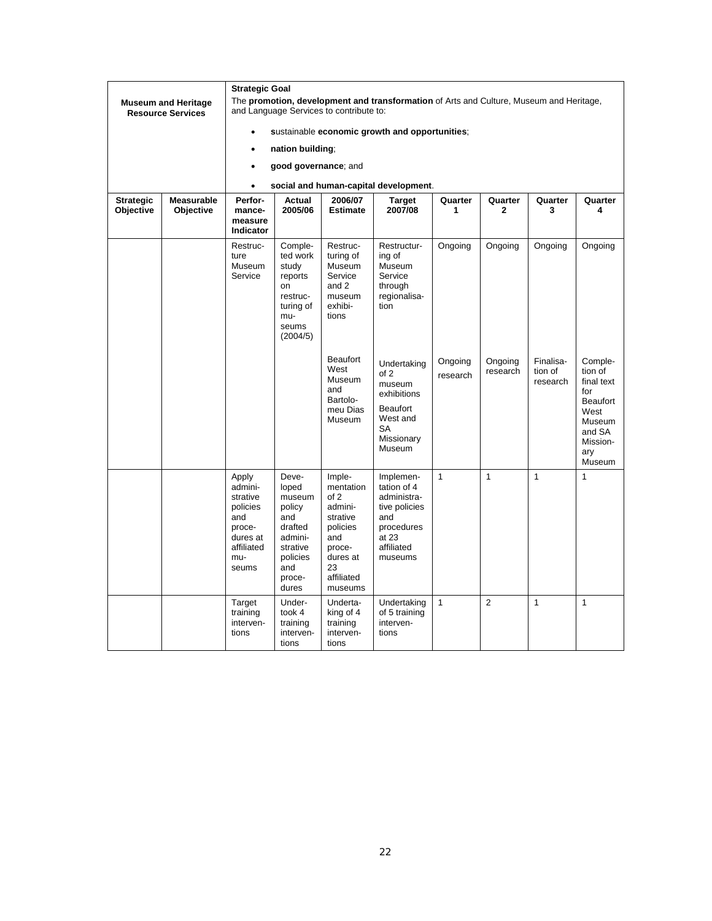|                               | <b>Museum and Heritage</b><br><b>Resource Services</b> | <b>Strategic Goal</b><br>The promotion, development and transformation of Arts and Culture, Museum and Heritage,<br>and Language Services to contribute to: |                                                                                                                   |                                                                                                                            |                                                                                                                 |                     |                         |                                  |                                                                                                                            |
|-------------------------------|--------------------------------------------------------|-------------------------------------------------------------------------------------------------------------------------------------------------------------|-------------------------------------------------------------------------------------------------------------------|----------------------------------------------------------------------------------------------------------------------------|-----------------------------------------------------------------------------------------------------------------|---------------------|-------------------------|----------------------------------|----------------------------------------------------------------------------------------------------------------------------|
|                               |                                                        | $\bullet$                                                                                                                                                   |                                                                                                                   |                                                                                                                            | sustainable economic growth and opportunities;                                                                  |                     |                         |                                  |                                                                                                                            |
|                               |                                                        | $\bullet$                                                                                                                                                   | nation building;                                                                                                  |                                                                                                                            |                                                                                                                 |                     |                         |                                  |                                                                                                                            |
|                               |                                                        | $\bullet$                                                                                                                                                   | good governance; and                                                                                              |                                                                                                                            |                                                                                                                 |                     |                         |                                  |                                                                                                                            |
|                               |                                                        | $\bullet$                                                                                                                                                   |                                                                                                                   |                                                                                                                            | social and human-capital development.                                                                           |                     |                         |                                  |                                                                                                                            |
| <b>Strategic</b><br>Objective | <b>Measurable</b><br>Objective                         | Perfor-<br>mance-<br>measure<br>Indicator                                                                                                                   | Actual<br>2005/06                                                                                                 | 2006/07<br><b>Estimate</b>                                                                                                 | <b>Target</b><br>2007/08                                                                                        | Quarter<br>1        | Quarter<br>$\mathbf{2}$ | Quarter<br>3                     | Quarter<br>4                                                                                                               |
|                               |                                                        | Restruc-<br>ture<br>Museum<br>Service                                                                                                                       | Comple-<br>ted work<br>study<br>reports<br>on<br>restruc-<br>turing of<br>mu-<br>seums<br>(2004/5)                | Restruc-<br>turing of<br>Museum<br>Service<br>and 2<br>museum<br>exhibi-<br>tions                                          | Restructur-<br>ing of<br><b>Museum</b><br>Service<br>through<br>regionalisa-<br>tion                            | Ongoing             | Ongoing                 | Ongoing                          | Ongoing                                                                                                                    |
|                               |                                                        |                                                                                                                                                             |                                                                                                                   | <b>Beaufort</b><br>West<br>Museum<br>and<br>Bartolo-<br>meu Dias<br>Museum                                                 | Undertaking<br>of 2<br>museum<br>exhibitions<br>Beaufort<br>West and<br><b>SA</b><br>Missionary<br>Museum       | Ongoing<br>research | Ongoing<br>research     | Finalisa-<br>tion of<br>research | Comple-<br>tion of<br>final text<br>for<br>Beaufort<br>West<br><b>Museum</b><br>and SA<br>Mission-<br>ary<br><b>Museum</b> |
|                               |                                                        | Apply<br>admini-<br>strative<br>policies<br>and<br>proce-<br>dures at<br>affiliated<br>mu-<br>seums                                                         | Deve-<br>loped<br>museum<br>policy<br>and<br>drafted<br>admini-<br>strative<br>policies<br>and<br>proce-<br>dures | Imple-<br>mentation<br>of 2<br>admini-<br>strative<br>policies<br>and<br>proce-<br>dures at<br>23<br>affiliated<br>museums | Implemen-<br>tation of 4<br>administra-<br>tive policies<br>and<br>procedures<br>at 23<br>affiliated<br>museums | $\mathbf{1}$        | $\mathbf{1}$            | $\mathbf{1}$                     | $\mathbf{1}$                                                                                                               |
|                               |                                                        | Target<br>training<br>interven-<br>tions                                                                                                                    | Under-<br>took 4<br>training<br>interven-<br>tions                                                                | Underta-<br>king of 4<br>training<br>interven-<br>tions                                                                    | Undertaking<br>of 5 training<br>interven-<br>tions                                                              | $\mathbf{1}$        | $\overline{2}$          | $\mathbf{1}$                     | $\mathbf{1}$                                                                                                               |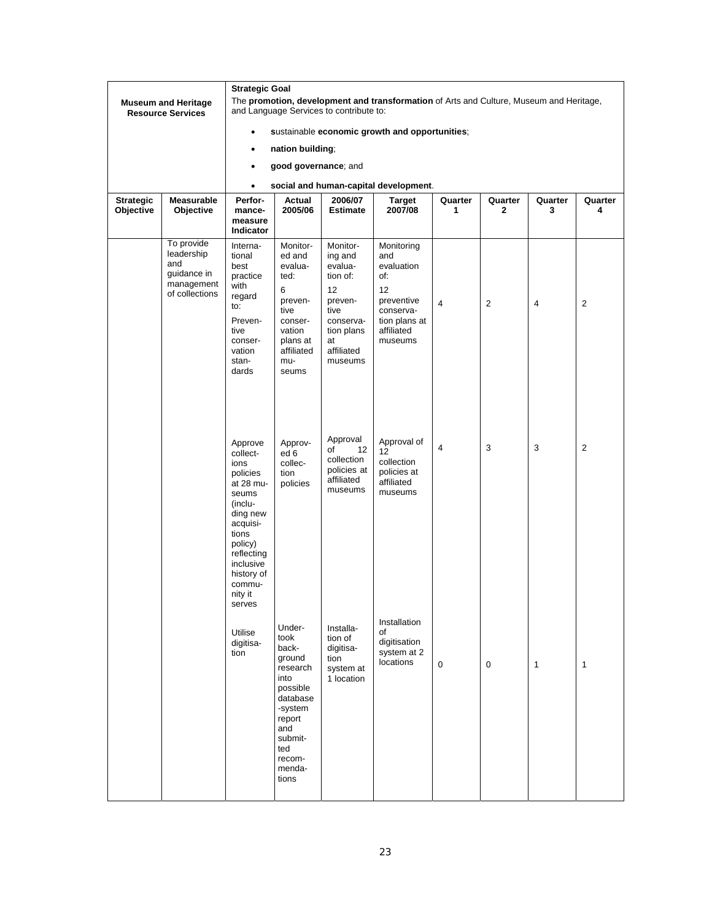|                               | <b>Museum and Heritage</b><br><b>Resource Services</b>                         | $\bullet$                                                                                                                                                                                    | <b>Strategic Goal</b><br>The promotion, development and transformation of Arts and Culture, Museum and Heritage,<br>and Language Services to contribute to:<br>sustainable economic growth and opportunities; |                                                                                                                               |                                                                                                                   |                |                         |              |                |  |
|-------------------------------|--------------------------------------------------------------------------------|----------------------------------------------------------------------------------------------------------------------------------------------------------------------------------------------|---------------------------------------------------------------------------------------------------------------------------------------------------------------------------------------------------------------|-------------------------------------------------------------------------------------------------------------------------------|-------------------------------------------------------------------------------------------------------------------|----------------|-------------------------|--------------|----------------|--|
|                               |                                                                                | $\bullet$                                                                                                                                                                                    | nation building;                                                                                                                                                                                              |                                                                                                                               |                                                                                                                   |                |                         |              |                |  |
|                               |                                                                                | $\bullet$                                                                                                                                                                                    | good governance; and                                                                                                                                                                                          |                                                                                                                               |                                                                                                                   |                |                         |              |                |  |
|                               |                                                                                | $\bullet$                                                                                                                                                                                    |                                                                                                                                                                                                               |                                                                                                                               | social and human-capital development.                                                                             |                |                         |              |                |  |
| <b>Strategic</b><br>Objective | Measurable<br>Objective                                                        | Perfor-<br>mance-<br>measure<br><b>Indicator</b>                                                                                                                                             | Actual<br>2005/06                                                                                                                                                                                             | 2006/07<br><b>Estimate</b>                                                                                                    | Target<br>2007/08                                                                                                 | Quarter<br>1   | Quarter<br>$\mathbf{2}$ | Quarter<br>3 | Quarter<br>4   |  |
|                               | To provide<br>leadership<br>and<br>guidance in<br>management<br>of collections | Interna-<br>tional<br>best<br>practice<br>with<br>regard<br>to:<br>Preven-<br>tive<br>conser-<br>vation<br>stan-<br>dards                                                                    | Monitor-<br>ed and<br>evalua-<br>ted:<br>6<br>preven-<br>tive<br>conser-<br>vation<br>plans at<br>affiliated<br>mu-<br>seums                                                                                  | Monitor-<br>ing and<br>evalua-<br>tion of:<br>12<br>preven-<br>tive<br>conserva-<br>tion plans<br>at<br>affiliated<br>museums | Monitoring<br>and<br>evaluation<br>of:<br>12<br>preventive<br>conserva-<br>tion plans at<br>affiliated<br>museums | 4              | $\overline{2}$          | 4            | $\overline{2}$ |  |
|                               |                                                                                | Approve<br>collect-<br>ions<br>policies<br>at 28 mu-<br>seums<br>(inclu-<br>ding new<br>acquisi-<br>tions<br>policy)<br>reflecting<br>inclusive<br>history of<br>commu-<br>nity it<br>serves | Approv-<br>ed 6<br>collec-<br>tion<br>policies                                                                                                                                                                | Approval<br>12<br>of<br>collection<br>policies at<br>affiliated<br>museums                                                    | Approval of<br>12<br>collection<br>policies at<br>affiliated<br>museums                                           | $\overline{4}$ | 3                       | 3            | $\overline{2}$ |  |
|                               |                                                                                | Utilise<br>digitisa-<br>tion                                                                                                                                                                 | Under-<br>took<br>back-<br>ground<br>research<br>into<br>possible<br>database<br>-system<br>report<br>and<br>submit-<br>ted<br>recom-<br>menda-<br>tions                                                      | Installa-<br>tion of<br>digitisa-<br>tion<br>system at<br>1 location                                                          | Installation<br>οf<br>digitisation<br>system at 2<br>locations                                                    | $\mathbf 0$    | $\mathbf 0$             | 1            | 1              |  |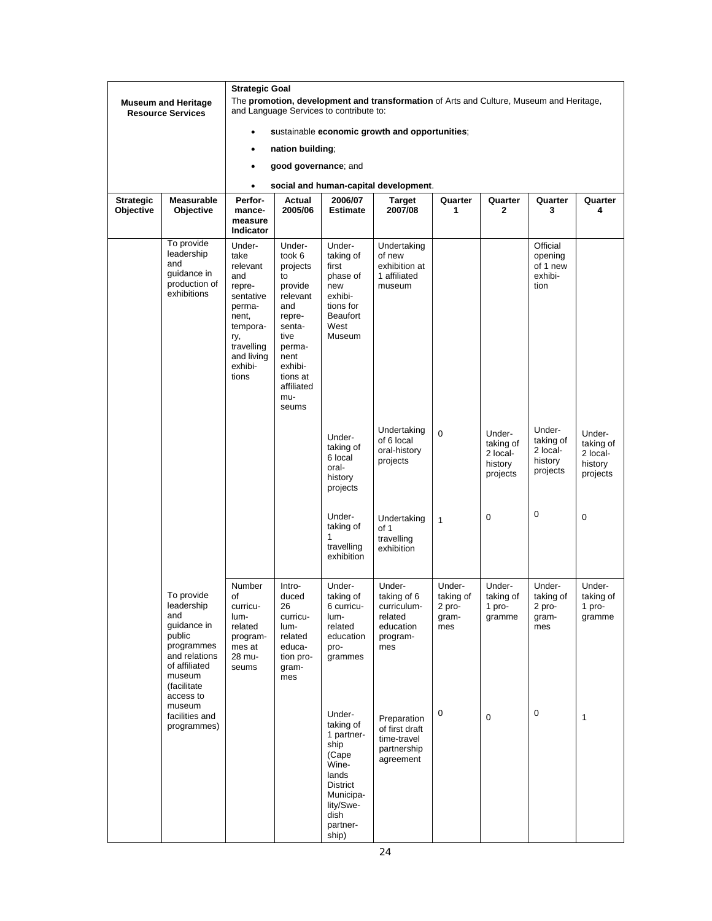|                  |                                                                                                                                                |                                                                                                                                                |                                                                                                                                                                     |                                                                                                                                                |                                                                                         |                                               |                                                        | <b>Strategic Goal</b>                                  |                                                        |  |  |  |  |  |  |  |  |  |
|------------------|------------------------------------------------------------------------------------------------------------------------------------------------|------------------------------------------------------------------------------------------------------------------------------------------------|---------------------------------------------------------------------------------------------------------------------------------------------------------------------|------------------------------------------------------------------------------------------------------------------------------------------------|-----------------------------------------------------------------------------------------|-----------------------------------------------|--------------------------------------------------------|--------------------------------------------------------|--------------------------------------------------------|--|--|--|--|--|--|--|--|--|
|                  | <b>Museum and Heritage</b><br><b>Resource Services</b>                                                                                         |                                                                                                                                                |                                                                                                                                                                     | and Language Services to contribute to:                                                                                                        | The promotion, development and transformation of Arts and Culture, Museum and Heritage, |                                               |                                                        |                                                        |                                                        |  |  |  |  |  |  |  |  |  |
|                  |                                                                                                                                                |                                                                                                                                                |                                                                                                                                                                     |                                                                                                                                                | sustainable economic growth and opportunities;                                          |                                               |                                                        |                                                        |                                                        |  |  |  |  |  |  |  |  |  |
|                  |                                                                                                                                                | ٠                                                                                                                                              | nation building;                                                                                                                                                    |                                                                                                                                                |                                                                                         |                                               |                                                        |                                                        |                                                        |  |  |  |  |  |  |  |  |  |
|                  |                                                                                                                                                | $\bullet$                                                                                                                                      | good governance; and                                                                                                                                                |                                                                                                                                                |                                                                                         |                                               |                                                        |                                                        |                                                        |  |  |  |  |  |  |  |  |  |
|                  |                                                                                                                                                | $\bullet$                                                                                                                                      |                                                                                                                                                                     |                                                                                                                                                | social and human-capital development.                                                   |                                               |                                                        |                                                        |                                                        |  |  |  |  |  |  |  |  |  |
| <b>Strategic</b> | <b>Measurable</b>                                                                                                                              | Perfor-                                                                                                                                        | Actual                                                                                                                                                              | 2006/07                                                                                                                                        | Target                                                                                  | Quarter                                       | Quarter                                                | Quarter                                                | Quarter                                                |  |  |  |  |  |  |  |  |  |
| Objective        | Objective                                                                                                                                      | mance-<br>measure<br>Indicator                                                                                                                 | 2005/06                                                                                                                                                             | <b>Estimate</b>                                                                                                                                | 2007/08                                                                                 | 1                                             | $\mathbf{2}$                                           | 3                                                      | 4                                                      |  |  |  |  |  |  |  |  |  |
|                  | To provide<br>leadership<br>and<br>guidance in<br>production of<br>exhibitions                                                                 | Under-<br>take<br>relevant<br>and<br>repre-<br>sentative<br>perma-<br>nent,<br>tempora-<br>ry,<br>travelling<br>and living<br>exhibi-<br>tions | Under-<br>took 6<br>projects<br>to<br>provide<br>relevant<br>and<br>repre-<br>senta-<br>tive<br>perma-<br>nent<br>exhibi-<br>tions at<br>affiliated<br>mu-<br>seums | Under-<br>taking of<br>first<br>phase of<br>new<br>exhibi-<br>tions for<br><b>Beaufort</b><br>West<br>Museum                                   | Undertaking<br>of new<br>exhibition at<br>1 affiliated<br>museum                        |                                               |                                                        | Official<br>opening<br>of 1 new<br>exhibi-<br>tion     |                                                        |  |  |  |  |  |  |  |  |  |
|                  |                                                                                                                                                |                                                                                                                                                |                                                                                                                                                                     | Under-<br>taking of<br>6 local<br>oral-<br>history<br>projects                                                                                 | Undertaking<br>of 6 local<br>oral-history<br>projects                                   | 0                                             | Under-<br>taking of<br>2 local-<br>history<br>projects | Under-<br>taking of<br>2 local-<br>history<br>projects | Under-<br>taking of<br>2 local-<br>history<br>projects |  |  |  |  |  |  |  |  |  |
|                  |                                                                                                                                                |                                                                                                                                                |                                                                                                                                                                     | Under-<br>taking of<br>1<br>travelling<br>exhibition                                                                                           | Undertaking<br>of 1<br>travelling<br>exhibition                                         | $\mathbf{1}$                                  | $\mathbf 0$                                            | 0                                                      | $\mathbf 0$                                            |  |  |  |  |  |  |  |  |  |
|                  | To provide<br>leadership<br>and<br>guidance in<br>public<br>programmes<br>and relations<br>of affiliated<br>museum<br>(facilitate<br>access to | Number<br>of<br>curricu-<br>lum-<br>related<br>program-<br>mes at<br>28 mu-<br>seums                                                           | Intro-<br>duced<br>26<br>curricu-<br>lum-<br>related<br>educa-<br>tion pro-<br>gram-<br>mes                                                                         | Under-<br>taking of<br>6 curricu-<br>lum-<br>related<br>education<br>pro-<br>grammes                                                           | Under-<br>taking of 6<br>curriculum-<br>related<br>education<br>program-<br>mes         | Under-<br>taking of<br>2 pro-<br>gram-<br>mes | Under-<br>taking of<br>1 pro-<br>gramme                | Under-<br>taking of<br>2 pro-<br>gram-<br>mes          | Under-<br>taking of<br>1 pro-<br>gramme                |  |  |  |  |  |  |  |  |  |
|                  | museum<br>facilities and<br>programmes)                                                                                                        |                                                                                                                                                |                                                                                                                                                                     | Under-<br>taking of<br>1 partner-<br>ship<br>(Cape<br>Wine-<br>lands<br><b>District</b><br>Municipa-<br>lity/Swe-<br>dish<br>partner-<br>ship) | Preparation<br>of first draft<br>time-travel<br>partnership<br>agreement                | 0                                             | 0                                                      | $\mathbf 0$                                            | 1                                                      |  |  |  |  |  |  |  |  |  |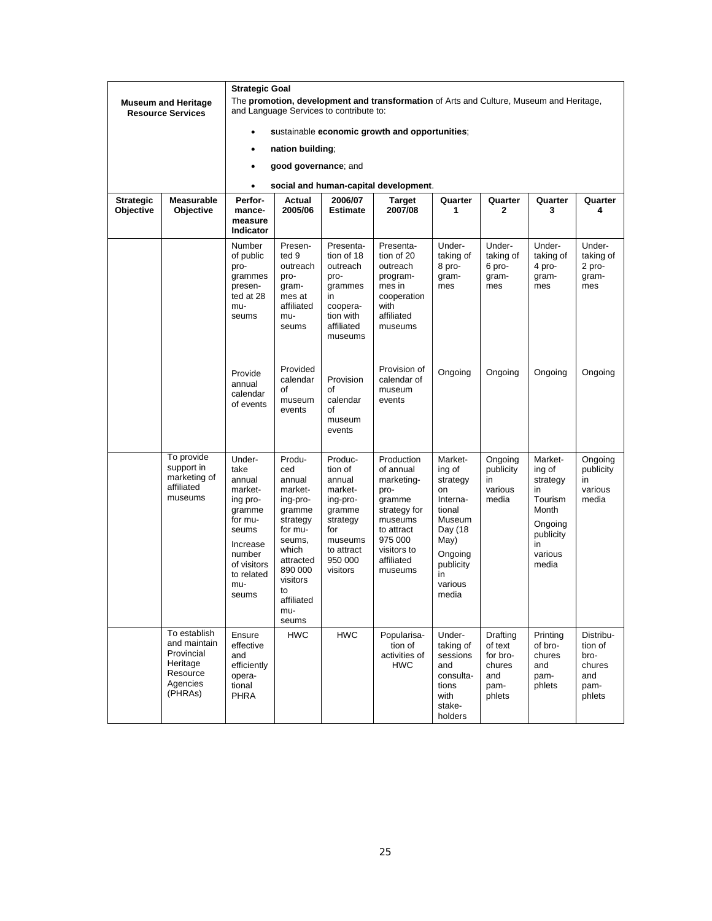|                               | <b>Museum and Heritage</b><br><b>Resource Services</b>                                    | <b>Strategic Goal</b><br>The promotion, development and transformation of Arts and Culture, Museum and Heritage,<br>and Language Services to contribute to:<br>sustainable economic growth and opportunities;<br>٠ |                                                                                                                                                                            |                                                                                                                                  |                                                                                                                                                     |                                                                                                                                          |                                                                    |                                                                                                            |                                                                 |  |  |  |
|-------------------------------|-------------------------------------------------------------------------------------------|--------------------------------------------------------------------------------------------------------------------------------------------------------------------------------------------------------------------|----------------------------------------------------------------------------------------------------------------------------------------------------------------------------|----------------------------------------------------------------------------------------------------------------------------------|-----------------------------------------------------------------------------------------------------------------------------------------------------|------------------------------------------------------------------------------------------------------------------------------------------|--------------------------------------------------------------------|------------------------------------------------------------------------------------------------------------|-----------------------------------------------------------------|--|--|--|
|                               |                                                                                           |                                                                                                                                                                                                                    |                                                                                                                                                                            |                                                                                                                                  |                                                                                                                                                     |                                                                                                                                          |                                                                    |                                                                                                            |                                                                 |  |  |  |
|                               |                                                                                           | ٠                                                                                                                                                                                                                  | nation building;                                                                                                                                                           |                                                                                                                                  |                                                                                                                                                     |                                                                                                                                          |                                                                    |                                                                                                            |                                                                 |  |  |  |
|                               |                                                                                           | ٠                                                                                                                                                                                                                  | good governance; and                                                                                                                                                       |                                                                                                                                  |                                                                                                                                                     |                                                                                                                                          |                                                                    |                                                                                                            |                                                                 |  |  |  |
|                               |                                                                                           | $\bullet$                                                                                                                                                                                                          |                                                                                                                                                                            |                                                                                                                                  | social and human-capital development.                                                                                                               |                                                                                                                                          |                                                                    |                                                                                                            |                                                                 |  |  |  |
| <b>Strategic</b><br>Objective | <b>Measurable</b><br>Objective                                                            | Perfor-<br>mance-<br>measure<br>Indicator                                                                                                                                                                          | Actual<br>2005/06                                                                                                                                                          | 2006/07<br><b>Estimate</b>                                                                                                       | Target<br>2007/08                                                                                                                                   | Quarter<br>1                                                                                                                             | Quarter<br>$\mathbf{2}$                                            | Quarter<br>3                                                                                               | Quarter<br>4                                                    |  |  |  |
|                               |                                                                                           | Number<br>of public<br>pro-<br>grammes<br>presen-<br>ted at 28<br>mu-<br>seums                                                                                                                                     | Presen-<br>ted 9<br>outreach<br>pro-<br>gram-<br>mes at<br>affiliated<br>mu-<br>seums                                                                                      | Presenta-<br>tion of 18<br>outreach<br>pro-<br>grammes<br>in<br>coopera-<br>tion with<br>affiliated<br>museums                   | Presenta-<br>tion of 20<br>outreach<br>program-<br>mes in<br>cooperation<br>with<br>affiliated<br>museums                                           | Under-<br>taking of<br>8 pro-<br>gram-<br>mes                                                                                            | Under-<br>taking of<br>6 pro-<br>gram-<br>mes                      | Under-<br>taking of<br>4 pro-<br>gram-<br>mes                                                              | Under-<br>taking of<br>2 pro-<br>gram-<br>mes                   |  |  |  |
|                               |                                                                                           | Provide<br>annual<br>calendar<br>of events                                                                                                                                                                         | Provided<br>calendar<br>of<br>museum<br>events                                                                                                                             | Provision<br>of<br>calendar<br>οf<br>museum<br>events                                                                            | Provision of<br>calendar of<br>museum<br>events                                                                                                     | Ongoing                                                                                                                                  | Ongoing                                                            | Ongoing                                                                                                    | Ongoing                                                         |  |  |  |
|                               | To provide<br>support in<br>marketing of<br>affiliated<br>museums                         | Under-<br>take<br>annual<br>market-<br>ing pro-<br>gramme<br>for mu-<br>seums<br>Increase<br>number<br>of visitors<br>to related<br>mu-<br>seums                                                                   | Produ-<br>ced<br>annual<br>market-<br>ing-pro-<br>gramme<br>strategy<br>for mu-<br>seums,<br>which<br>attracted<br>890 000<br>visitors<br>to<br>affiliated<br>mu-<br>seums | Produc-<br>tion of<br>annual<br>market-<br>ing-pro-<br>gramme<br>strategy<br>for<br>museums<br>to attract<br>950 000<br>visitors | Production<br>of annual<br>marketing-<br>pro-<br>gramme<br>strategy for<br>museums<br>to attract<br>975 000<br>visitors to<br>affiliated<br>museums | Market-<br>ing of<br>strategy<br>on<br>Interna-<br>tional<br>Museum<br>Day (18<br>May)<br>Ongoing<br>publicity<br>in<br>various<br>media | Ongoing<br>publicity<br>in<br>various<br>media                     | Market-<br>ing of<br>strategy<br>in<br>Tourism<br>Month<br>Ongoing<br>publicity<br>in.<br>various<br>media | Ongoing<br>publicity<br>in<br>various<br>media                  |  |  |  |
|                               | To establish<br>and maintain<br>Provincial<br>Heritage<br>Resource<br>Agencies<br>(PHRAs) | Ensure<br>effective<br>and<br>efficiently<br>opera-<br>tional<br><b>PHRA</b>                                                                                                                                       | <b>HWC</b>                                                                                                                                                                 | <b>HWC</b>                                                                                                                       | Popularisa-<br>tion of<br>activities of<br><b>HWC</b>                                                                                               | Under-<br>taking of<br>sessions<br>and<br>consulta-<br>tions<br>with<br>stake-<br>holders                                                | Drafting<br>of text<br>for bro-<br>chures<br>and<br>pam-<br>phlets | Printing<br>of bro-<br>chures<br>and<br>pam-<br>phlets                                                     | Distribu-<br>tion of<br>bro-<br>chures<br>and<br>pam-<br>phlets |  |  |  |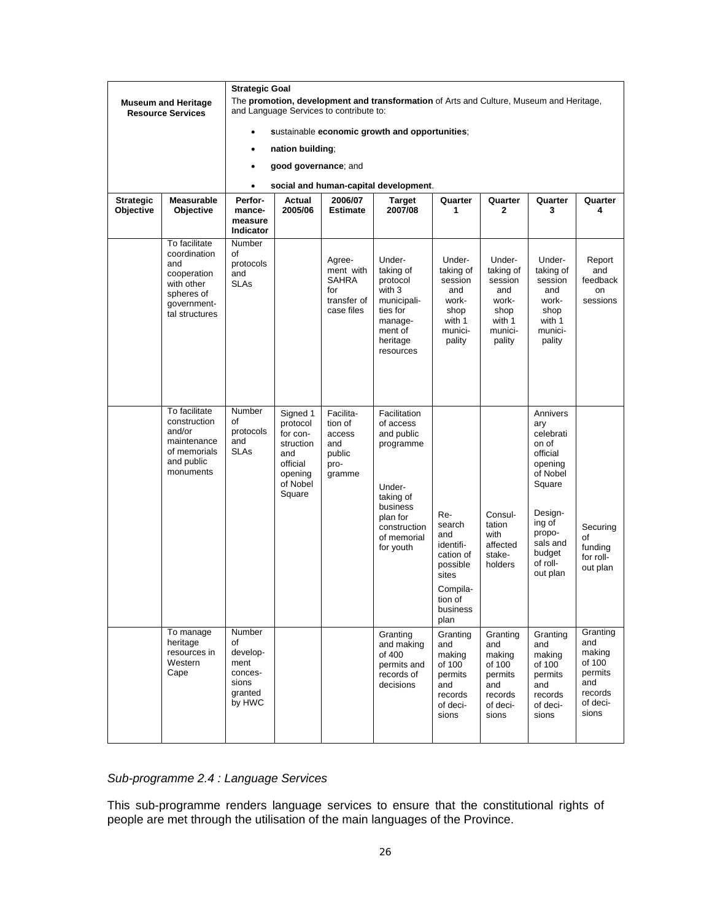|                               |                                                                                                                  | <b>Strategic Goal</b>                                                     |                                                                                                   |                                                                         |                                                                                                                                                 |                                                                                                                |                                                                                       |                                                                                                                                                                 |                                                                                       |  |  |  |
|-------------------------------|------------------------------------------------------------------------------------------------------------------|---------------------------------------------------------------------------|---------------------------------------------------------------------------------------------------|-------------------------------------------------------------------------|-------------------------------------------------------------------------------------------------------------------------------------------------|----------------------------------------------------------------------------------------------------------------|---------------------------------------------------------------------------------------|-----------------------------------------------------------------------------------------------------------------------------------------------------------------|---------------------------------------------------------------------------------------|--|--|--|
|                               | <b>Museum and Heritage</b><br><b>Resource Services</b>                                                           |                                                                           |                                                                                                   | and Language Services to contribute to:                                 | The promotion, development and transformation of Arts and Culture, Museum and Heritage,                                                         |                                                                                                                |                                                                                       |                                                                                                                                                                 |                                                                                       |  |  |  |
|                               |                                                                                                                  |                                                                           |                                                                                                   |                                                                         | sustainable economic growth and opportunities;                                                                                                  |                                                                                                                |                                                                                       |                                                                                                                                                                 |                                                                                       |  |  |  |
|                               |                                                                                                                  | $\bullet$                                                                 | nation building;                                                                                  |                                                                         |                                                                                                                                                 |                                                                                                                |                                                                                       |                                                                                                                                                                 |                                                                                       |  |  |  |
|                               |                                                                                                                  | $\bullet$                                                                 | good governance; and                                                                              |                                                                         |                                                                                                                                                 |                                                                                                                |                                                                                       |                                                                                                                                                                 |                                                                                       |  |  |  |
|                               |                                                                                                                  | social and human-capital development.<br>$\bullet$                        |                                                                                                   |                                                                         |                                                                                                                                                 |                                                                                                                |                                                                                       |                                                                                                                                                                 |                                                                                       |  |  |  |
| <b>Strategic</b><br>Objective | <b>Measurable</b><br>Objective                                                                                   | Perfor-<br>mance-<br>measure<br>Indicator                                 | Actual<br>2005/06                                                                                 | 2006/07<br><b>Estimate</b>                                              | Target<br>2007/08                                                                                                                               | Quarter<br>1                                                                                                   | Quarter<br>$\mathbf{2}$                                                               | Quarter<br>3                                                                                                                                                    | Quarter<br>4                                                                          |  |  |  |
|                               | To facilitate<br>coordination<br>and<br>cooperation<br>with other<br>spheres of<br>government-<br>tal structures | Number<br>οf<br>protocols<br>and<br><b>SLAs</b>                           |                                                                                                   | Agree-<br>ment with<br><b>SAHRA</b><br>for<br>transfer of<br>case files | Under-<br>taking of<br>protocol<br>with 3<br>municipali-<br>ties for<br>manage-<br>ment of<br>heritage<br>resources                             | Under-<br>taking of<br>session<br>and<br>work-<br>shop<br>with 1<br>munici-<br>pality                          | Under-<br>taking of<br>session<br>and<br>work-<br>shop<br>with 1<br>munici-<br>pality | Under-<br>taking of<br>session<br>and<br>work-<br>shop<br>with 1<br>munici-<br>pality                                                                           | Report<br>and<br>feedback<br>on<br>sessions                                           |  |  |  |
|                               | To facilitate<br>construction<br>and/or<br>maintenance<br>of memorials<br>and public<br>monuments                | Number<br>οf<br>protocols<br>and<br><b>SLAs</b>                           | Signed 1<br>protocol<br>for con-<br>struction<br>and<br>official<br>opening<br>of Nobel<br>Square | Facilita-<br>tion of<br>access<br>and<br>public<br>pro-<br>gramme       | Facilitation<br>of access<br>and public<br>programme<br>Under-<br>taking of<br>business<br>plan for<br>construction<br>of memorial<br>for youth | Re-<br>search<br>and<br>identifi-<br>cation of<br>possible<br>sites<br>Compila-<br>tion of<br>business<br>plan | Consul-<br>tation<br>with<br>affected<br>stake-<br>holders                            | Annivers<br>ary<br>celebrati<br>on of<br>official<br>opening<br>of Nobel<br>Square<br>Design-<br>ing of<br>propo-<br>sals and<br>budget<br>of roll-<br>out plan | Securing<br>of<br>funding<br>for roll-<br>out plan                                    |  |  |  |
|                               | To manage<br>heritage<br>resources in<br>Western<br>Cape                                                         | Number<br>of<br>develop-<br>ment<br>conces-<br>sions<br>granted<br>by HWC |                                                                                                   |                                                                         | Granting<br>and making<br>of 400<br>permits and<br>records of<br>decisions                                                                      | Granting<br>and<br>making<br>of 100<br>permits<br>and<br>records<br>of deci-<br>sions                          | Granting<br>and<br>making<br>of 100<br>permits<br>and<br>records<br>of deci-<br>sions | Granting<br>and<br>making<br>of 100<br>permits<br>and<br>records<br>of deci-<br>sions                                                                           | Granting<br>and<br>making<br>of 100<br>permits<br>and<br>records<br>of deci-<br>sions |  |  |  |

# *Sub-programme 2.4 : Language Services*

This sub-programme renders language services to ensure that the constitutional rights of people are met through the utilisation of the main languages of the Province.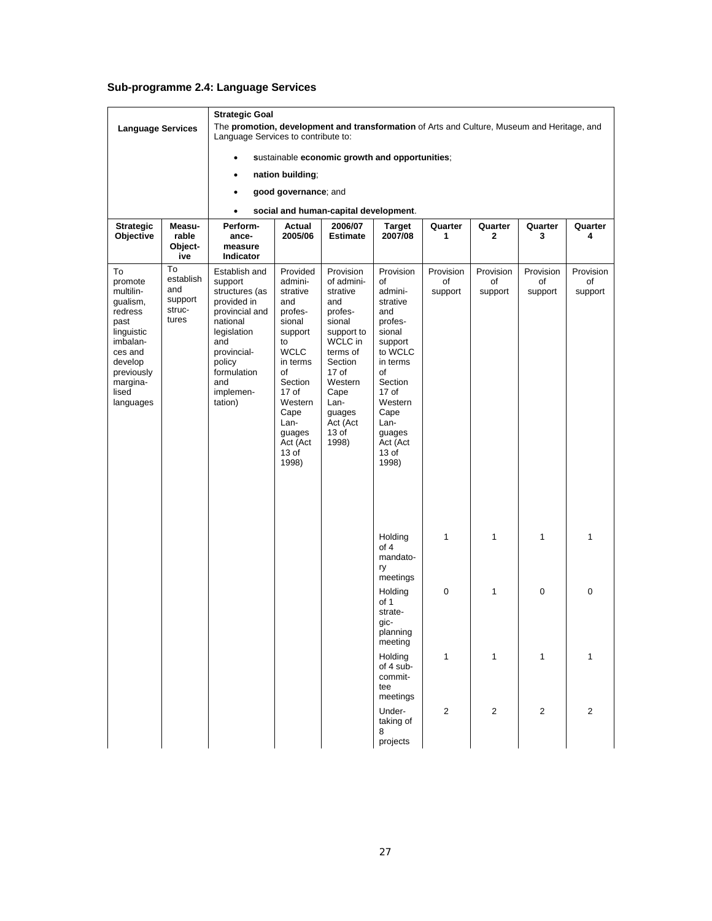## **Sub-programme 2.4: Language Services**

| <b>Language Services</b>                                                                                                                                  |                                                      | <b>Strategic Goal</b><br>The promotion, development and transformation of Arts and Culture, Museum and Heritage, and<br>Language Services to contribute to:                          |                                                                                                                                                                                                                             |                                                                                                                                                                                                          |                                                                                                                                                                                                     |                            |                            |                            |                            |  |  |  |
|-----------------------------------------------------------------------------------------------------------------------------------------------------------|------------------------------------------------------|--------------------------------------------------------------------------------------------------------------------------------------------------------------------------------------|-----------------------------------------------------------------------------------------------------------------------------------------------------------------------------------------------------------------------------|----------------------------------------------------------------------------------------------------------------------------------------------------------------------------------------------------------|-----------------------------------------------------------------------------------------------------------------------------------------------------------------------------------------------------|----------------------------|----------------------------|----------------------------|----------------------------|--|--|--|
|                                                                                                                                                           |                                                      | $\bullet$                                                                                                                                                                            |                                                                                                                                                                                                                             |                                                                                                                                                                                                          |                                                                                                                                                                                                     |                            |                            |                            |                            |  |  |  |
|                                                                                                                                                           |                                                      |                                                                                                                                                                                      | sustainable economic growth and opportunities;<br>nation building;                                                                                                                                                          |                                                                                                                                                                                                          |                                                                                                                                                                                                     |                            |                            |                            |                            |  |  |  |
|                                                                                                                                                           |                                                      | $\bullet$                                                                                                                                                                            | good governance; and                                                                                                                                                                                                        |                                                                                                                                                                                                          |                                                                                                                                                                                                     |                            |                            |                            |                            |  |  |  |
|                                                                                                                                                           |                                                      |                                                                                                                                                                                      |                                                                                                                                                                                                                             |                                                                                                                                                                                                          |                                                                                                                                                                                                     |                            |                            |                            |                            |  |  |  |
|                                                                                                                                                           |                                                      | $\bullet$                                                                                                                                                                            |                                                                                                                                                                                                                             | social and human-capital development.                                                                                                                                                                    |                                                                                                                                                                                                     |                            |                            |                            |                            |  |  |  |
| <b>Strategic</b><br>Objective                                                                                                                             | Measu-<br>rable<br>Object-<br>ive                    | Perform-<br>ance-<br>measure<br>Indicator                                                                                                                                            | Actual<br>2005/06                                                                                                                                                                                                           | 2006/07<br><b>Estimate</b>                                                                                                                                                                               | <b>Target</b><br>2007/08                                                                                                                                                                            | Quarter<br>1               | Quarter<br>2               | Quarter<br>3               | Quarter<br>4               |  |  |  |
| To<br>promote<br>multilin-<br>gualism,<br>redress<br>past<br>linguistic<br>imbalan-<br>ces and<br>develop<br>previously<br>margina-<br>lised<br>languages | To<br>establish<br>and<br>support<br>struc-<br>tures | Establish and<br>support<br>structures (as<br>provided in<br>provincial and<br>national<br>legislation<br>and<br>provincial-<br>policy<br>formulation<br>and<br>implemen-<br>tation) | Provided<br>admini-<br>strative<br>and<br>profes-<br>sional<br>support<br>to<br><b>WCLC</b><br>in terms<br>of<br>Section<br>17 <sub>o</sub> f<br>Western<br>Cape<br>Lan-<br>guages<br>Act (Act<br>13 <sub>of</sub><br>1998) | Provision<br>of admini-<br>strative<br>and<br>profes-<br>sional<br>support to<br>WCLC in<br>terms of<br>Section<br>17 <sub>of</sub><br>Western<br>Cape<br>Lan-<br>guages<br>Act (Act<br>$13$ of<br>1998) | Provision<br>of<br>admini-<br>strative<br>and<br>profes-<br>sional<br>support<br>to WCLC<br>in terms<br>of<br>Section<br>17 of<br>Western<br>Cape<br>Lan-<br>guages<br>Act (Act<br>$13$ of<br>1998) | Provision<br>of<br>support | Provision<br>of<br>support | Provision<br>of<br>support | Provision<br>of<br>support |  |  |  |
|                                                                                                                                                           |                                                      |                                                                                                                                                                                      |                                                                                                                                                                                                                             |                                                                                                                                                                                                          | Holding<br>of 4<br>mandato-<br>ry<br>meetings                                                                                                                                                       | 1                          | 1                          | 1                          | 1                          |  |  |  |
|                                                                                                                                                           |                                                      |                                                                                                                                                                                      |                                                                                                                                                                                                                             |                                                                                                                                                                                                          | Holding<br>of 1<br>strate-<br>gic-<br>planning<br>meeting                                                                                                                                           | 0                          | 1                          | 0                          | $\mathbf 0$                |  |  |  |
|                                                                                                                                                           |                                                      |                                                                                                                                                                                      |                                                                                                                                                                                                                             |                                                                                                                                                                                                          | Holding<br>of 4 sub-<br>commit-<br>tee<br>meetings                                                                                                                                                  | 1                          | $\mathbf{1}$               | $\mathbf{1}$               | $\mathbf{1}$               |  |  |  |
|                                                                                                                                                           |                                                      |                                                                                                                                                                                      |                                                                                                                                                                                                                             |                                                                                                                                                                                                          | Under-<br>taking of<br>8<br>projects                                                                                                                                                                | $\overline{2}$             | $\overline{2}$             | $\overline{2}$             | 2                          |  |  |  |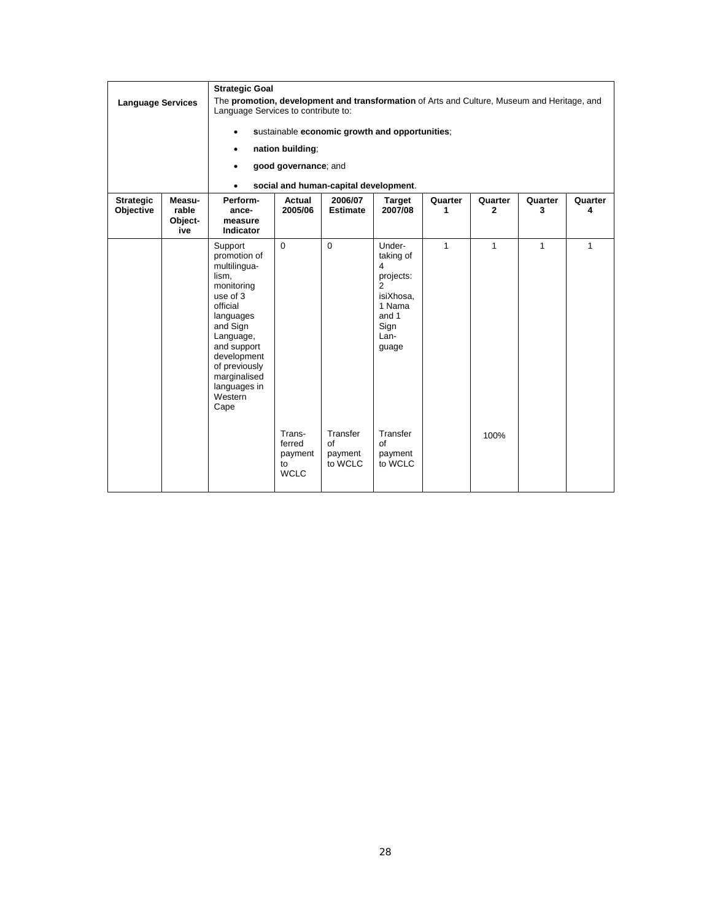| <b>Strategic Goal</b><br>The promotion, development and transformation of Arts and Culture, Museum and Heritage, and<br><b>Language Services</b><br>Language Services to contribute to:<br>sustainable economic growth and opportunities;<br>$\bullet$<br>nation building;<br>٠<br>good governance; and<br>social and human-capital development.<br>$\bullet$ |                                   |                                                                                                                                                                                                                                |                                                              |                                                  |                                                                                                                                             |              |                      |              |              |
|---------------------------------------------------------------------------------------------------------------------------------------------------------------------------------------------------------------------------------------------------------------------------------------------------------------------------------------------------------------|-----------------------------------|--------------------------------------------------------------------------------------------------------------------------------------------------------------------------------------------------------------------------------|--------------------------------------------------------------|--------------------------------------------------|---------------------------------------------------------------------------------------------------------------------------------------------|--------------|----------------------|--------------|--------------|
| <b>Strategic</b><br>Objective                                                                                                                                                                                                                                                                                                                                 | Measu-<br>rable<br>Object-<br>ive | Perform-<br>ance-<br>measure<br><b>Indicator</b>                                                                                                                                                                               | Actual<br>2005/06                                            | 2006/07<br><b>Estimate</b>                       | <b>Target</b><br>2007/08                                                                                                                    | Quarter<br>1 | Quarter<br>2         | Quarter<br>3 | Quarter<br>4 |
|                                                                                                                                                                                                                                                                                                                                                               |                                   | Support<br>promotion of<br>multilingua-<br>lism,<br>monitoring<br>use of 3<br>official<br>languages<br>and Sign<br>Language,<br>and support<br>development<br>of previously<br>marginalised<br>languages in<br>Western<br>Cape | $\Omega$<br>Trans-<br>ferred<br>payment<br>to<br><b>WCLC</b> | $\Omega$<br>Transfer<br>of<br>payment<br>to WCLC | Under-<br>taking of<br>4<br>projects:<br>2<br>isiXhosa.<br>1 Nama<br>and 1<br>Sign<br>Lan-<br>guage<br>Transfer<br>of<br>payment<br>to WCLC | $\mathbf{1}$ | $\mathbf{1}$<br>100% | $\mathbf{1}$ | $\mathbf{1}$ |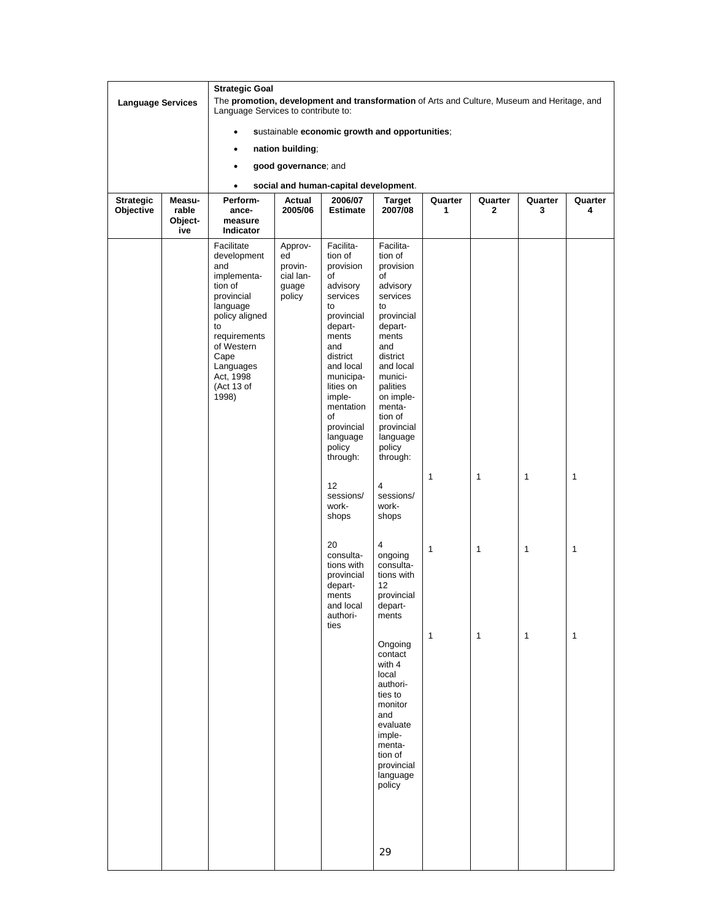|                          |                         | <b>Strategic Goal</b><br>The promotion, development and transformation of Arts and Culture, Museum and Heritage, and                                                                                |                                                          |                                                                                                                                                                                                                                                                                                                                                                                         |                                                                                                                                                                                                                                                                                                                                                                                                                                                                                                                                                       |                                   |              |                                              |             |  |  |  |
|--------------------------|-------------------------|-----------------------------------------------------------------------------------------------------------------------------------------------------------------------------------------------------|----------------------------------------------------------|-----------------------------------------------------------------------------------------------------------------------------------------------------------------------------------------------------------------------------------------------------------------------------------------------------------------------------------------------------------------------------------------|-------------------------------------------------------------------------------------------------------------------------------------------------------------------------------------------------------------------------------------------------------------------------------------------------------------------------------------------------------------------------------------------------------------------------------------------------------------------------------------------------------------------------------------------------------|-----------------------------------|--------------|----------------------------------------------|-------------|--|--|--|
| <b>Language Services</b> |                         | Language Services to contribute to:                                                                                                                                                                 |                                                          |                                                                                                                                                                                                                                                                                                                                                                                         |                                                                                                                                                                                                                                                                                                                                                                                                                                                                                                                                                       |                                   |              |                                              |             |  |  |  |
|                          |                         |                                                                                                                                                                                                     |                                                          | sustainable economic growth and opportunities;                                                                                                                                                                                                                                                                                                                                          |                                                                                                                                                                                                                                                                                                                                                                                                                                                                                                                                                       |                                   |              |                                              |             |  |  |  |
|                          |                         |                                                                                                                                                                                                     | nation building;                                         |                                                                                                                                                                                                                                                                                                                                                                                         |                                                                                                                                                                                                                                                                                                                                                                                                                                                                                                                                                       |                                   |              |                                              |             |  |  |  |
|                          |                         | $\bullet$                                                                                                                                                                                           | good governance; and                                     |                                                                                                                                                                                                                                                                                                                                                                                         |                                                                                                                                                                                                                                                                                                                                                                                                                                                                                                                                                       |                                   |              |                                              |             |  |  |  |
|                          |                         | $\bullet$                                                                                                                                                                                           |                                                          | social and human-capital development.                                                                                                                                                                                                                                                                                                                                                   |                                                                                                                                                                                                                                                                                                                                                                                                                                                                                                                                                       |                                   |              |                                              |             |  |  |  |
| <b>Strategic</b>         | Measu-                  | Perform-                                                                                                                                                                                            | Actual                                                   | 2006/07                                                                                                                                                                                                                                                                                                                                                                                 | <b>Target</b>                                                                                                                                                                                                                                                                                                                                                                                                                                                                                                                                         | Quarter                           | Quarter      | Quarter                                      | Quarter     |  |  |  |
| Objective                | rable<br>Object-<br>ive | ance-<br>measure<br>Indicator                                                                                                                                                                       | 2005/06                                                  | <b>Estimate</b>                                                                                                                                                                                                                                                                                                                                                                         | 2007/08                                                                                                                                                                                                                                                                                                                                                                                                                                                                                                                                               | 1                                 | $\mathbf{2}$ | 3                                            | 4           |  |  |  |
|                          |                         | Facilitate<br>development<br>and<br>implementa-<br>tion of<br>provincial<br>language<br>policy aligned<br>to<br>requirements<br>of Western<br>Cape<br>Languages<br>Act, 1998<br>(Act 13 of<br>1998) | Approv-<br>ed<br>provin-<br>cial lan-<br>guage<br>policy | Facilita-<br>tion of<br>provision<br>οf<br>advisory<br>services<br>to<br>provincial<br>depart-<br>ments<br>and<br>district<br>and local<br>municipa-<br>lities on<br>imple-<br>mentation<br>οf<br>provincial<br>language<br>policy<br>through:<br>12<br>sessions/<br>work-<br>shops<br>20<br>consulta-<br>tions with<br>provincial<br>depart-<br>ments<br>and local<br>authori-<br>ties | Facilita-<br>tion of<br>provision<br>of<br>advisory<br>services<br>to<br>provincial<br>depart-<br>ments<br>and<br>district<br>and local<br>munici-<br>palities<br>on imple-<br>menta-<br>tion of<br>provincial<br>language<br>policy<br>through:<br>$\overline{4}$<br>sessions/<br>work-<br>shops<br>4<br>ongoing<br>consulta-<br>tions with<br>12<br>provincial<br>depart-<br>ments<br>Ongoing<br>contact<br>with 4<br>local<br>authori-<br>ties to<br>monitor<br>and<br>evaluate<br>imple-<br>menta-<br>tion of<br>provincial<br>language<br>policy | $\mathbf{1}$<br>1<br>$\mathbf{1}$ | 1<br>1<br>1  | $\mathbf{1}$<br>$\mathbf{1}$<br>$\mathbf{1}$ | 1<br>1<br>1 |  |  |  |
|                          |                         |                                                                                                                                                                                                     |                                                          |                                                                                                                                                                                                                                                                                                                                                                                         | 29                                                                                                                                                                                                                                                                                                                                                                                                                                                                                                                                                    |                                   |              |                                              |             |  |  |  |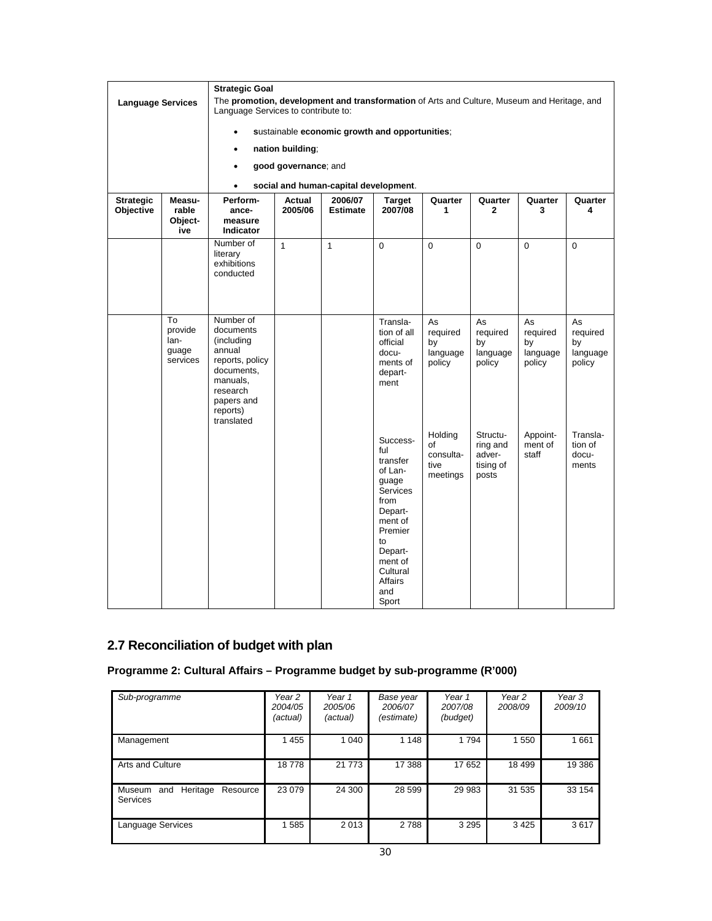|                               |                                            |                                                                                                                                                 | <b>Strategic Goal</b> |                                                |                                                                                                                                                                                       |                                                |                                                      |                                            |                                            |  |  |  |  |
|-------------------------------|--------------------------------------------|-------------------------------------------------------------------------------------------------------------------------------------------------|-----------------------|------------------------------------------------|---------------------------------------------------------------------------------------------------------------------------------------------------------------------------------------|------------------------------------------------|------------------------------------------------------|--------------------------------------------|--------------------------------------------|--|--|--|--|
| <b>Language Services</b>      |                                            | The promotion, development and transformation of Arts and Culture, Museum and Heritage, and<br>Language Services to contribute to:              |                       |                                                |                                                                                                                                                                                       |                                                |                                                      |                                            |                                            |  |  |  |  |
|                               |                                            |                                                                                                                                                 |                       | sustainable economic growth and opportunities; |                                                                                                                                                                                       |                                                |                                                      |                                            |                                            |  |  |  |  |
|                               |                                            | $\bullet$                                                                                                                                       | nation building;      |                                                |                                                                                                                                                                                       |                                                |                                                      |                                            |                                            |  |  |  |  |
|                               |                                            | $\bullet$                                                                                                                                       | good governance; and  |                                                |                                                                                                                                                                                       |                                                |                                                      |                                            |                                            |  |  |  |  |
|                               |                                            |                                                                                                                                                 |                       |                                                |                                                                                                                                                                                       |                                                |                                                      |                                            |                                            |  |  |  |  |
|                               | Measu-                                     | $\bullet$<br>Perform-                                                                                                                           |                       | social and human-capital development.          |                                                                                                                                                                                       |                                                | Quarter                                              |                                            |                                            |  |  |  |  |
| <b>Strategic</b><br>Objective | rable<br>Object-<br>ive                    | ance-<br>measure<br>Indicator                                                                                                                   | Actual<br>2005/06     | 2006/07<br><b>Estimate</b>                     | Target<br>2007/08                                                                                                                                                                     | Quarter<br>1                                   | $\mathbf{2}$                                         | Quarter<br>3                               | Quarter<br>4                               |  |  |  |  |
|                               |                                            | Number of<br>literary<br>exhibitions<br>conducted                                                                                               | $\mathbf{1}$          | $\mathbf{1}$                                   | $\mathbf 0$                                                                                                                                                                           | $\mathbf 0$                                    | $\mathbf 0$                                          | $\mathbf 0$                                | $\Omega$                                   |  |  |  |  |
|                               | To<br>provide<br>lan-<br>guage<br>services | Number of<br>documents<br>(including<br>annual<br>reports, policy<br>documents,<br>manuals,<br>research<br>papers and<br>reports)<br>translated |                       |                                                | Transla-<br>tion of all<br>official<br>docu-<br>ments of<br>depart-<br>ment                                                                                                           | As<br>required<br>by<br>language<br>policy     | As<br>required<br>by<br>language<br>policy           | As<br>required<br>by<br>language<br>policy | As<br>required<br>by<br>language<br>policy |  |  |  |  |
|                               |                                            |                                                                                                                                                 |                       |                                                | Success-<br>ful<br>transfer<br>of Lan-<br>guage<br><b>Services</b><br>from<br>Depart-<br>ment of<br>Premier<br>to<br>Depart-<br>ment of<br>Cultural<br><b>Affairs</b><br>and<br>Sport | Holding<br>of<br>consulta-<br>tive<br>meetings | Structu-<br>ring and<br>adver-<br>tising of<br>posts | Appoint-<br>ment of<br>staff               | Transla-<br>tion of<br>docu-<br>ments      |  |  |  |  |

# **2.7 Reconciliation of budget with plan**

# **Programme 2: Cultural Affairs – Programme budget by sub-programme (R'000)**

| Sub-programme                                     | Year 2<br>2004/05<br>(actual) | Year 1<br>2005/06<br>(actual) | Base year<br>2006/07<br>(estimate) | Year 1<br>2007/08<br>(budget) | Year <sub>2</sub><br>2008/09 | Year 3<br>2009/10 |
|---------------------------------------------------|-------------------------------|-------------------------------|------------------------------------|-------------------------------|------------------------------|-------------------|
| Management                                        | 1455                          | 1 0 4 0                       | 1 1 4 8                            | 1794                          | 1 5 5 0                      | 1661              |
| Arts and Culture                                  | 18778                         | 21 7 7 3                      | 17 388                             | 17652                         | 18 499                       | 19 386            |
| Heritage<br>Museum<br>Resource<br>and<br>Services | 23 0 79                       | 24 300                        | 28 599                             | 29 983                        | 31 535                       | 33 154            |
| Language Services                                 | 1585                          | 2013                          | 2 7 8 8                            | 3 2 9 5                       | 3425                         | 3617              |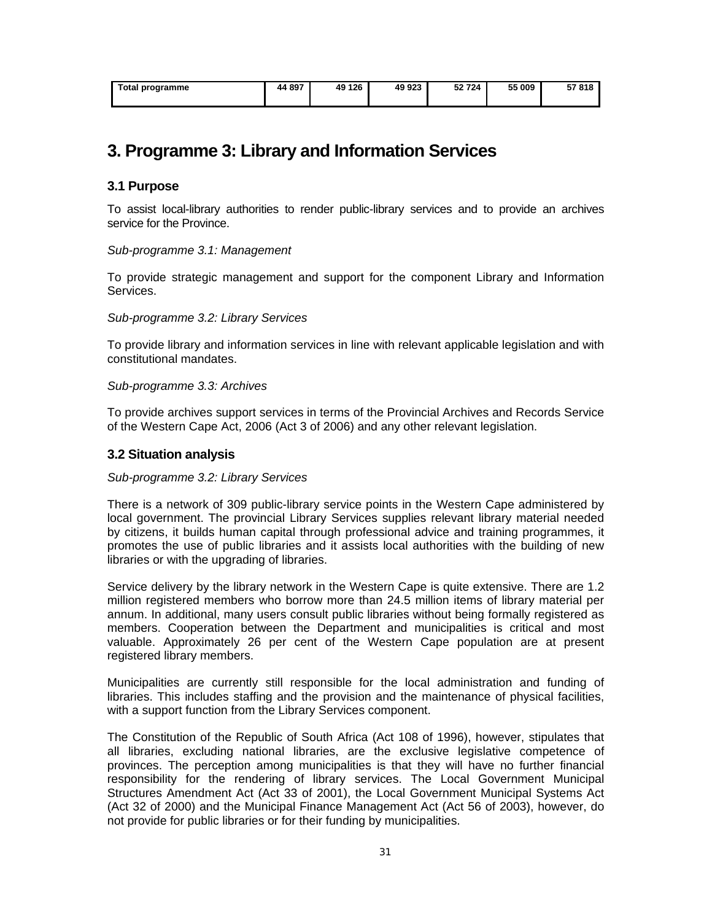| Total programme | 44 897 | 49 126 | 49 923 | 52 724 | 55 009 | E7 040<br>- 010<br>. ә. |
|-----------------|--------|--------|--------|--------|--------|-------------------------|
|                 |        |        |        |        |        |                         |

# **3. Programme 3: Library and Information Services**

# **3.1 Purpose**

To assist local-library authorities to render public-library services and to provide an archives service for the Province.

## *Sub-programme 3.1: Management*

To provide strategic management and support for the component Library and Information **Services** 

## *Sub-programme 3.2: Library Services*

To provide library and information services in line with relevant applicable legislation and with constitutional mandates.

## *Sub-programme 3.3: Archives*

To provide archives support services in terms of the Provincial Archives and Records Service of the Western Cape Act, 2006 (Act 3 of 2006) and any other relevant legislation.

## **3.2 Situation analysis**

#### *Sub-programme 3.2: Library Services*

There is a network of 309 public-library service points in the Western Cape administered by local government. The provincial Library Services supplies relevant library material needed by citizens, it builds human capital through professional advice and training programmes, it promotes the use of public libraries and it assists local authorities with the building of new libraries or with the upgrading of libraries.

Service delivery by the library network in the Western Cape is quite extensive. There are 1.2 million registered members who borrow more than 24.5 million items of library material per annum. In additional, many users consult public libraries without being formally registered as members. Cooperation between the Department and municipalities is critical and most valuable. Approximately 26 per cent of the Western Cape population are at present registered library members.

Municipalities are currently still responsible for the local administration and funding of libraries. This includes staffing and the provision and the maintenance of physical facilities, with a support function from the Library Services component.

The Constitution of the Republic of South Africa (Act 108 of 1996), however, stipulates that all libraries, excluding national libraries, are the exclusive legislative competence of provinces. The perception among municipalities is that they will have no further financial responsibility for the rendering of library services. The Local Government Municipal Structures Amendment Act (Act 33 of 2001), the Local Government Municipal Systems Act (Act 32 of 2000) and the Municipal Finance Management Act (Act 56 of 2003), however, do not provide for public libraries or for their funding by municipalities.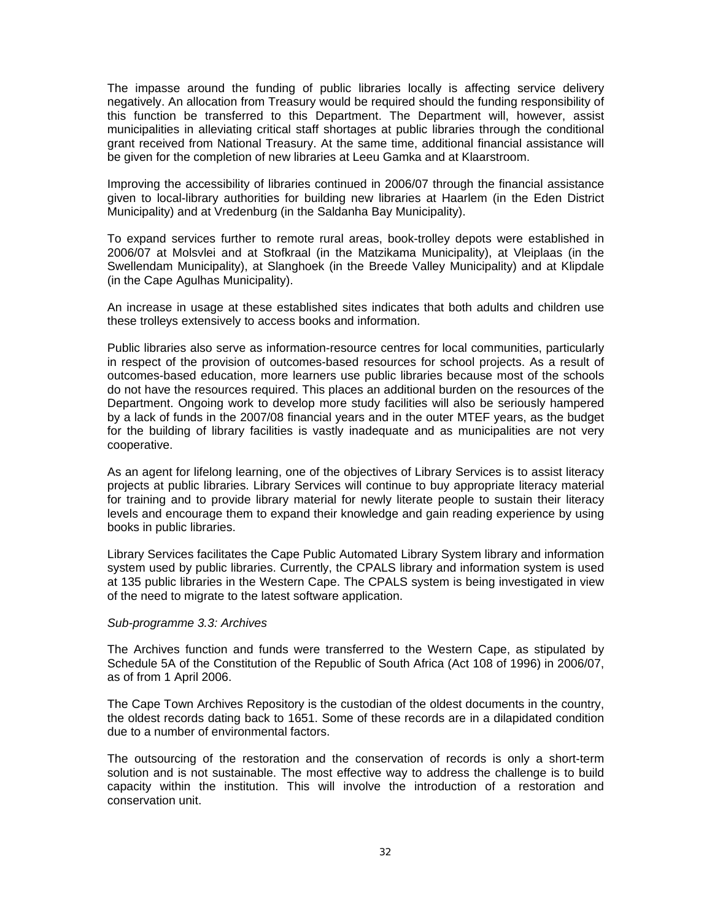The impasse around the funding of public libraries locally is affecting service delivery negatively. An allocation from Treasury would be required should the funding responsibility of this function be transferred to this Department. The Department will, however, assist municipalities in alleviating critical staff shortages at public libraries through the conditional grant received from National Treasury. At the same time, additional financial assistance will be given for the completion of new libraries at Leeu Gamka and at Klaarstroom.

Improving the accessibility of libraries continued in 2006/07 through the financial assistance given to local-library authorities for building new libraries at Haarlem (in the Eden District Municipality) and at Vredenburg (in the Saldanha Bay Municipality).

To expand services further to remote rural areas, book-trolley depots were established in 2006/07 at Molsvlei and at Stofkraal (in the Matzikama Municipality), at Vleiplaas (in the Swellendam Municipality), at Slanghoek (in the Breede Valley Municipality) and at Klipdale (in the Cape Agulhas Municipality).

An increase in usage at these established sites indicates that both adults and children use these trolleys extensively to access books and information.

Public libraries also serve as information-resource centres for local communities, particularly in respect of the provision of outcomes-based resources for school projects. As a result of outcomes-based education, more learners use public libraries because most of the schools do not have the resources required. This places an additional burden on the resources of the Department. Ongoing work to develop more study facilities will also be seriously hampered by a lack of funds in the 2007/08 financial years and in the outer MTEF years, as the budget for the building of library facilities is vastly inadequate and as municipalities are not very cooperative.

As an agent for lifelong learning, one of the objectives of Library Services is to assist literacy projects at public libraries. Library Services will continue to buy appropriate literacy material for training and to provide library material for newly literate people to sustain their literacy levels and encourage them to expand their knowledge and gain reading experience by using books in public libraries.

Library Services facilitates the Cape Public Automated Library System library and information system used by public libraries. Currently, the CPALS library and information system is used at 135 public libraries in the Western Cape. The CPALS system is being investigated in view of the need to migrate to the latest software application.

#### *Sub-programme 3.3: Archives*

The Archives function and funds were transferred to the Western Cape, as stipulated by Schedule 5A of the Constitution of the Republic of South Africa (Act 108 of 1996) in 2006/07, as of from 1 April 2006.

The Cape Town Archives Repository is the custodian of the oldest documents in the country, the oldest records dating back to 1651. Some of these records are in a dilapidated condition due to a number of environmental factors.

The outsourcing of the restoration and the conservation of records is only a short-term solution and is not sustainable. The most effective way to address the challenge is to build capacity within the institution. This will involve the introduction of a restoration and conservation unit.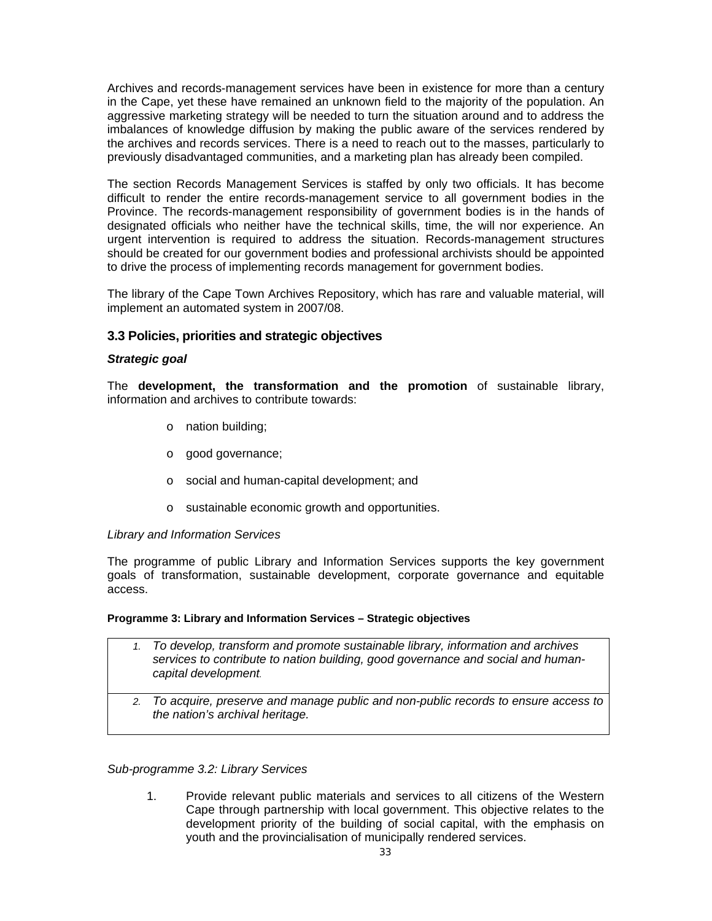Archives and records-management services have been in existence for more than a century in the Cape, yet these have remained an unknown field to the majority of the population. An aggressive marketing strategy will be needed to turn the situation around and to address the imbalances of knowledge diffusion by making the public aware of the services rendered by the archives and records services. There is a need to reach out to the masses, particularly to previously disadvantaged communities, and a marketing plan has already been compiled.

The section Records Management Services is staffed by only two officials. It has become difficult to render the entire records-management service to all government bodies in the Province. The records-management responsibility of government bodies is in the hands of designated officials who neither have the technical skills, time, the will nor experience. An urgent intervention is required to address the situation. Records-management structures should be created for our government bodies and professional archivists should be appointed to drive the process of implementing records management for government bodies.

The library of the Cape Town Archives Repository, which has rare and valuable material, will implement an automated system in 2007/08.

# **3.3 Policies, priorities and strategic objectives**

# *Strategic goal*

The **development, the transformation and the promotion** of sustainable library, information and archives to contribute towards:

- o nation building;
- o good governance;
- o social and human-capital development; and
- o sustainable economic growth and opportunities.

#### *Library and Information Services*

The programme of public Library and Information Services supports the key government goals of transformation, sustainable development, corporate governance and equitable access.

#### **Programme 3: Library and Information Services – Strategic objectives**

- *1. To develop, transform and promote sustainable library, information and archives services to contribute to nation building, good governance and social and humancapital development.*
	- *2. To acquire, preserve and manage public and non-public records to ensure access to the nation's archival heritage.*

#### *Sub-programme 3.2: Library Services*

1. Provide relevant public materials and services to all citizens of the Western Cape through partnership with local government. This objective relates to the development priority of the building of social capital, with the emphasis on youth and the provincialisation of municipally rendered services.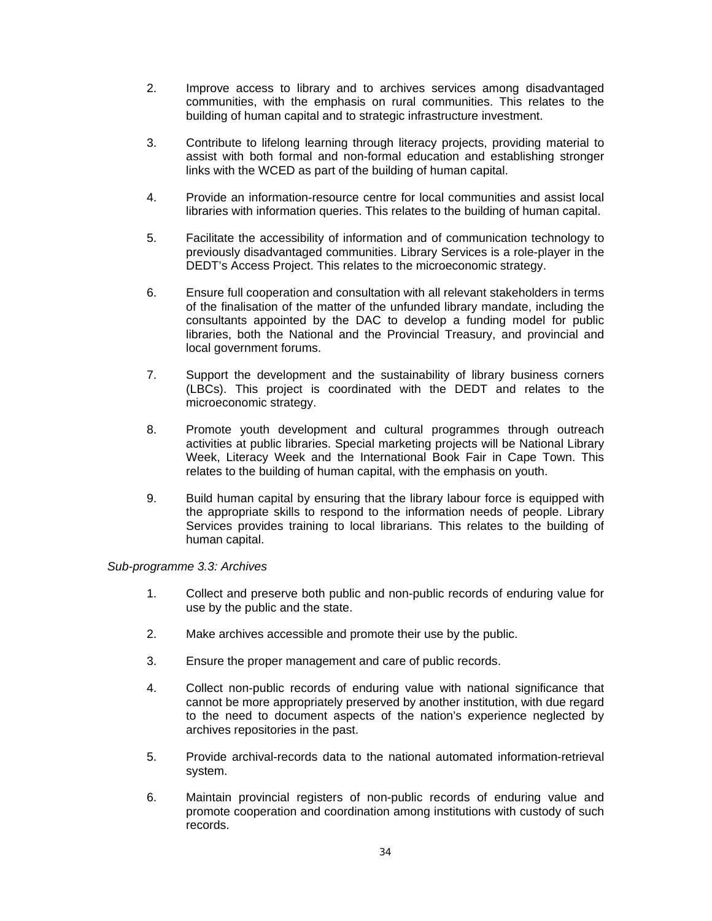- 2. Improve access to library and to archives services among disadvantaged communities, with the emphasis on rural communities. This relates to the building of human capital and to strategic infrastructure investment.
- 3. Contribute to lifelong learning through literacy projects, providing material to assist with both formal and non-formal education and establishing stronger links with the WCED as part of the building of human capital.
- 4. Provide an information-resource centre for local communities and assist local libraries with information queries. This relates to the building of human capital.
- 5. Facilitate the accessibility of information and of communication technology to previously disadvantaged communities. Library Services is a role-player in the DEDT's Access Project. This relates to the microeconomic strategy.
- 6. Ensure full cooperation and consultation with all relevant stakeholders in terms of the finalisation of the matter of the unfunded library mandate, including the consultants appointed by the DAC to develop a funding model for public libraries, both the National and the Provincial Treasury, and provincial and local government forums.
- 7. Support the development and the sustainability of library business corners (LBCs). This project is coordinated with the DEDT and relates to the microeconomic strategy.
- 8. Promote youth development and cultural programmes through outreach activities at public libraries. Special marketing projects will be National Library Week, Literacy Week and the International Book Fair in Cape Town. This relates to the building of human capital, with the emphasis on youth.
- 9. Build human capital by ensuring that the library labour force is equipped with the appropriate skills to respond to the information needs of people. Library Services provides training to local librarians. This relates to the building of human capital.

#### *Sub-programme 3.3: Archives*

- 1. Collect and preserve both public and non-public records of enduring value for use by the public and the state.
- 2. Make archives accessible and promote their use by the public.
- 3. Ensure the proper management and care of public records.
- 4. Collect non-public records of enduring value with national significance that cannot be more appropriately preserved by another institution, with due regard to the need to document aspects of the nation's experience neglected by archives repositories in the past.
- 5. Provide archival-records data to the national automated information-retrieval system.
- 6. Maintain provincial registers of non-public records of enduring value and promote cooperation and coordination among institutions with custody of such records.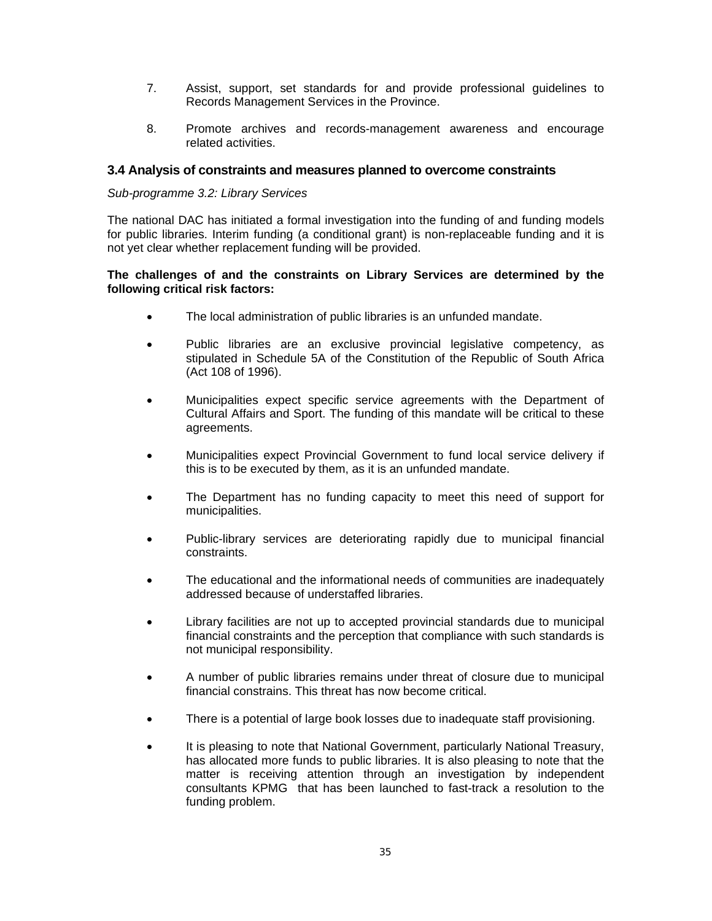- 7. Assist, support, set standards for and provide professional guidelines to Records Management Services in the Province.
- 8. Promote archives and records-management awareness and encourage related activities.

## **3.4 Analysis of constraints and measures planned to overcome constraints**

#### *Sub-programme 3.2: Library Services*

The national DAC has initiated a formal investigation into the funding of and funding models for public libraries. Interim funding (a conditional grant) is non-replaceable funding and it is not yet clear whether replacement funding will be provided.

### **The challenges of and the constraints on Library Services are determined by the following critical risk factors:**

- The local administration of public libraries is an unfunded mandate.
- Public libraries are an exclusive provincial legislative competency, as stipulated in Schedule 5A of the Constitution of the Republic of South Africa (Act 108 of 1996).
- Municipalities expect specific service agreements with the Department of Cultural Affairs and Sport. The funding of this mandate will be critical to these agreements.
- Municipalities expect Provincial Government to fund local service delivery if this is to be executed by them, as it is an unfunded mandate.
- The Department has no funding capacity to meet this need of support for municipalities.
- Public-library services are deteriorating rapidly due to municipal financial constraints.
- The educational and the informational needs of communities are inadequately addressed because of understaffed libraries.
- Library facilities are not up to accepted provincial standards due to municipal financial constraints and the perception that compliance with such standards is not municipal responsibility.
- A number of public libraries remains under threat of closure due to municipal financial constrains. This threat has now become critical.
- There is a potential of large book losses due to inadequate staff provisioning.
- It is pleasing to note that National Government, particularly National Treasury, has allocated more funds to public libraries. It is also pleasing to note that the matter is receiving attention through an investigation by independent consultants KPMG that has been launched to fast-track a resolution to the funding problem.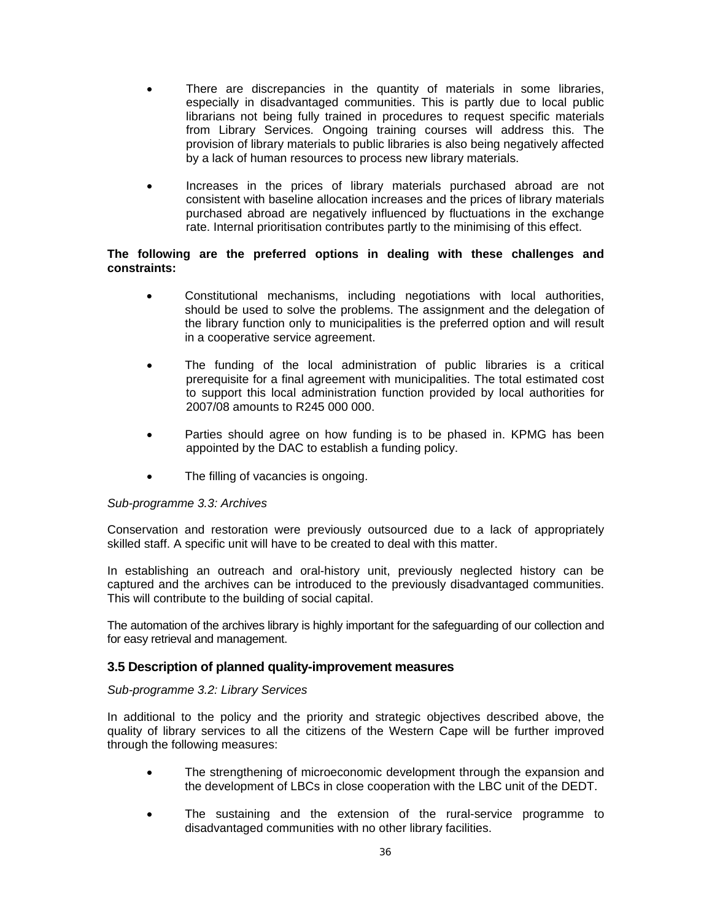- There are discrepancies in the quantity of materials in some libraries, especially in disadvantaged communities. This is partly due to local public librarians not being fully trained in procedures to request specific materials from Library Services. Ongoing training courses will address this. The provision of library materials to public libraries is also being negatively affected by a lack of human resources to process new library materials.
- Increases in the prices of library materials purchased abroad are not consistent with baseline allocation increases and the prices of library materials purchased abroad are negatively influenced by fluctuations in the exchange rate. Internal prioritisation contributes partly to the minimising of this effect.

## **The following are the preferred options in dealing with these challenges and constraints:**

- Constitutional mechanisms, including negotiations with local authorities, should be used to solve the problems. The assignment and the delegation of the library function only to municipalities is the preferred option and will result in a cooperative service agreement.
- The funding of the local administration of public libraries is a critical prerequisite for a final agreement with municipalities. The total estimated cost to support this local administration function provided by local authorities for 2007/08 amounts to R245 000 000.
- Parties should agree on how funding is to be phased in. KPMG has been appointed by the DAC to establish a funding policy.
- The filling of vacancies is ongoing.

#### *Sub-programme 3.3: Archives*

Conservation and restoration were previously outsourced due to a lack of appropriately skilled staff. A specific unit will have to be created to deal with this matter.

In establishing an outreach and oral-history unit, previously neglected history can be captured and the archives can be introduced to the previously disadvantaged communities. This will contribute to the building of social capital.

The automation of the archives library is highly important for the safeguarding of our collection and for easy retrieval and management.

#### **3.5 Description of planned quality-improvement measures**

#### *Sub-programme 3.2: Library Services*

In additional to the policy and the priority and strategic objectives described above, the quality of library services to all the citizens of the Western Cape will be further improved through the following measures:

- The strengthening of microeconomic development through the expansion and the development of LBCs in close cooperation with the LBC unit of the DEDT.
- The sustaining and the extension of the rural-service programme to disadvantaged communities with no other library facilities.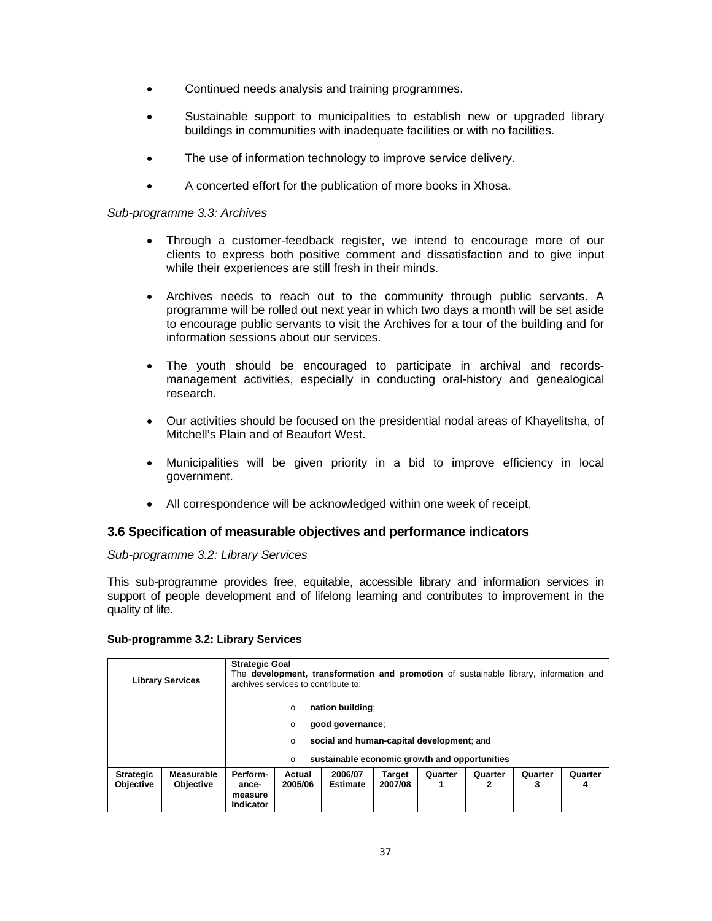- Continued needs analysis and training programmes.
- Sustainable support to municipalities to establish new or upgraded library buildings in communities with inadequate facilities or with no facilities.
- The use of information technology to improve service delivery.
- A concerted effort for the publication of more books in Xhosa.

#### *Sub-programme 3.3: Archives*

- Through a customer-feedback register, we intend to encourage more of our clients to express both positive comment and dissatisfaction and to give input while their experiences are still fresh in their minds.
- Archives needs to reach out to the community through public servants. A programme will be rolled out next year in which two days a month will be set aside to encourage public servants to visit the Archives for a tour of the building and for information sessions about our services.
- The youth should be encouraged to participate in archival and recordsmanagement activities, especially in conducting oral-history and genealogical research.
- Our activities should be focused on the presidential nodal areas of Khayelitsha, of Mitchell's Plain and of Beaufort West.
- Municipalities will be given priority in a bid to improve efficiency in local government.
- All correspondence will be acknowledged within one week of receipt.

# **3.6 Specification of measurable objectives and performance indicators**

#### *Sub-programme 3.2: Library Services*

This sub-programme provides free, equitable, accessible library and information services in support of people development and of lifelong learning and contributes to improvement in the quality of life.

#### **Sub-programme 3.2: Library Services**

|                                      | <b>Library Services</b>        | <b>Strategic Goal</b>                            | archives services to contribute to: | The <b>development, transformation and promotion</b> of sustainable library, information and                                       |                          |              |              |              |              |
|--------------------------------------|--------------------------------|--------------------------------------------------|-------------------------------------|------------------------------------------------------------------------------------------------------------------------------------|--------------------------|--------------|--------------|--------------|--------------|
|                                      |                                |                                                  | $\circ$<br>$\circ$<br>O<br>$\circ$  | nation building:<br>good governance:<br>social and human-capital development; and<br>sustainable economic growth and opportunities |                          |              |              |              |              |
| <b>Strategic</b><br><b>Objective</b> | Measurable<br><b>Objective</b> | Perform-<br>ance-<br>measure<br><b>Indicator</b> | Actual<br>2005/06                   | 2006/07<br><b>Estimate</b>                                                                                                         | <b>Target</b><br>2007/08 | Quarter<br>1 | Quarter<br>2 | Quarter<br>3 | Quarter<br>4 |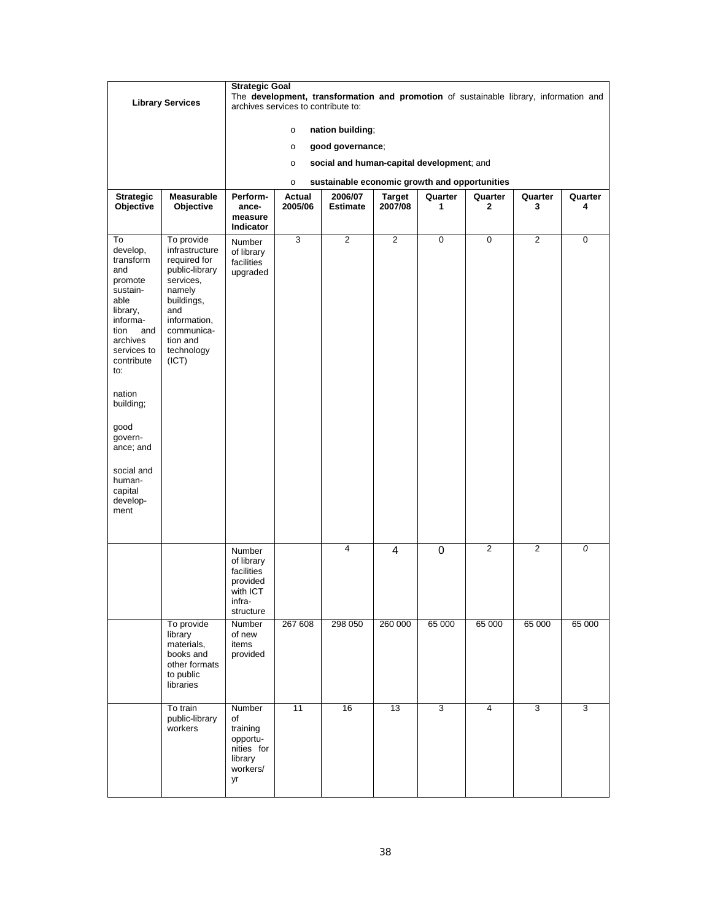|                                                                                                                                                                                                                               |                                                                                                                                                                             | <b>Strategic Goal</b>                                                                                                        |                   |                                               |                          |              |                         |              |              |  |  |
|-------------------------------------------------------------------------------------------------------------------------------------------------------------------------------------------------------------------------------|-----------------------------------------------------------------------------------------------------------------------------------------------------------------------------|------------------------------------------------------------------------------------------------------------------------------|-------------------|-----------------------------------------------|--------------------------|--------------|-------------------------|--------------|--------------|--|--|
|                                                                                                                                                                                                                               | <b>Library Services</b>                                                                                                                                                     | The development, transformation and promotion of sustainable library, information and<br>archives services to contribute to: |                   |                                               |                          |              |                         |              |              |  |  |
|                                                                                                                                                                                                                               |                                                                                                                                                                             |                                                                                                                              | $\circ$           | nation building;                              |                          |              |                         |              |              |  |  |
|                                                                                                                                                                                                                               |                                                                                                                                                                             |                                                                                                                              | $\circ$           | good governance;                              |                          |              |                         |              |              |  |  |
|                                                                                                                                                                                                                               |                                                                                                                                                                             |                                                                                                                              | $\circ$           | social and human-capital development; and     |                          |              |                         |              |              |  |  |
|                                                                                                                                                                                                                               |                                                                                                                                                                             |                                                                                                                              | $\circ$           | sustainable economic growth and opportunities |                          |              |                         |              |              |  |  |
| <b>Strategic</b><br>Objective                                                                                                                                                                                                 | <b>Measurable</b><br>Objective                                                                                                                                              | Perform-<br>ance-                                                                                                            | Actual<br>2005/06 | 2006/07<br><b>Estimate</b>                    | <b>Target</b><br>2007/08 | Quarter<br>1 | Quarter<br>$\mathbf{2}$ | Quarter<br>3 | Quarter<br>4 |  |  |
|                                                                                                                                                                                                                               |                                                                                                                                                                             | measure<br>Indicator                                                                                                         |                   |                                               |                          |              |                         |              |              |  |  |
| To<br>develop,<br>transform<br>and<br>promote<br>sustain-<br>able<br>library,<br>informa-<br>tion<br>and<br>archives<br>services to<br>contribute<br>to:<br>nation<br>building;<br>good<br>govern-<br>ance; and<br>social and | To provide<br>infrastructure<br>required for<br>public-library<br>services,<br>namely<br>buildings,<br>and<br>information,<br>communica-<br>tion and<br>technology<br>(ICT) | Number<br>of library<br>facilities<br>upgraded                                                                               | 3                 | 2                                             | 2                        | $\mathbf 0$  | $\mathbf 0$             | 2            | $\mathbf 0$  |  |  |
| human-<br>capital<br>develop-<br>ment                                                                                                                                                                                         |                                                                                                                                                                             |                                                                                                                              |                   |                                               |                          |              |                         |              |              |  |  |
|                                                                                                                                                                                                                               |                                                                                                                                                                             | Number<br>of library<br>facilities<br>provided<br>with ICT<br>infra-<br>structure                                            |                   | 4                                             | $\overline{\mathbf{4}}$  | 0            | $\overline{2}$          | 2            | 0            |  |  |
|                                                                                                                                                                                                                               | To provide<br>library<br>materials,<br>books and<br>other formats<br>to public<br>libraries                                                                                 | Number<br>of new<br>items<br>provided                                                                                        | 267 608           | 298 050                                       | 260 000                  | 65 000       | 65 000                  | 65 000       | 65 000       |  |  |
|                                                                                                                                                                                                                               | To train<br>public-library<br>workers                                                                                                                                       | Number<br>of<br>training<br>opportu-<br>nities for<br>library<br>workers/<br>yr                                              | 11                | 16                                            | 13                       | 3            | $\overline{4}$          | 3            | 3            |  |  |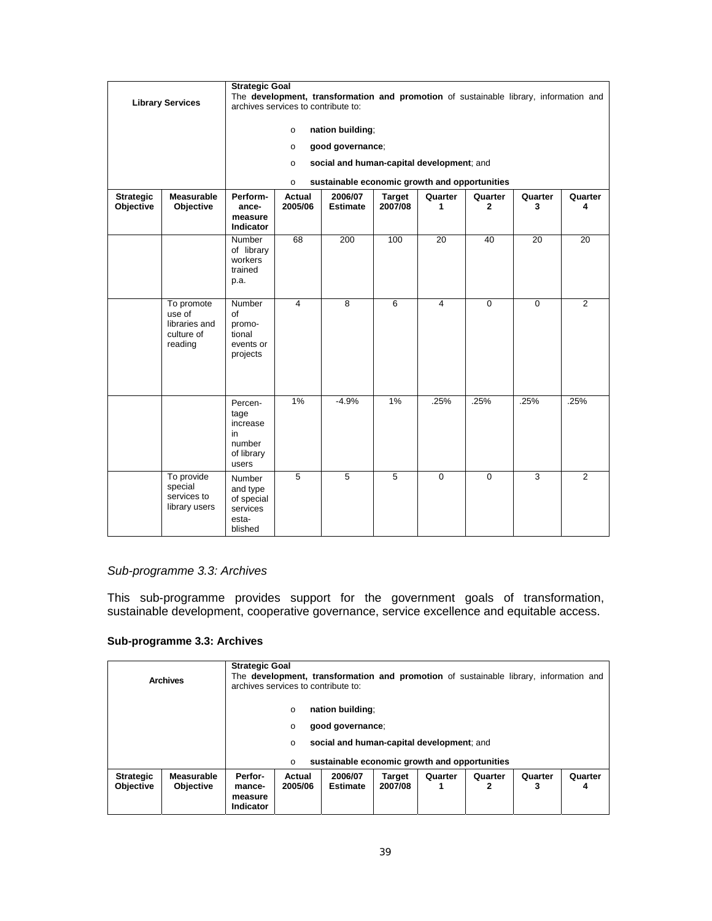|                               | <b>Library Services</b>                                        | <b>Strategic Goal</b><br>The development, transformation and promotion of sustainable library, information and<br>archives services to contribute to:<br>nation building;<br>$\circ$<br>good governance;<br>$\circ$<br>social and human-capital development; and<br>$\circ$ |                                                                                                                                        |                                               |                |                |                |                |                |  |  |  |
|-------------------------------|----------------------------------------------------------------|-----------------------------------------------------------------------------------------------------------------------------------------------------------------------------------------------------------------------------------------------------------------------------|----------------------------------------------------------------------------------------------------------------------------------------|-----------------------------------------------|----------------|----------------|----------------|----------------|----------------|--|--|--|
|                               |                                                                |                                                                                                                                                                                                                                                                             | $\circ$                                                                                                                                | sustainable economic growth and opportunities |                |                |                |                |                |  |  |  |
| <b>Strategic</b><br>Objective | <b>Measurable</b><br>Objective                                 | Perform-<br>ance-<br>measure<br><b>Indicator</b>                                                                                                                                                                                                                            | 2006/07<br>Actual<br><b>Target</b><br>Quarter<br>Quarter<br>Quarter<br>2005/06<br>2007/08<br><b>Estimate</b><br>1<br>$\mathbf{2}$<br>3 |                                               |                |                |                |                |                |  |  |  |
|                               |                                                                | Number<br>of library<br>workers<br>trained<br>p.a.                                                                                                                                                                                                                          | 68                                                                                                                                     | 200                                           | 100            | 20             | 40             | 20             | 20             |  |  |  |
|                               | To promote<br>use of<br>libraries and<br>culture of<br>reading | Number<br>of<br>promo-<br>tional<br>events or<br>projects                                                                                                                                                                                                                   | $\overline{4}$                                                                                                                         | 8                                             | 6              | 4              | $\overline{0}$ | $\Omega$       | $\overline{2}$ |  |  |  |
|                               |                                                                | Percen-<br>tage<br>increase<br>in<br>number<br>of library<br>users                                                                                                                                                                                                          | 1%                                                                                                                                     | $-4.9%$                                       | 1%             | .25%           | .25%           | .25%           | .25%           |  |  |  |
|                               | To provide<br>special<br>services to<br>library users          | Number<br>and type<br>of special<br>services<br>esta-<br>blished                                                                                                                                                                                                            | $\overline{5}$                                                                                                                         | $\overline{5}$                                | $\overline{5}$ | $\overline{0}$ | $\overline{0}$ | $\overline{3}$ | $\overline{2}$ |  |  |  |

## *Sub-programme 3.3: Archives*

This sub-programme provides support for the government goals of transformation, sustainable development, cooperative governance, service excellence and equitable access.

## **Sub-programme 3.3: Archives**

|                                                                                                                     | <b>Archives</b> | <b>Strategic Goal</b> | archives services to contribute to:                    | The development, transformation and promotion of sustainable library, information and |                                                                                            |              |              |              |              |
|---------------------------------------------------------------------------------------------------------------------|-----------------|-----------------------|--------------------------------------------------------|---------------------------------------------------------------------------------------|--------------------------------------------------------------------------------------------|--------------|--------------|--------------|--------------|
|                                                                                                                     |                 |                       | nation building:<br>$\circ$<br>O<br>$\circ$<br>$\circ$ | good governance;                                                                      | social and human-capital development; and<br>sustainable economic growth and opportunities |              |              |              |              |
| Perfor-<br>Measurable<br><b>Strategic</b><br><b>Objective</b><br><b>Objective</b><br>mance-<br>measure<br>Indicator |                 |                       | Actual<br>2005/06                                      | 2006/07<br><b>Estimate</b>                                                            | <b>Target</b><br>2007/08                                                                   | Quarter<br>1 | Quarter<br>2 | Quarter<br>3 | Quarter<br>4 |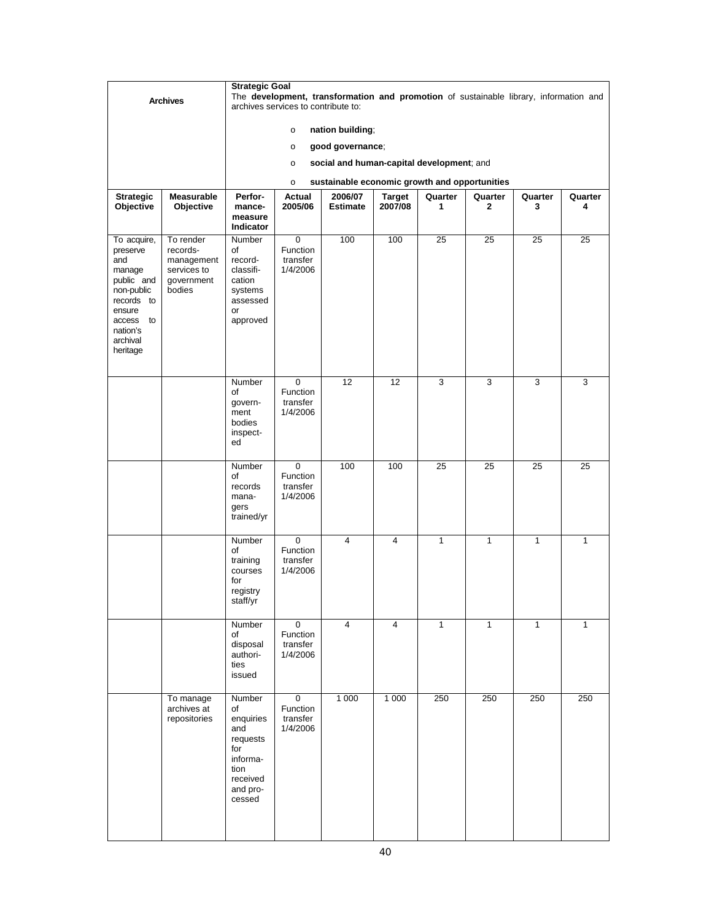|                                                                     |                                                               | <b>Strategic Goal</b>                                                                                     |                                                 |                                                                                       |                          |              |                         |              |              |
|---------------------------------------------------------------------|---------------------------------------------------------------|-----------------------------------------------------------------------------------------------------------|-------------------------------------------------|---------------------------------------------------------------------------------------|--------------------------|--------------|-------------------------|--------------|--------------|
|                                                                     | <b>Archives</b>                                               |                                                                                                           | archives services to contribute to:             | The development, transformation and promotion of sustainable library, information and |                          |              |                         |              |              |
|                                                                     |                                                               |                                                                                                           | $\circ$                                         | nation building;                                                                      |                          |              |                         |              |              |
|                                                                     |                                                               |                                                                                                           | $\circ$                                         | good governance;                                                                      |                          |              |                         |              |              |
|                                                                     |                                                               |                                                                                                           | $\circ$                                         | social and human-capital development; and                                             |                          |              |                         |              |              |
|                                                                     |                                                               |                                                                                                           | $\circ$                                         | sustainable economic growth and opportunities                                         |                          |              |                         |              |              |
| <b>Strategic</b><br>Objective                                       | <b>Measurable</b><br>Objective                                | Perfor-<br>mance-                                                                                         | Actual<br>2005/06                               | 2006/07<br><b>Estimate</b>                                                            | <b>Target</b><br>2007/08 | Quarter<br>1 | Quarter<br>$\mathbf{2}$ | Quarter<br>3 | Quarter<br>4 |
|                                                                     |                                                               | measure<br><b>Indicator</b>                                                                               |                                                 |                                                                                       |                          |              |                         |              |              |
| To acquire,                                                         | To render                                                     | Number                                                                                                    | 0                                               | 100                                                                                   | 100                      | 25           | 25                      | 25           | 25           |
| preserve<br>and<br>manage<br>public and<br>non-public<br>records to | records-<br>management<br>services to<br>government<br>bodies | of<br>record-<br>classifi-<br>cation<br>systems<br>assessed                                               | Function<br>transfer<br>1/4/2006                |                                                                                       |                          |              |                         |              |              |
| ensure<br>to<br>access<br>nation's<br>archival<br>heritage          |                                                               | or<br>approved                                                                                            |                                                 |                                                                                       |                          |              |                         |              |              |
|                                                                     |                                                               | Number<br>of<br>govern-<br>ment<br>bodies<br>inspect-                                                     | 0<br>Function<br>transfer<br>1/4/2006           | 12                                                                                    | 12                       | 3            | 3                       | 3            | 3            |
|                                                                     |                                                               | ed                                                                                                        |                                                 |                                                                                       |                          |              |                         |              |              |
|                                                                     |                                                               | Number<br>of<br>records<br>mana-<br>gers<br>trained/yr                                                    | 0<br>Function<br>transfer<br>1/4/2006           | 100                                                                                   | 100                      | 25           | 25                      | 25           | 25           |
|                                                                     |                                                               | Number<br>of<br>training<br>courses<br>for<br>registry<br>staff/yr                                        | 0<br>Function<br>transfer<br>1/4/2006           | 4                                                                                     | 4                        | $\mathbf{1}$ | $\mathbf{1}$            | $\mathbf{1}$ | 1            |
|                                                                     |                                                               | Number<br>of<br>disposal<br>authori-<br>ties<br>issued                                                    | $\mathbf 0$<br>Function<br>transfer<br>1/4/2006 | $\overline{4}$                                                                        | 4                        | $\mathbf{1}$ | $\mathbf{1}$            | $\mathbf{1}$ | $\mathbf{1}$ |
|                                                                     | To manage<br>archives at<br>repositories                      | Number<br>of<br>enquiries<br>and<br>requests<br>for<br>informa-<br>tion<br>received<br>and pro-<br>cessed | $\pmb{0}$<br>Function<br>transfer<br>1/4/2006   | 1 0 0 0                                                                               | 1 0 0 0                  | 250          | 250                     | 250          | 250          |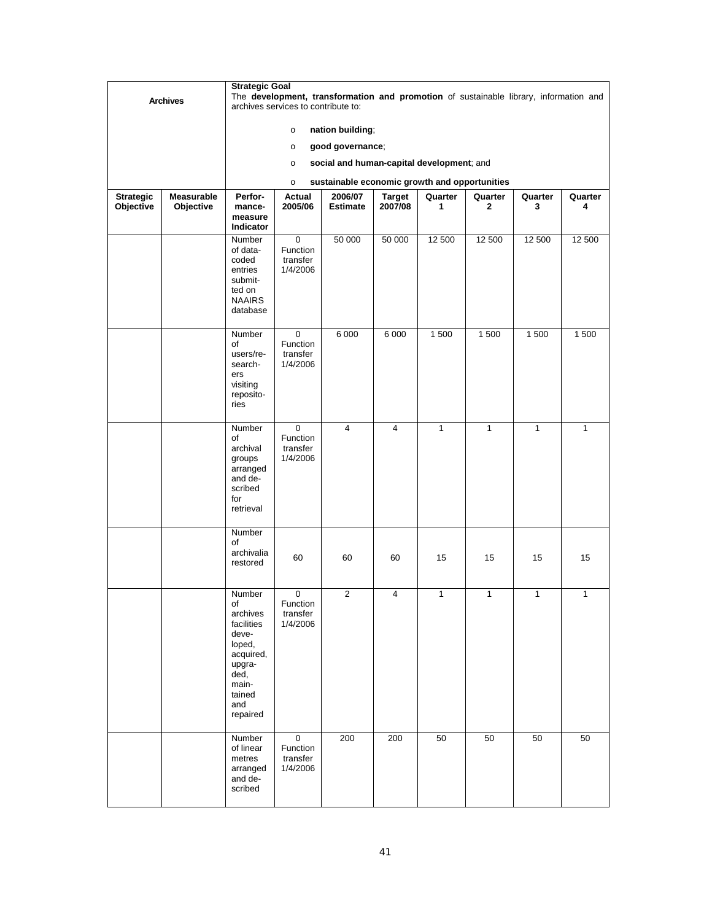|                  |                   |                                                                                                                                | <b>Strategic Goal</b><br>The development, transformation and promotion of sustainable library, information and |                                               |               |              |              |              |         |  |  |
|------------------|-------------------|--------------------------------------------------------------------------------------------------------------------------------|----------------------------------------------------------------------------------------------------------------|-----------------------------------------------|---------------|--------------|--------------|--------------|---------|--|--|
|                  | <b>Archives</b>   |                                                                                                                                | archives services to contribute to:                                                                            |                                               |               |              |              |              |         |  |  |
|                  |                   |                                                                                                                                | $\circ$                                                                                                        | nation building;                              |               |              |              |              |         |  |  |
|                  |                   |                                                                                                                                | $\circ$                                                                                                        | good governance;                              |               |              |              |              |         |  |  |
|                  |                   |                                                                                                                                | $\circ$                                                                                                        | social and human-capital development; and     |               |              |              |              |         |  |  |
|                  |                   |                                                                                                                                | $\circ$                                                                                                        | sustainable economic growth and opportunities |               |              |              |              |         |  |  |
| <b>Strategic</b> | <b>Measurable</b> | Perfor-                                                                                                                        | Actual                                                                                                         | 2006/07                                       | <b>Target</b> | Quarter      | Quarter      | Quarter      | Quarter |  |  |
| Objective        | Objective         | mance-<br>measure<br>Indicator                                                                                                 | 2005/06                                                                                                        | <b>Estimate</b>                               | 2007/08       | 1            | 2            | 3            | 4       |  |  |
|                  |                   | Number<br>of data-<br>coded<br>entries<br>submit-<br>ted on<br><b>NAAIRS</b><br>database                                       | $\overline{0}$<br>Function<br>transfer<br>1/4/2006                                                             | 50 000                                        | 50 000        | 12 500       | 12 500       | 12 500       | 12 500  |  |  |
|                  |                   | Number<br>of<br>users/re-<br>search-<br>ers<br>visiting<br>reposito-<br>ries                                                   | 0<br>Function<br>transfer<br>1/4/2006                                                                          | 6 0 0 0                                       | 6 0 0 0       | 1500         | 1500         | 1 500        | 1 500   |  |  |
|                  |                   | Number<br>of<br>archival<br>groups<br>arranged<br>and de-<br>scribed<br>for<br>retrieval                                       | $\mathbf 0$<br>Function<br>transfer<br>1/4/2006                                                                | 4                                             | 4             | $\mathbf{1}$ | 1            | 1            | 1       |  |  |
|                  |                   | Number<br>οf<br>archivalia<br>restored                                                                                         | 60                                                                                                             | 60                                            | 60            | 15           | 15           | 15           | 15      |  |  |
|                  |                   | Number<br>οf<br>archives<br>facilities<br>deve-<br>loped,<br>acquired,<br>upgra-<br>ded,<br>main-<br>tained<br>and<br>repaired | 0<br>Function<br>transfer<br>1/4/2006                                                                          | 2                                             | 4             | $\mathbf{1}$ | $\mathbf{1}$ | $\mathbf{1}$ | 1       |  |  |
|                  |                   | Number<br>of linear<br>metres<br>arranged<br>and de-<br>scribed                                                                | $\pmb{0}$<br>Function<br>transfer<br>1/4/2006                                                                  | 200                                           | 200           | 50           | 50           | 50           | 50      |  |  |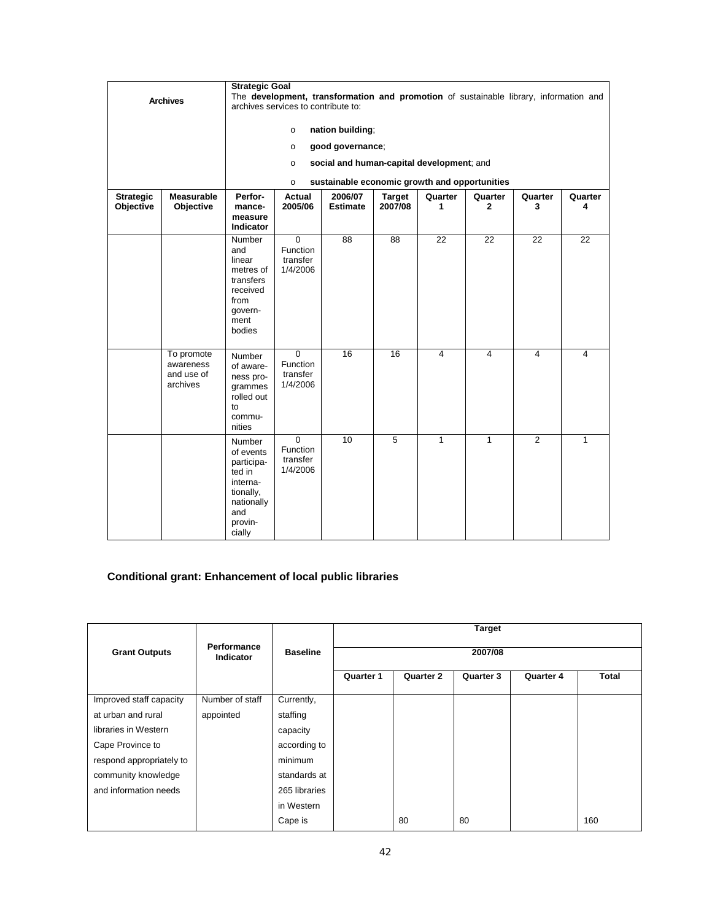|                               | <b>Archives</b>                                   | <b>Strategic Goal</b><br>The development, transformation and promotion of sustainable library, information and<br>archives services to contribute to:<br>nation building;<br>$\circ$<br>good governance;<br>$\circ$<br>social and human-capital development; and<br>$\circ$<br>sustainable economic growth and opportunities<br>$\circ$ |                                                           |                            |                          |                 |                         |                 |                 |
|-------------------------------|---------------------------------------------------|-----------------------------------------------------------------------------------------------------------------------------------------------------------------------------------------------------------------------------------------------------------------------------------------------------------------------------------------|-----------------------------------------------------------|----------------------------|--------------------------|-----------------|-------------------------|-----------------|-----------------|
| <b>Strategic</b><br>Objective | <b>Measurable</b><br>Objective                    | Perfor-<br>mance-<br>measure<br>Indicator                                                                                                                                                                                                                                                                                               | Actual<br>2005/06                                         | 2006/07<br><b>Estimate</b> | <b>Target</b><br>2007/08 | Quarter<br>1    | Quarter<br>$\mathbf{2}$ | Quarter<br>3    | Quarter<br>4    |
|                               |                                                   | Number<br>and<br>linear<br>metres of<br>transfers<br>received<br>from<br>govern-<br>ment<br>bodies                                                                                                                                                                                                                                      | $\overline{0}$<br>Function<br>transfer<br>1/4/2006        | 88                         | $\overline{88}$          | $\overline{22}$ | $\overline{22}$         | $\overline{22}$ | $\overline{22}$ |
|                               | To promote<br>awareness<br>and use of<br>archives | Number<br>of aware-<br>ness pro-<br>grammes<br>rolled out<br>to<br>commu-<br>nities                                                                                                                                                                                                                                                     | $\overline{0}$<br><b>Function</b><br>transfer<br>1/4/2006 | 16                         | 16                       | $\overline{4}$  | 4                       | 4               | 4               |
|                               |                                                   | Number<br>of events<br>participa-<br>ted in<br>interna-<br>tionally,<br>nationally<br>and<br>provin-<br>cially                                                                                                                                                                                                                          | $\Omega$<br>Function<br>transfer<br>1/4/2006              | 10                         | 5                        | $\mathbf{1}$    | $\mathbf{1}$            | $\overline{2}$  | 1               |

# **Conditional grant: Enhancement of local public libraries**

|                          |                                 |                 | <b>Target</b> |                  |           |                  |              |  |  |  |
|--------------------------|---------------------------------|-----------------|---------------|------------------|-----------|------------------|--------------|--|--|--|
| <b>Grant Outputs</b>     | <b>Performance</b><br>Indicator | <b>Baseline</b> | 2007/08       |                  |           |                  |              |  |  |  |
|                          |                                 |                 | Quarter 1     | <b>Quarter 2</b> | Quarter 3 | <b>Quarter 4</b> | <b>Total</b> |  |  |  |
| Improved staff capacity  | Number of staff                 | Currently,      |               |                  |           |                  |              |  |  |  |
| at urban and rural       | appointed                       | staffing        |               |                  |           |                  |              |  |  |  |
| libraries in Western     |                                 | capacity        |               |                  |           |                  |              |  |  |  |
| Cape Province to         |                                 | according to    |               |                  |           |                  |              |  |  |  |
| respond appropriately to |                                 | minimum         |               |                  |           |                  |              |  |  |  |
| community knowledge      |                                 | standards at    |               |                  |           |                  |              |  |  |  |
| and information needs    |                                 | 265 libraries   |               |                  |           |                  |              |  |  |  |
|                          |                                 | in Western      |               |                  |           |                  |              |  |  |  |
|                          |                                 | Cape is         |               | 80               | 80        |                  | 160          |  |  |  |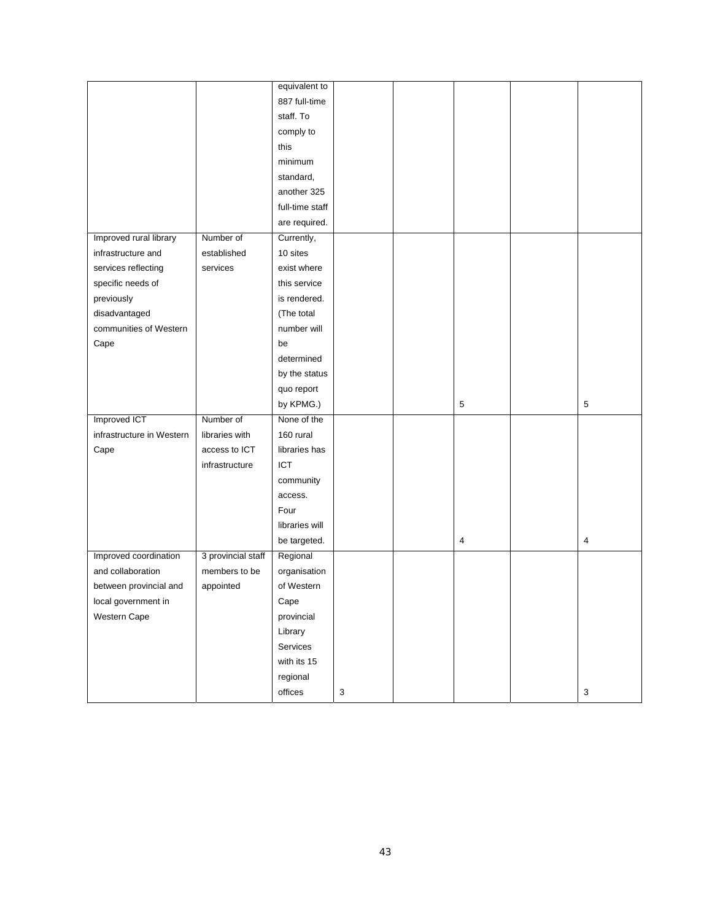|                           |                    | equivalent to   |                           |   |                           |
|---------------------------|--------------------|-----------------|---------------------------|---|---------------------------|
|                           |                    | 887 full-time   |                           |   |                           |
|                           |                    | staff. To       |                           |   |                           |
|                           |                    | comply to       |                           |   |                           |
|                           |                    | this            |                           |   |                           |
|                           |                    | minimum         |                           |   |                           |
|                           |                    | standard,       |                           |   |                           |
|                           |                    | another 325     |                           |   |                           |
|                           |                    | full-time staff |                           |   |                           |
|                           |                    | are required.   |                           |   |                           |
| Improved rural library    | Number of          | Currently,      |                           |   |                           |
| infrastructure and        | established        | 10 sites        |                           |   |                           |
| services reflecting       | services           | exist where     |                           |   |                           |
| specific needs of         |                    | this service    |                           |   |                           |
| previously                |                    | is rendered.    |                           |   |                           |
| disadvantaged             |                    | (The total      |                           |   |                           |
| communities of Western    |                    | number will     |                           |   |                           |
| Cape                      |                    | be              |                           |   |                           |
|                           |                    | determined      |                           |   |                           |
|                           |                    | by the status   |                           |   |                           |
|                           |                    | quo report      |                           |   |                           |
|                           |                    | by KPMG.)       |                           | 5 | $\sqrt{5}$                |
| Improved ICT              | Number of          | None of the     |                           |   |                           |
| infrastructure in Western | libraries with     | 160 rural       |                           |   |                           |
| Cape                      | access to ICT      | libraries has   |                           |   |                           |
|                           | infrastructure     | ICT             |                           |   |                           |
|                           |                    | community       |                           |   |                           |
|                           |                    | access.         |                           |   |                           |
|                           |                    | Four            |                           |   |                           |
|                           |                    | libraries will  |                           |   |                           |
|                           |                    | be targeted.    |                           | 4 | $\overline{4}$            |
| Improved coordination     | 3 provincial staff | Regional        |                           |   |                           |
| and collaboration         | members to be      | organisation    |                           |   |                           |
| between provincial and    | appointed          | of Western      |                           |   |                           |
| local government in       |                    | Cape            |                           |   |                           |
| Western Cape              |                    | provincial      |                           |   |                           |
|                           |                    | Library         |                           |   |                           |
|                           |                    | Services        |                           |   |                           |
|                           |                    | with its 15     |                           |   |                           |
|                           |                    | regional        |                           |   |                           |
|                           |                    | offices         | $\ensuremath{\mathsf{3}}$ |   | $\ensuremath{\mathsf{3}}$ |
|                           |                    |                 |                           |   |                           |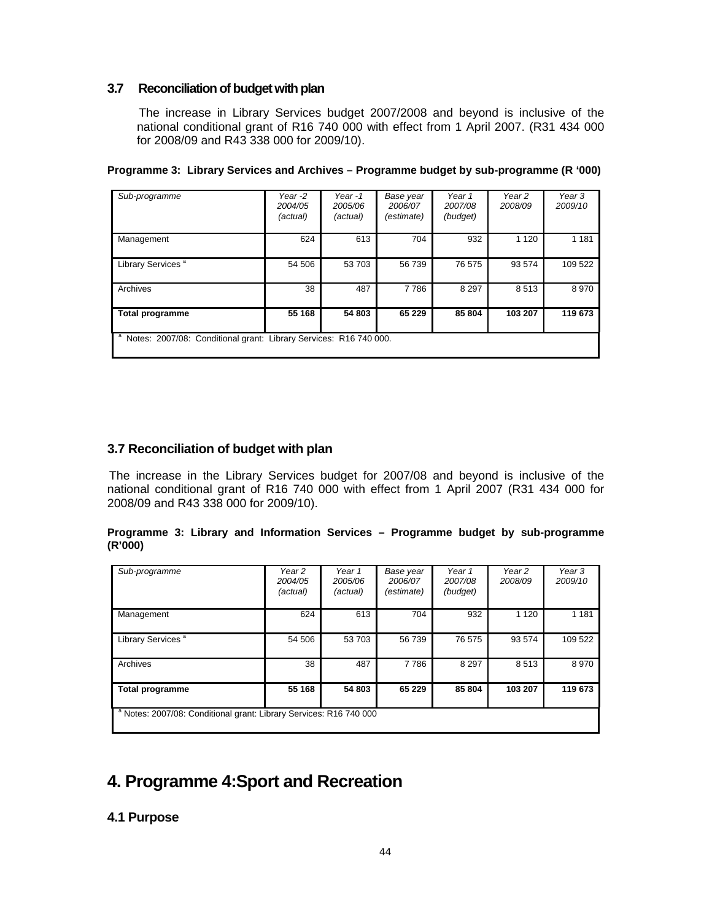# **3.7 Reconciliation of budget with plan**

The increase in Library Services budget 2007/2008 and beyond is inclusive of the national conditional grant of R16 740 000 with effect from 1 April 2007. (R31 434 000 for 2008/09 and R43 338 000 for 2009/10).

| Sub-programme                                                     | Year -2<br>2004/05<br>(actual) | Year-1<br>2005/06<br>(actual) | Base year<br>2006/07<br>(estimate) | Year 1<br>2007/08<br>(budget) | Year 2<br>2008/09 | Year 3<br>2009/10 |  |  |  |
|-------------------------------------------------------------------|--------------------------------|-------------------------------|------------------------------------|-------------------------------|-------------------|-------------------|--|--|--|
| Management                                                        | 624                            | 613                           | 704                                | 932                           | 1 1 2 0           | 1 1 8 1           |  |  |  |
| Library Services <sup>a</sup>                                     | 54 506                         | 53 703                        | 56 739                             | 76 575                        | 93 574            | 109 522           |  |  |  |
| Archives                                                          | 38                             | 487                           | 7786                               | 8 2 9 7                       | 8513              | 8970              |  |  |  |
| <b>Total programme</b>                                            | 55 168                         | 54 803                        | 65 229                             | 85 804                        | 103 207           | 119 673           |  |  |  |
| Notes: 2007/08: Conditional grant: Library Services: R16 740 000. |                                |                               |                                    |                               |                   |                   |  |  |  |

#### **Programme 3: Library Services and Archives – Programme budget by sub-programme (R '000)**

# **3.7 Reconciliation of budget with plan**

The increase in the Library Services budget for 2007/08 and beyond is inclusive of the national conditional grant of R16 740 000 with effect from 1 April 2007 (R31 434 000 for 2008/09 and R43 338 000 for 2009/10).

## **Programme 3: Library and Information Services – Programme budget by sub-programme (R'000)**

| Sub-programme                                                                 | Year 2<br>2004/05<br>(actual) | Year 1<br>2005/06<br>(actual) | Base year<br>2006/07<br>(estimate) | Year 1<br>2007/08<br>(budget) | Year 2<br>2008/09 | Year 3<br>2009/10 |  |  |  |
|-------------------------------------------------------------------------------|-------------------------------|-------------------------------|------------------------------------|-------------------------------|-------------------|-------------------|--|--|--|
| Management                                                                    | 624                           | 613                           | 704                                | 932                           | 1 1 2 0           | 1 1 8 1           |  |  |  |
| Library Services <sup>a</sup>                                                 | 54 506                        | 53 703                        | 56 739                             | 76 575                        | 93 574            | 109 522           |  |  |  |
| Archives                                                                      | 38                            | 487                           | 7786                               | 8 2 9 7                       | 8513              | 8970              |  |  |  |
| <b>Total programme</b>                                                        | 55 168                        | 54 803                        | 65 229                             | 85 804                        | 103 207           | 119 673           |  |  |  |
| <sup>a</sup> Notes: 2007/08: Conditional grant: Library Services: R16 740 000 |                               |                               |                                    |                               |                   |                   |  |  |  |

# **4. Programme 4: Sport and Recreation**

# **4.1 Purpose**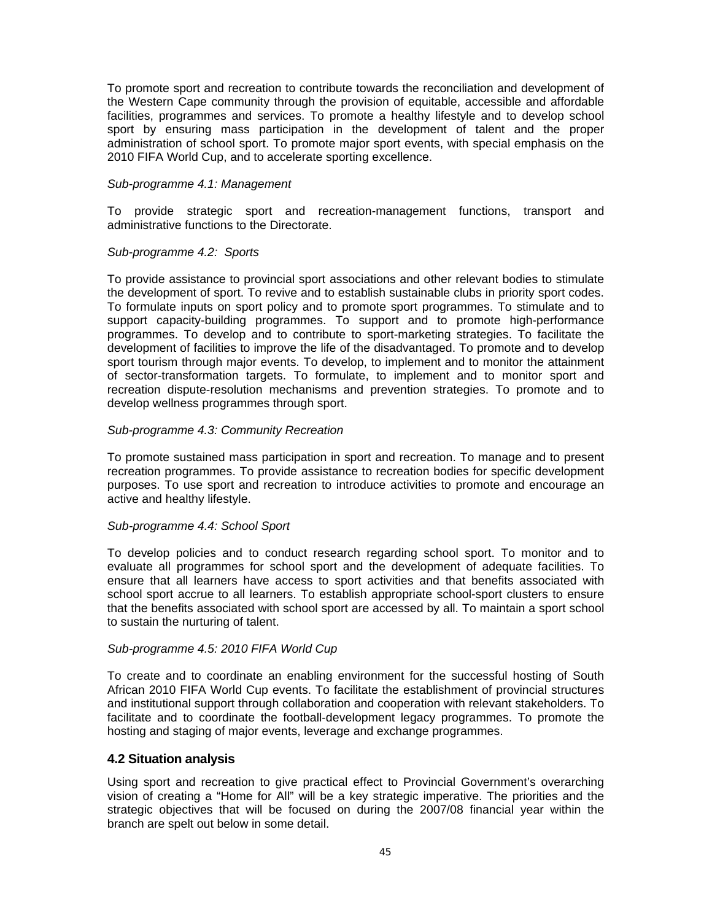To promote sport and recreation to contribute towards the reconciliation and development of the Western Cape community through the provision of equitable, accessible and affordable facilities, programmes and services. To promote a healthy lifestyle and to develop school sport by ensuring mass participation in the development of talent and the proper administration of school sport. To promote major sport events, with special emphasis on the 2010 FIFA World Cup, and to accelerate sporting excellence.

#### *Sub-programme 4.1: Management*

To provide strategic sport and recreation-management functions, transport and administrative functions to the Directorate.

#### *Sub-programme 4.2: Sports*

To provide assistance to provincial sport associations and other relevant bodies to stimulate the development of sport. To revive and to establish sustainable clubs in priority sport codes. To formulate inputs on sport policy and to promote sport programmes. To stimulate and to support capacity-building programmes. To support and to promote high-performance programmes. To develop and to contribute to sport-marketing strategies. To facilitate the development of facilities to improve the life of the disadvantaged. To promote and to develop sport tourism through major events. To develop, to implement and to monitor the attainment of sector-transformation targets. To formulate, to implement and to monitor sport and recreation dispute-resolution mechanisms and prevention strategies. To promote and to develop wellness programmes through sport.

#### *Sub-programme 4.3: Community Recreation*

To promote sustained mass participation in sport and recreation. To manage and to present recreation programmes. To provide assistance to recreation bodies for specific development purposes. To use sport and recreation to introduce activities to promote and encourage an active and healthy lifestyle.

#### *Sub-programme 4.4: School Sport*

To develop policies and to conduct research regarding school sport. To monitor and to evaluate all programmes for school sport and the development of adequate facilities. To ensure that all learners have access to sport activities and that benefits associated with school sport accrue to all learners. To establish appropriate school-sport clusters to ensure that the benefits associated with school sport are accessed by all. To maintain a sport school to sustain the nurturing of talent.

#### *Sub-programme 4.5: 2010 FIFA World Cup*

To create and to coordinate an enabling environment for the successful hosting of South African 2010 FIFA World Cup events. To facilitate the establishment of provincial structures and institutional support through collaboration and cooperation with relevant stakeholders. To facilitate and to coordinate the football-development legacy programmes. To promote the hosting and staging of major events, leverage and exchange programmes.

#### **4.2 Situation analysis**

Using sport and recreation to give practical effect to Provincial Government's overarching vision of creating a "Home for All" will be a key strategic imperative. The priorities and the strategic objectives that will be focused on during the 2007/08 financial year within the branch are spelt out below in some detail.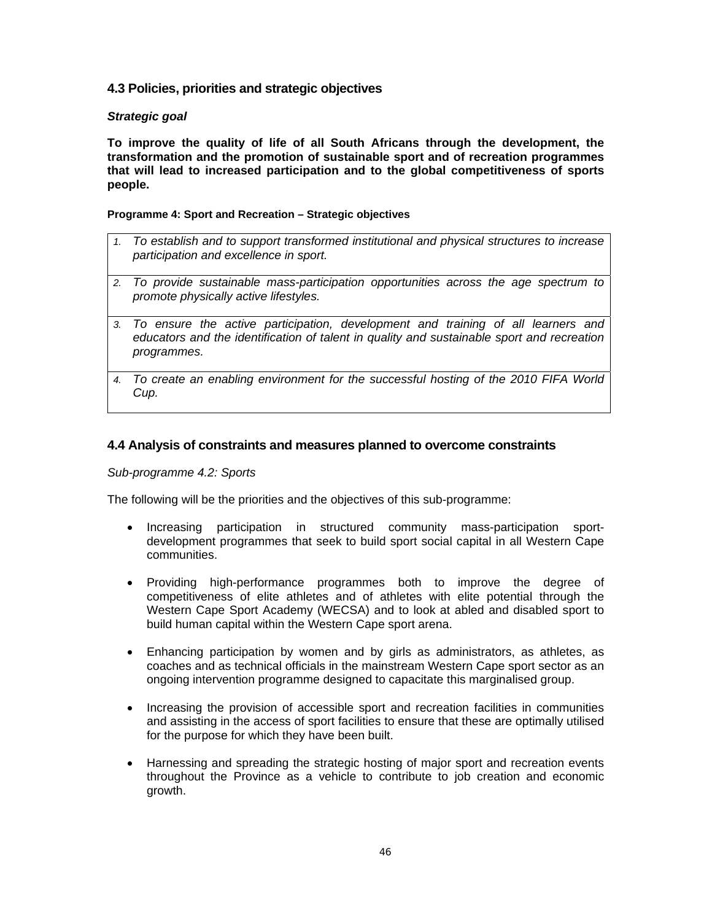# **4.3 Policies, priorities and strategic objectives**

## *Strategic goal*

**To improve the quality of life of all South Africans through the development, the transformation and the promotion of sustainable sport and of recreation programmes that will lead to increased participation and to the global competitiveness of sports people.**

## **Programme 4: Sport and Recreation – Strategic objectives**

- *1. To establish and to support transformed institutional and physical structures to increase participation and excellence in sport.*
- *2. To provide sustainable mass-participation opportunities across the age spectrum to promote physically active lifestyles.*
- *3. To ensure the active participation, development and training of all learners and educators and the identification of talent in quality and sustainable sport and recreation programmes.*
- *4. To create an enabling environment for the successful hosting of the 2010 FIFA World Cup.*

# **4.4 Analysis of constraints and measures planned to overcome constraints**

#### *Sub-programme 4.2: Sports*

The following will be the priorities and the objectives of this sub-programme:

- Increasing participation in structured community mass-participation sportdevelopment programmes that seek to build sport social capital in all Western Cape communities.
- Providing high-performance programmes both to improve the degree of competitiveness of elite athletes and of athletes with elite potential through the Western Cape Sport Academy (WECSA) and to look at abled and disabled sport to build human capital within the Western Cape sport arena.
- Enhancing participation by women and by girls as administrators, as athletes, as coaches and as technical officials in the mainstream Western Cape sport sector as an ongoing intervention programme designed to capacitate this marginalised group.
- Increasing the provision of accessible sport and recreation facilities in communities and assisting in the access of sport facilities to ensure that these are optimally utilised for the purpose for which they have been built.
- Harnessing and spreading the strategic hosting of major sport and recreation events throughout the Province as a vehicle to contribute to job creation and economic growth.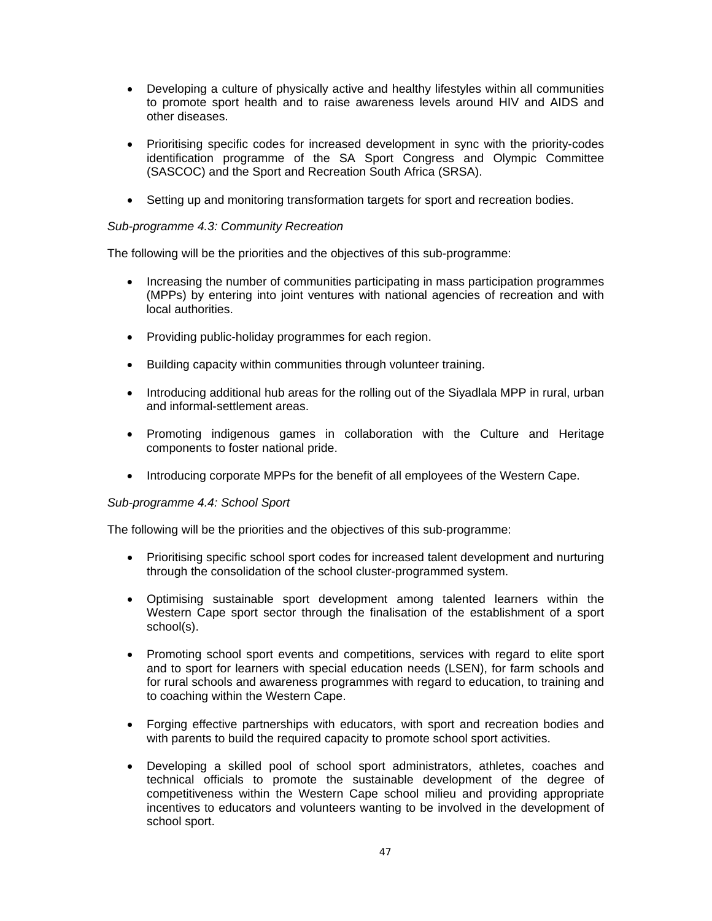- Developing a culture of physically active and healthy lifestyles within all communities to promote sport health and to raise awareness levels around HIV and AIDS and other diseases.
- Prioritising specific codes for increased development in sync with the priority-codes identification programme of the SA Sport Congress and Olympic Committee (SASCOC) and the Sport and Recreation South Africa (SRSA).
- Setting up and monitoring transformation targets for sport and recreation bodies.

#### *Sub-programme 4.3: Community Recreation*

The following will be the priorities and the objectives of this sub-programme:

- Increasing the number of communities participating in mass participation programmes (MPPs) by entering into joint ventures with national agencies of recreation and with local authorities.
- Providing public-holiday programmes for each region.
- Building capacity within communities through volunteer training.
- Introducing additional hub areas for the rolling out of the Siyadlala MPP in rural, urban and informal-settlement areas.
- Promoting indigenous games in collaboration with the Culture and Heritage components to foster national pride.
- Introducing corporate MPPs for the benefit of all employees of the Western Cape.

#### *Sub-programme 4.4: School Sport*

The following will be the priorities and the objectives of this sub-programme:

- Prioritising specific school sport codes for increased talent development and nurturing through the consolidation of the school cluster-programmed system.
- Optimising sustainable sport development among talented learners within the Western Cape sport sector through the finalisation of the establishment of a sport school(s).
- Promoting school sport events and competitions, services with regard to elite sport and to sport for learners with special education needs (LSEN), for farm schools and for rural schools and awareness programmes with regard to education, to training and to coaching within the Western Cape.
- Forging effective partnerships with educators, with sport and recreation bodies and with parents to build the required capacity to promote school sport activities.
- Developing a skilled pool of school sport administrators, athletes, coaches and technical officials to promote the sustainable development of the degree of competitiveness within the Western Cape school milieu and providing appropriate incentives to educators and volunteers wanting to be involved in the development of school sport.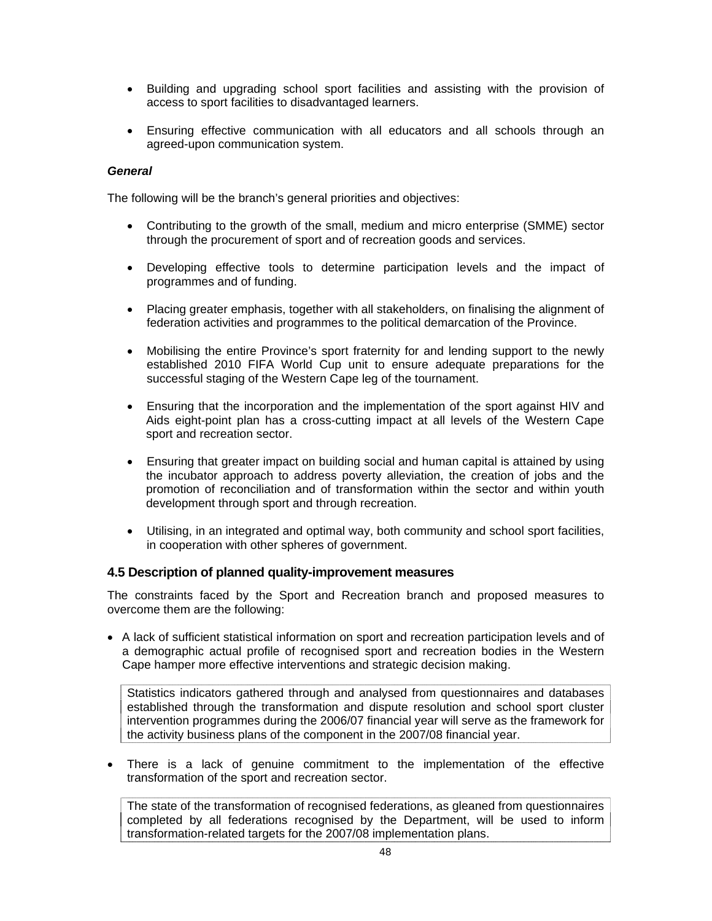- Building and upgrading school sport facilities and assisting with the provision of access to sport facilities to disadvantaged learners.
- Ensuring effective communication with all educators and all schools through an agreed-upon communication system.

#### *General*

The following will be the branch's general priorities and objectives:

- Contributing to the growth of the small, medium and micro enterprise (SMME) sector through the procurement of sport and of recreation goods and services.
- Developing effective tools to determine participation levels and the impact of programmes and of funding.
- Placing greater emphasis, together with all stakeholders, on finalising the alignment of federation activities and programmes to the political demarcation of the Province.
- Mobilising the entire Province's sport fraternity for and lending support to the newly established 2010 FIFA World Cup unit to ensure adequate preparations for the successful staging of the Western Cape leg of the tournament.
- Ensuring that the incorporation and the implementation of the sport against HIV and Aids eight-point plan has a cross-cutting impact at all levels of the Western Cape sport and recreation sector.
- Ensuring that greater impact on building social and human capital is attained by using the incubator approach to address poverty alleviation, the creation of jobs and the promotion of reconciliation and of transformation within the sector and within youth development through sport and through recreation.
- Utilising, in an integrated and optimal way, both community and school sport facilities, in cooperation with other spheres of government.

#### **4.5 Description of planned quality-improvement measures**

The constraints faced by the Sport and Recreation branch and proposed measures to overcome them are the following:

• A lack of sufficient statistical information on sport and recreation participation levels and of a demographic actual profile of recognised sport and recreation bodies in the Western Cape hamper more effective interventions and strategic decision making.

Statistics indicators gathered through and analysed from questionnaires and databases established through the transformation and dispute resolution and school sport cluster intervention programmes during the 2006/07 financial year will serve as the framework for the activity business plans of the component in the 2007/08 financial year.

• There is a lack of genuine commitment to the implementation of the effective transformation of the sport and recreation sector.

The state of the transformation of recognised federations, as gleaned from questionnaires completed by all federations recognised by the Department, will be used to inform transformation-related targets for the 2007/08 implementation plans.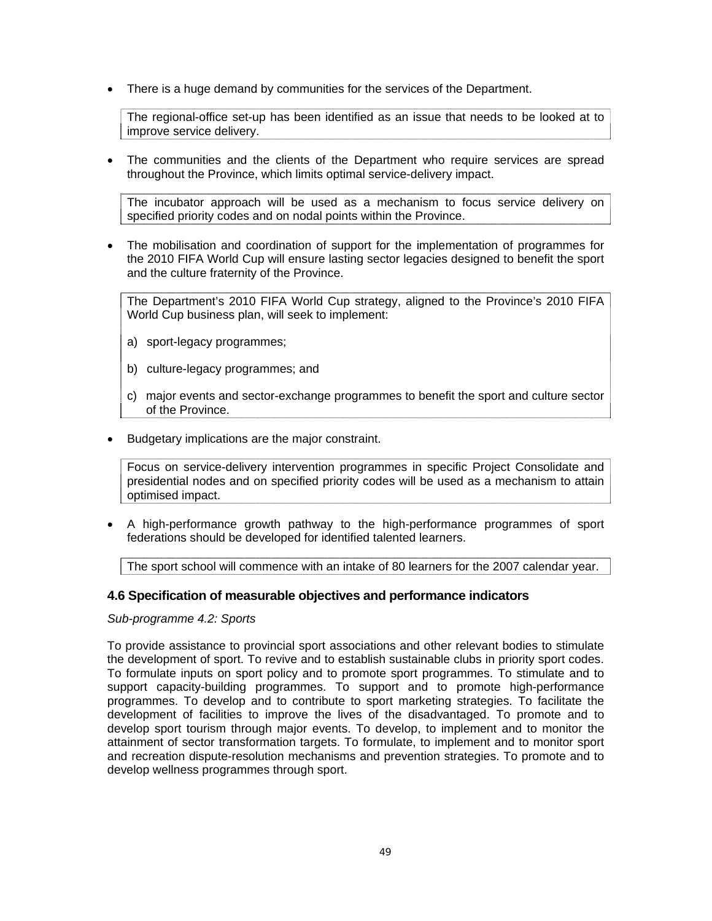• There is a huge demand by communities for the services of the Department.

The regional-office set-up has been identified as an issue that needs to be looked at to improve service delivery.

• The communities and the clients of the Department who require services are spread throughout the Province, which limits optimal service-delivery impact.

The incubator approach will be used as a mechanism to focus service delivery on specified priority codes and on nodal points within the Province.

• The mobilisation and coordination of support for the implementation of programmes for the 2010 FIFA World Cup will ensure lasting sector legacies designed to benefit the sport and the culture fraternity of the Province.

The Department's 2010 FIFA World Cup strategy, aligned to the Province's 2010 FIFA World Cup business plan, will seek to implement:

- a) sport-legacy programmes;
- b) culture-legacy programmes; and
- c) major events and sector-exchange programmes to benefit the sport and culture sector of the Province.
- Budgetary implications are the major constraint.

Focus on service-delivery intervention programmes in specific Project Consolidate and presidential nodes and on specified priority codes will be used as a mechanism to attain optimised impact.

• A high-performance growth pathway to the high-performance programmes of sport federations should be developed for identified talented learners.

The sport school will commence with an intake of 80 learners for the 2007 calendar year.

# **4.6 Specification of measurable objectives and performance indicators**

*Sub-programme 4.2: Sports* 

To provide assistance to provincial sport associations and other relevant bodies to stimulate the development of sport. To revive and to establish sustainable clubs in priority sport codes. To formulate inputs on sport policy and to promote sport programmes. To stimulate and to support capacity-building programmes. To support and to promote high-performance programmes. To develop and to contribute to sport marketing strategies. To facilitate the development of facilities to improve the lives of the disadvantaged. To promote and to develop sport tourism through major events. To develop, to implement and to monitor the attainment of sector transformation targets. To formulate, to implement and to monitor sport and recreation dispute-resolution mechanisms and prevention strategies. To promote and to develop wellness programmes through sport.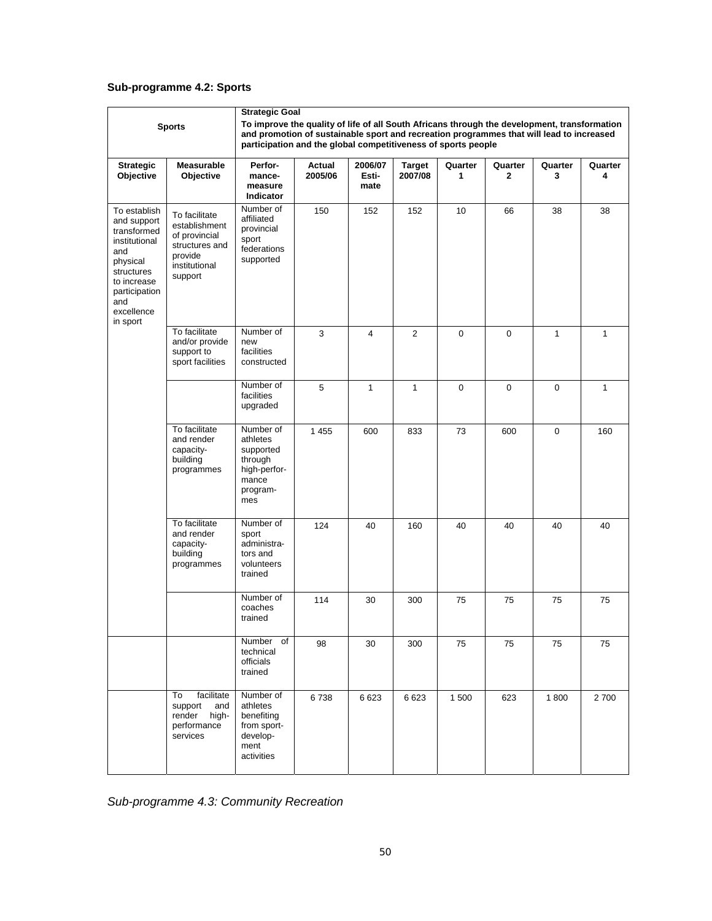# **Sub-programme 4.2: Sports**

|                                                                                                                                                               |                                                                                                          | <b>Strategic Goal</b>                                                                                                                                                                                                                                     |                   |                          |                          |              |                         |              |              |
|---------------------------------------------------------------------------------------------------------------------------------------------------------------|----------------------------------------------------------------------------------------------------------|-----------------------------------------------------------------------------------------------------------------------------------------------------------------------------------------------------------------------------------------------------------|-------------------|--------------------------|--------------------------|--------------|-------------------------|--------------|--------------|
|                                                                                                                                                               | <b>Sports</b>                                                                                            | To improve the quality of life of all South Africans through the development, transformation<br>and promotion of sustainable sport and recreation programmes that will lead to increased<br>participation and the global competitiveness of sports people |                   |                          |                          |              |                         |              |              |
| <b>Strategic</b><br>Objective                                                                                                                                 | <b>Measurable</b><br>Objective                                                                           | Perfor-<br>mance-<br>measure<br>Indicator                                                                                                                                                                                                                 | Actual<br>2005/06 | 2006/07<br>Esti-<br>mate | <b>Target</b><br>2007/08 | Quarter<br>1 | Quarter<br>$\mathbf{2}$ | Quarter<br>3 | Quarter<br>4 |
| To establish<br>and support<br>transformed<br>institutional<br>and<br>physical<br>structures<br>to increase<br>participation<br>and<br>excellence<br>in sport | To facilitate<br>establishment<br>of provincial<br>structures and<br>provide<br>institutional<br>support | Number of<br>affiliated<br>provincial<br>sport<br>federations<br>supported                                                                                                                                                                                | 150               | 152                      | 152                      | 10           | 66                      | 38           | 38           |
|                                                                                                                                                               | To facilitate<br>and/or provide<br>support to<br>sport facilities                                        | Number of<br>new<br>facilities<br>constructed                                                                                                                                                                                                             | 3                 | $\overline{4}$           | $\overline{2}$           | $\mathbf 0$  | 0                       | 1            | $\mathbf{1}$ |
|                                                                                                                                                               |                                                                                                          | Number of<br>facilities<br>upgraded                                                                                                                                                                                                                       | 5                 | $\mathbf{1}$             | 1                        | $\mathbf 0$  | $\mathbf 0$             | $\mathbf 0$  | $\mathbf{1}$ |
|                                                                                                                                                               | To facilitate<br>and render<br>capacity-<br>building<br>programmes                                       | Number of<br>athletes<br>supported<br>through<br>high-perfor-<br>mance<br>program-<br>mes                                                                                                                                                                 | 1 4 5 5           | 600                      | 833                      | 73           | 600                     | $\mathbf 0$  | 160          |
|                                                                                                                                                               | To facilitate<br>and render<br>capacity-<br>building<br>programmes                                       | Number of<br>sport<br>administra-<br>tors and<br>volunteers<br>trained                                                                                                                                                                                    | 124               | 40                       | 160                      | 40           | 40                      | 40           | 40           |
|                                                                                                                                                               |                                                                                                          | Number of<br>coaches<br>trained                                                                                                                                                                                                                           | 114               | 30                       | 300                      | 75           | 75                      | 75           | 75           |
|                                                                                                                                                               |                                                                                                          | Number<br>of<br>technical<br>officials<br>trained                                                                                                                                                                                                         | 98                | 30                       | 300                      | 75           | 75                      | 75           | 75           |
|                                                                                                                                                               | facilitate<br>To<br>support<br>and<br>render<br>high-<br>performance<br>services                         | Number of<br>athletes<br>benefiting<br>from sport-<br>develop-<br>ment<br>activities                                                                                                                                                                      | 6738              | 6 6 23                   | 6623                     | 1 500        | 623                     | 1800         | 2700         |

*Sub-programme 4.3: Community Recreation*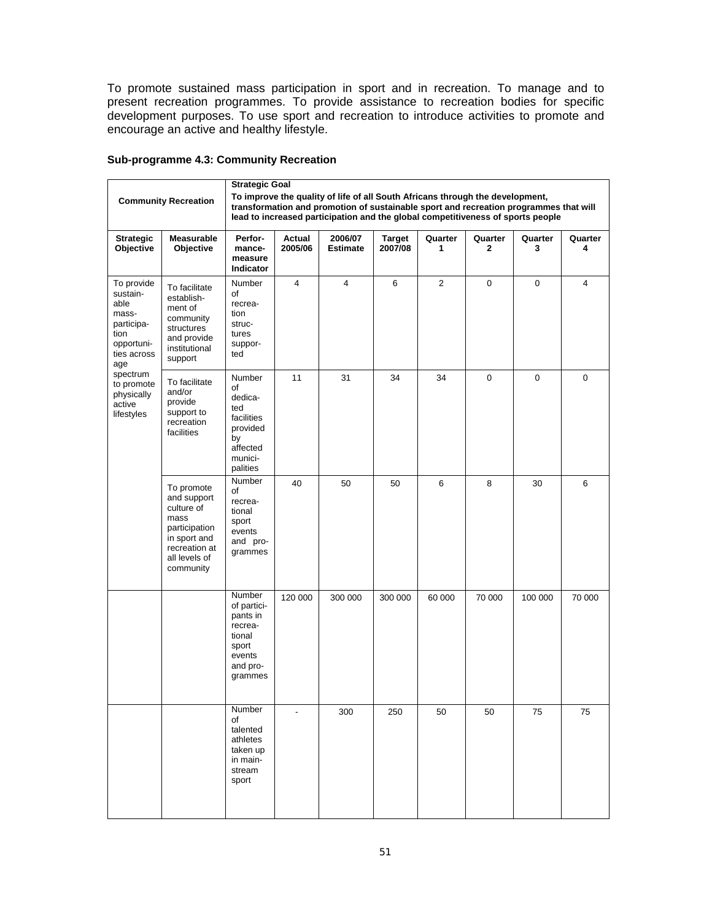To promote sustained mass participation in sport and in recreation. To manage and to present recreation programmes. To provide assistance to recreation bodies for specific development purposes. To use sport and recreation to introduce activities to promote and encourage an active and healthy lifestyle.

|                                                                                                   |                                                                                                                                 | <b>Strategic Goal</b>                                                                                                                                                                                                                                     |                   |                            |                          |                |              |              |              |  |  |
|---------------------------------------------------------------------------------------------------|---------------------------------------------------------------------------------------------------------------------------------|-----------------------------------------------------------------------------------------------------------------------------------------------------------------------------------------------------------------------------------------------------------|-------------------|----------------------------|--------------------------|----------------|--------------|--------------|--------------|--|--|
|                                                                                                   | <b>Community Recreation</b>                                                                                                     | To improve the quality of life of all South Africans through the development,<br>transformation and promotion of sustainable sport and recreation programmes that will<br>lead to increased participation and the global competitiveness of sports people |                   |                            |                          |                |              |              |              |  |  |
| <b>Strategic</b><br>Objective                                                                     | <b>Measurable</b><br>Objective                                                                                                  | Perfor-<br>mance-<br>measure<br>Indicator                                                                                                                                                                                                                 | Actual<br>2005/06 | 2006/07<br><b>Estimate</b> | <b>Target</b><br>2007/08 | Quarter<br>1   | Quarter<br>2 | Quarter<br>3 | Quarter<br>4 |  |  |
| To provide<br>sustain-<br>able<br>mass-<br>participa-<br>tion<br>opportuni-<br>ties across<br>age | To facilitate<br>establish-<br>ment of<br>community<br>structures<br>and provide<br>institutional<br>support                    | Number<br>of<br>recrea-<br>tion<br>struc-<br>tures<br>suppor-<br>ted                                                                                                                                                                                      | 4                 | 4                          | 6                        | $\overline{2}$ | $\mathbf 0$  | 0            | 4            |  |  |
| spectrum<br>to promote<br>physically<br>active<br>lifestyles                                      | To facilitate<br>and/or<br>provide<br>support to<br>recreation<br>facilities                                                    | Number<br>of<br>dedica-<br>ted<br>facilities<br>provided<br>by<br>affected<br>munici-<br>palities                                                                                                                                                         | 11                | 31                         | 34                       | 34             | $\mathbf 0$  | 0            | $\mathbf 0$  |  |  |
|                                                                                                   | To promote<br>and support<br>culture of<br>mass<br>participation<br>in sport and<br>recreation at<br>all levels of<br>community | Number<br>οf<br>recrea-<br>tional<br>sport<br>events<br>and pro-<br>grammes                                                                                                                                                                               | 40                | 50                         | 50                       | 6              | 8            | 30           | 6            |  |  |
|                                                                                                   |                                                                                                                                 | Number<br>of partici-<br>pants in<br>recrea-<br>tional<br>sport<br>events<br>and pro-<br>grammes                                                                                                                                                          | 120 000           | 300 000                    | 300 000                  | 60 000         | 70 000       | 100 000      | 70 000       |  |  |
|                                                                                                   |                                                                                                                                 | Number<br>of<br>talented<br>athletes<br>taken up<br>in main-<br>stream<br>sport                                                                                                                                                                           | Ĭ.                | 300                        | 250                      | 50             | 50           | 75           | 75           |  |  |

#### **Sub-programme 4.3: Community Recreation**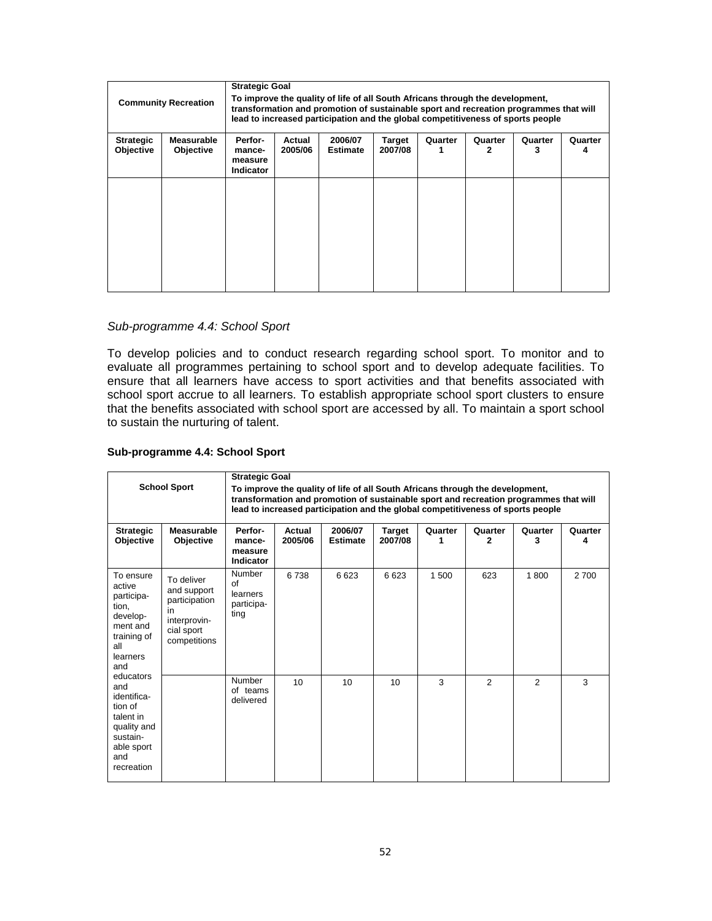| <b>Community Recreation</b>   |                                       | <b>Strategic Goal</b>                                                                                                                                                                                                                                     |  |  |  |  |  |  |  |
|-------------------------------|---------------------------------------|-----------------------------------------------------------------------------------------------------------------------------------------------------------------------------------------------------------------------------------------------------------|--|--|--|--|--|--|--|
|                               |                                       | To improve the quality of life of all South Africans through the development,<br>transformation and promotion of sustainable sport and recreation programmes that will<br>lead to increased participation and the global competitiveness of sports people |  |  |  |  |  |  |  |
| Strategic<br><b>Objective</b> | <b>Measurable</b><br><b>Objective</b> | Perfor-<br>2006/07<br>Actual<br>Target<br>Quarter<br>Quarter<br>Quarter<br>Quarter<br>2005/06<br>2007/08<br><b>Estimate</b><br>3<br>mance-<br>measure<br><b>Indicator</b>                                                                                 |  |  |  |  |  |  |  |
|                               |                                       |                                                                                                                                                                                                                                                           |  |  |  |  |  |  |  |

#### *Sub-programme 4.4: School Sport*

To develop policies and to conduct research regarding school sport. To monitor and to evaluate all programmes pertaining to school sport and to develop adequate facilities. To ensure that all learners have access to sport activities and that benefits associated with school sport accrue to all learners. To establish appropriate school sport clusters to ensure that the benefits associated with school sport are accessed by all. To maintain a sport school to sustain the nurturing of talent.

#### **Sub-programme 4.4: School Sport**

| <b>Strategic</b><br>Objective                                                                                                                                                                                                        | <b>School Sport</b><br><b>Measurable</b><br><b>Objective</b>                                   | <b>Strategic Goal</b><br>To improve the quality of life of all South Africans through the development,<br>transformation and promotion of sustainable sport and recreation programmes that will<br>lead to increased participation and the global competitiveness of sports people<br>2006/07<br>Perfor-<br>Actual<br><b>Target</b><br>Quarter<br>Quarter<br>Quarter<br>Quarter<br>2005/06<br>2007/08<br><b>Estimate</b><br>2<br>3<br>mance-<br>4<br>1<br>measure<br>Indicator |      |      |      |       |                |                |       |  |
|--------------------------------------------------------------------------------------------------------------------------------------------------------------------------------------------------------------------------------------|------------------------------------------------------------------------------------------------|--------------------------------------------------------------------------------------------------------------------------------------------------------------------------------------------------------------------------------------------------------------------------------------------------------------------------------------------------------------------------------------------------------------------------------------------------------------------------------|------|------|------|-------|----------------|----------------|-------|--|
| To ensure<br>active<br>participa-<br>tion,<br>develop-<br>ment and<br>training of<br>all<br>learners<br>and<br>educators<br>and<br>identifica-<br>tion of<br>talent in<br>quality and<br>sustain-<br>able sport<br>and<br>recreation | To deliver<br>and support<br>participation<br>in<br>interprovin-<br>cial sport<br>competitions | Number<br>of<br>learners<br>participa-<br>ting                                                                                                                                                                                                                                                                                                                                                                                                                                 | 6738 | 6623 | 6623 | 1 500 | 623            | 1800           | 2 700 |  |
|                                                                                                                                                                                                                                      |                                                                                                | Number<br>of teams<br>delivered                                                                                                                                                                                                                                                                                                                                                                                                                                                | 10   | 10   | 10   | 3     | $\mathfrak{p}$ | $\mathfrak{p}$ | 3     |  |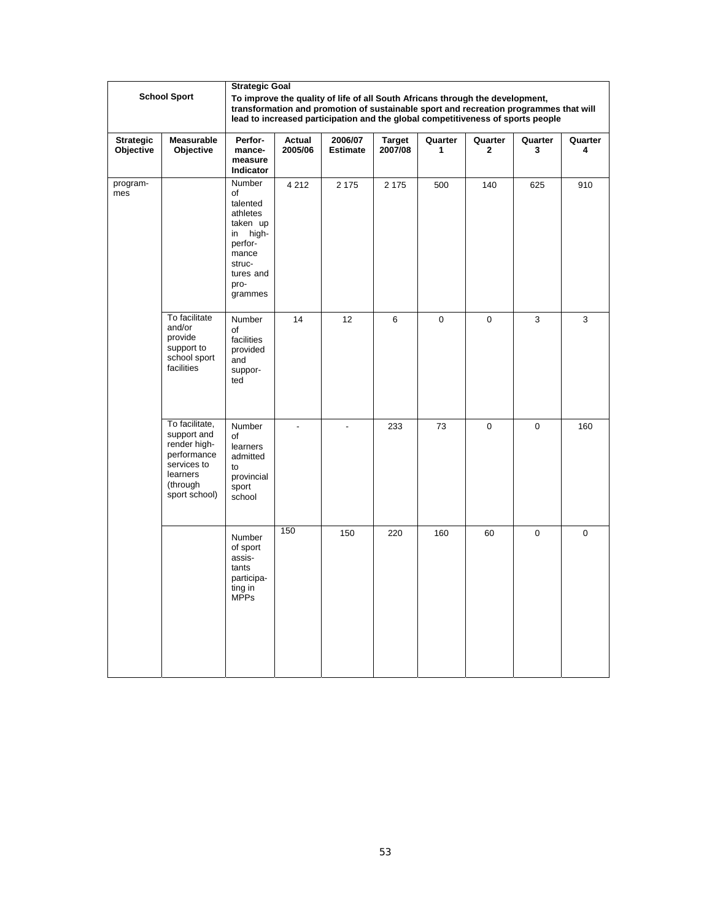|                               |                                                                                                                      | <b>Strategic Goal</b>                                                                                                         |                   |                                                                                                                                                                                                                                                           |                          |              |                         |              |              |
|-------------------------------|----------------------------------------------------------------------------------------------------------------------|-------------------------------------------------------------------------------------------------------------------------------|-------------------|-----------------------------------------------------------------------------------------------------------------------------------------------------------------------------------------------------------------------------------------------------------|--------------------------|--------------|-------------------------|--------------|--------------|
|                               | <b>School Sport</b>                                                                                                  |                                                                                                                               |                   | To improve the quality of life of all South Africans through the development,<br>transformation and promotion of sustainable sport and recreation programmes that will<br>lead to increased participation and the global competitiveness of sports people |                          |              |                         |              |              |
| <b>Strategic</b><br>Objective | Measurable<br>Objective                                                                                              | Perfor-<br>mance-<br>measure<br>Indicator                                                                                     | Actual<br>2005/06 | 2006/07<br><b>Estimate</b>                                                                                                                                                                                                                                | <b>Target</b><br>2007/08 | Quarter<br>1 | Quarter<br>$\mathbf{2}$ | Quarter<br>3 | Quarter<br>4 |
| program-<br>mes               |                                                                                                                      | Number<br>of<br>talented<br>athletes<br>taken up<br>high-<br>in<br>perfor-<br>mance<br>struc-<br>tures and<br>pro-<br>grammes | 4 2 1 2           | 2 1 7 5                                                                                                                                                                                                                                                   | 2 1 7 5                  | 500          | 140                     | 625          | 910          |
|                               | To facilitate<br>and/or<br>provide<br>support to<br>school sport<br>facilities                                       | Number<br>of<br>facilities<br>provided<br>and<br>suppor-<br>ted                                                               | 14                | 12                                                                                                                                                                                                                                                        | 6                        | 0            | 0                       | 3            | 3            |
|                               | To facilitate,<br>support and<br>render high-<br>performance<br>services to<br>learners<br>(through<br>sport school) | Number<br>of<br>learners<br>admitted<br>to<br>provincial<br>sport<br>school                                                   | L.                | $\blacksquare$                                                                                                                                                                                                                                            | 233                      | 73           | $\mathbf 0$             | $\mathbf 0$  | 160          |
|                               |                                                                                                                      | Number<br>of sport<br>assis-<br>tants<br>participa-<br>ting in<br><b>MPPs</b>                                                 | 150               | 150                                                                                                                                                                                                                                                       | 220                      | 160          | 60                      | $\mathbf 0$  | $\mathbf 0$  |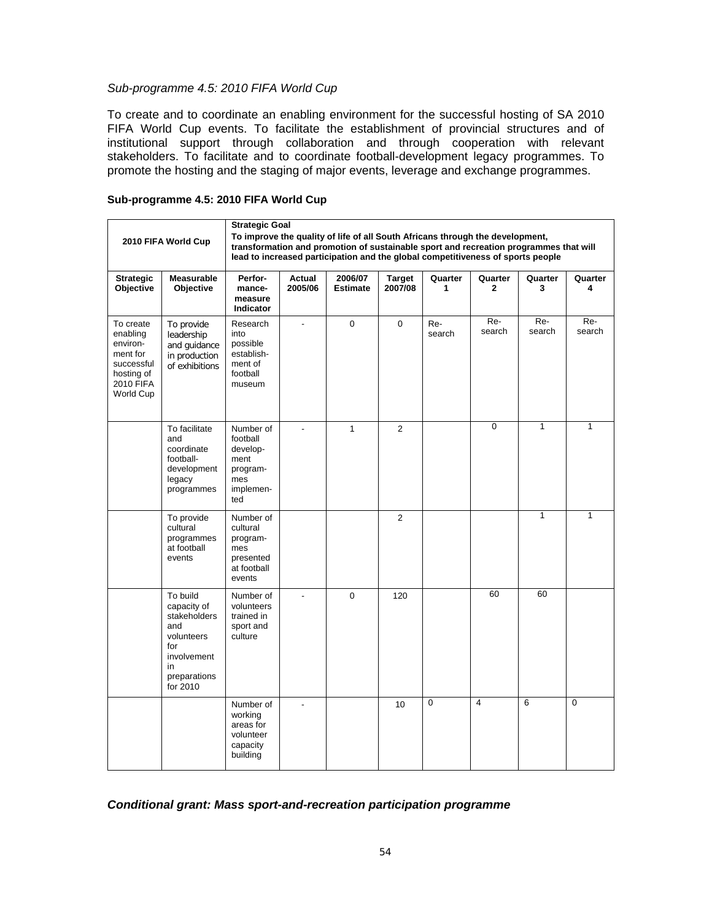#### *Sub-programme 4.5: 2010 FIFA World Cup*

To create and to coordinate an enabling environment for the successful hosting of SA 2010 FIFA World Cup events. To facilitate the establishment of provincial structures and of institutional support through collaboration and through cooperation with relevant stakeholders. To facilitate and to coordinate football-development legacy programmes. To promote the hosting and the staging of major events, leverage and exchange programmes.

| Sub-programme 4.5: 2010 FIFA World Cup |  |  |  |  |  |  |  |
|----------------------------------------|--|--|--|--|--|--|--|
|----------------------------------------|--|--|--|--|--|--|--|

|                                                                                                     | <b>Strategic Goal</b><br>To improve the quality of life of all South Africans through the development,<br>2010 FIFA World Cup<br>transformation and promotion of sustainable sport and recreation programmes that will |                                                                                  |                   |                                                                                 |                          |               |                         |               |               |
|-----------------------------------------------------------------------------------------------------|------------------------------------------------------------------------------------------------------------------------------------------------------------------------------------------------------------------------|----------------------------------------------------------------------------------|-------------------|---------------------------------------------------------------------------------|--------------------------|---------------|-------------------------|---------------|---------------|
|                                                                                                     |                                                                                                                                                                                                                        |                                                                                  |                   | lead to increased participation and the global competitiveness of sports people |                          |               |                         |               |               |
| <b>Strategic</b><br>Objective                                                                       | <b>Measurable</b><br>Objective                                                                                                                                                                                         | Perfor-<br>mance-<br>measure<br>Indicator                                        | Actual<br>2005/06 | 2006/07<br><b>Estimate</b>                                                      | <b>Target</b><br>2007/08 | Quarter<br>1  | Quarter<br>$\mathbf{2}$ | Quarter<br>3  | Quarter<br>4  |
| To create<br>enabling<br>environ-<br>ment for<br>successful<br>hosting of<br>2010 FIFA<br>World Cup | To provide<br>leadership<br>and guidance<br>in production<br>of exhibitions                                                                                                                                            | Research<br>into<br>possible<br>establish-<br>ment of<br>football<br>museum      | $\overline{a}$    | 0                                                                               | 0                        | Re-<br>search | Re-<br>search           | Re-<br>search | Re-<br>search |
|                                                                                                     | To facilitate<br>and<br>coordinate<br>football-<br>development<br>legacy<br>programmes                                                                                                                                 | Number of<br>football<br>develop-<br>ment<br>program-<br>mes<br>implemen-<br>ted |                   | $\mathbf{1}$                                                                    | $\overline{2}$           |               | $\mathbf 0$             | $\mathbf{1}$  | $\mathbf{1}$  |
|                                                                                                     | To provide<br>cultural<br>programmes<br>at football<br>events                                                                                                                                                          | Number of<br>cultural<br>program-<br>mes<br>presented<br>at football<br>events   |                   |                                                                                 | $\overline{2}$           |               |                         | $\mathbf{1}$  | $\mathbf{1}$  |
|                                                                                                     | To build<br>capacity of<br>stakeholders<br>and<br>volunteers<br>for<br>involvement<br>in<br>preparations<br>for 2010                                                                                                   | Number of<br>volunteers<br>trained in<br>sport and<br>culture                    |                   | 0                                                                               | 120                      |               | 60                      | 60            |               |
|                                                                                                     |                                                                                                                                                                                                                        | Number of<br>working<br>areas for<br>volunteer<br>capacity<br>building           | $\overline{a}$    |                                                                                 | 10                       | 0             | $\overline{4}$          | 6             | $\mathbf 0$   |

*Conditional grant: Mass sport-and-recreation participation programme*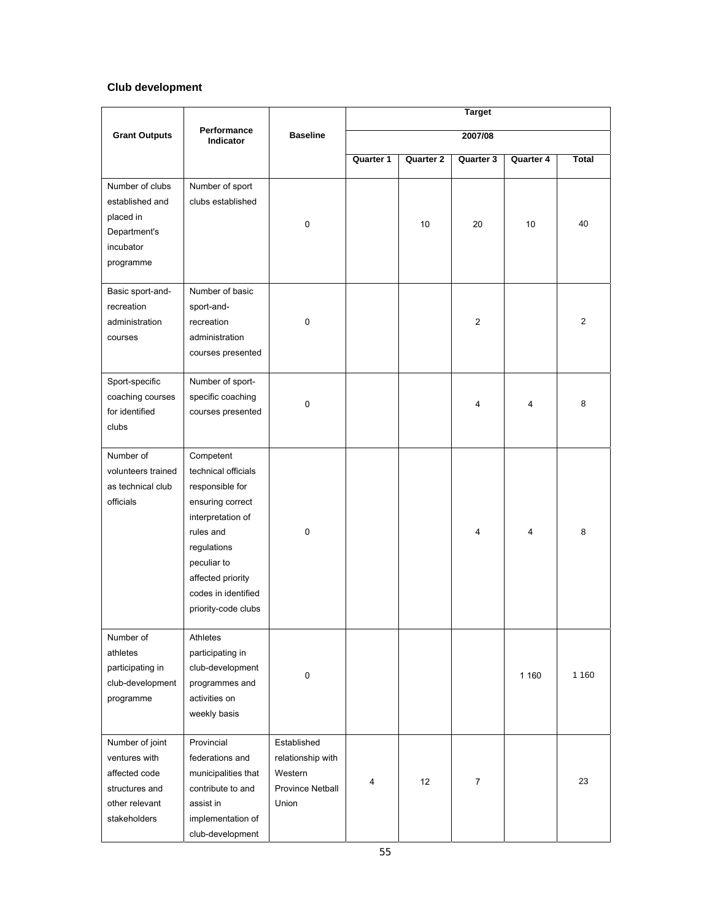# **Club development**

|                                                                                                       |                                                                                                                                                                                                            |                                                                          | Target    |                  |                |           |                |
|-------------------------------------------------------------------------------------------------------|------------------------------------------------------------------------------------------------------------------------------------------------------------------------------------------------------------|--------------------------------------------------------------------------|-----------|------------------|----------------|-----------|----------------|
| <b>Grant Outputs</b>                                                                                  | Performance<br><b>Indicator</b>                                                                                                                                                                            | <b>Baseline</b>                                                          |           |                  | 2007/08        |           |                |
|                                                                                                       |                                                                                                                                                                                                            |                                                                          | Quarter 1 | <b>Quarter 2</b> | Quarter 3      | Quarter 4 | <b>Total</b>   |
| Number of clubs<br>established and<br>placed in<br>Department's<br>incubator<br>programme             | Number of sport<br>clubs established                                                                                                                                                                       | 0                                                                        |           | 10               | 20             | 10        | 40             |
| Basic sport-and-<br>recreation<br>administration<br>courses                                           | Number of basic<br>sport-and-<br>recreation<br>administration<br>courses presented                                                                                                                         | 0                                                                        |           |                  | $\overline{2}$ |           | $\overline{2}$ |
| Sport-specific<br>coaching courses<br>for identified<br>clubs                                         | Number of sport-<br>specific coaching<br>courses presented                                                                                                                                                 | 0                                                                        |           |                  | 4              | 4         | 8              |
| Number of<br>volunteers trained<br>as technical club<br>officials                                     | Competent<br>technical officials<br>responsible for<br>ensuring correct<br>interpretation of<br>rules and<br>regulations<br>peculiar to<br>affected priority<br>codes in identified<br>priority-code clubs | 0                                                                        |           |                  | 4              | 4         | 8              |
| Number of<br>athletes<br>participating in<br>club-development<br>programme                            | Athletes<br>participating in<br>club-development<br>programmes and<br>activities on<br>weekly basis                                                                                                        | $\pmb{0}$                                                                |           |                  |                | 1 1 6 0   | 1 1 6 0        |
| Number of joint<br>ventures with<br>affected code<br>structures and<br>other relevant<br>stakeholders | Provincial<br>federations and<br>municipalities that<br>contribute to and<br>assist in<br>implementation of<br>club-development                                                                            | Established<br>relationship with<br>Western<br>Province Netball<br>Union | 4         | 12               | $\overline{7}$ |           | 23             |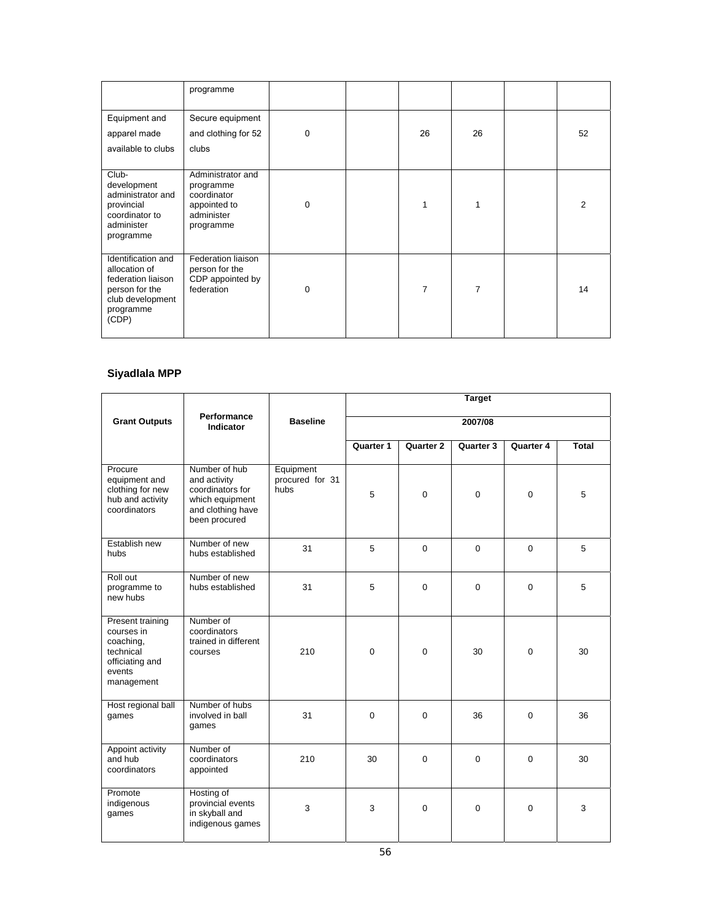|                                                                                                                       | programme                                                                                |             |    |                |    |
|-----------------------------------------------------------------------------------------------------------------------|------------------------------------------------------------------------------------------|-------------|----|----------------|----|
| Equipment and<br>apparel made<br>available to clubs                                                                   | Secure equipment<br>and clothing for 52<br>clubs                                         | 0           | 26 | 26             | 52 |
| Club-<br>development<br>administrator and<br>provincial<br>coordinator to<br>administer<br>programme                  | Administrator and<br>programme<br>coordinator<br>appointed to<br>administer<br>programme | 0           | 1  |                | 2  |
| Identification and<br>allocation of<br>federation liaison<br>person for the<br>club development<br>programme<br>(CDP) | Federation liaison<br>person for the<br>CDP appointed by<br>federation                   | $\mathbf 0$ | 7  | $\overline{7}$ | 14 |

# **Siyadlala MPP**

|                                                                                                     | Performance                                                                                                |                                      | <b>Target</b> |             |             |             |       |  |
|-----------------------------------------------------------------------------------------------------|------------------------------------------------------------------------------------------------------------|--------------------------------------|---------------|-------------|-------------|-------------|-------|--|
| <b>Grant Outputs</b>                                                                                | Indicator                                                                                                  | <b>Baseline</b>                      |               |             | 2007/08     |             |       |  |
|                                                                                                     |                                                                                                            |                                      | Quarter 1     | Quarter 2   | Quarter 3   | Quarter 4   | Total |  |
| Procure<br>equipment and<br>clothing for new<br>hub and activity<br>coordinators                    | Number of hub<br>and activity<br>coordinators for<br>which equipment<br>and clothing have<br>been procured | Equipment<br>procured for 31<br>hubs | 5             | $\Omega$    | $\Omega$    | $\Omega$    | 5     |  |
| Establish new<br>hubs                                                                               | Number of new<br>hubs established                                                                          | 31                                   | 5             | $\Omega$    | $\mathbf 0$ | $\Omega$    | 5     |  |
| Roll out<br>programme to<br>new hubs                                                                | Number of new<br>hubs established                                                                          | 31                                   | 5             | $\mathbf 0$ | $\mathbf 0$ | $\mathbf 0$ | 5     |  |
| Present training<br>courses in<br>coaching,<br>technical<br>officiating and<br>events<br>management | Number of<br>coordinators<br>trained in different<br>courses                                               | 210                                  | $\Omega$      | $\Omega$    | 30          | $\Omega$    | 30    |  |
| Host regional ball<br>games                                                                         | Number of hubs<br>involved in ball<br>games                                                                | 31                                   | $\Omega$      | $\Omega$    | 36          | 0           | 36    |  |
| Appoint activity<br>and hub<br>coordinators                                                         | Number of<br>coordinators<br>appointed                                                                     | 210                                  | 30            | $\Omega$    | $\Omega$    | $\Omega$    | 30    |  |
| Promote<br>indigenous<br>games                                                                      | Hosting of<br>provincial events<br>in skyball and<br>indigenous games                                      | 3                                    | 3             | $\Omega$    | $\mathbf 0$ | $\Omega$    | 3     |  |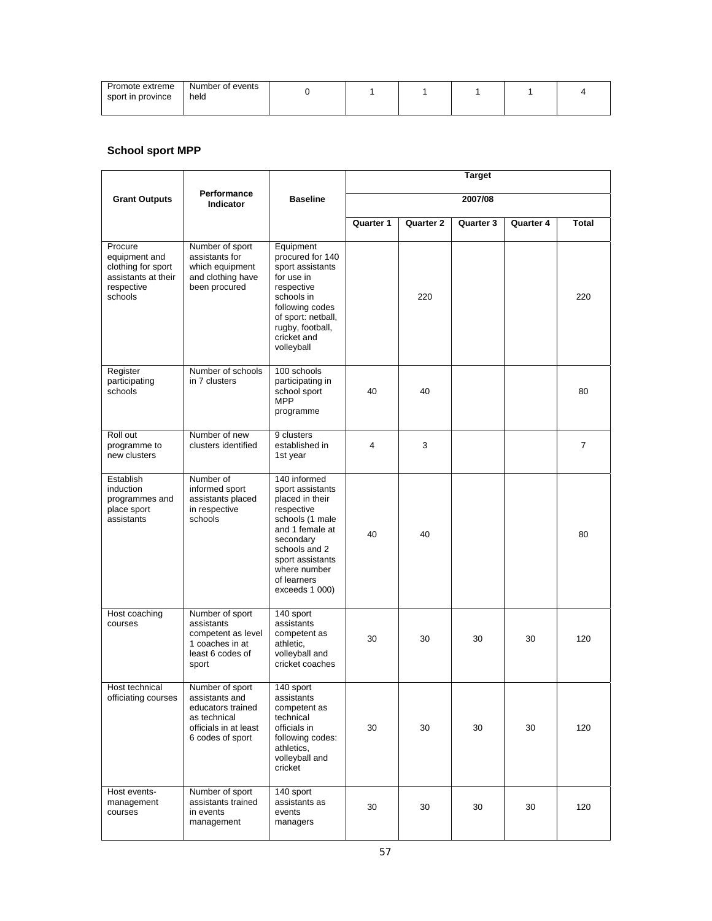| Promote extreme<br>sport in province | Number of events<br>held |  |  |  |
|--------------------------------------|--------------------------|--|--|--|
|                                      |                          |  |  |  |

## **School sport MPP**

|                                                                                                |                                                                                                                     |                                                                                                                                                                                                            | <b>Target</b>    |                  |           |                  |                |  |
|------------------------------------------------------------------------------------------------|---------------------------------------------------------------------------------------------------------------------|------------------------------------------------------------------------------------------------------------------------------------------------------------------------------------------------------------|------------------|------------------|-----------|------------------|----------------|--|
| <b>Grant Outputs</b>                                                                           | Performance<br>Indicator                                                                                            | <b>Baseline</b>                                                                                                                                                                                            |                  |                  | 2007/08   |                  |                |  |
|                                                                                                |                                                                                                                     |                                                                                                                                                                                                            | <b>Quarter 1</b> | <b>Quarter 2</b> | Quarter 3 | <b>Quarter 4</b> | <b>Total</b>   |  |
| Procure<br>equipment and<br>clothing for sport<br>assistants at their<br>respective<br>schools | Number of sport<br>assistants for<br>which equipment<br>and clothing have<br>been procured                          | Equipment<br>procured for 140<br>sport assistants<br>for use in<br>respective<br>schools in<br>following codes<br>of sport: netball,<br>rugby, football,<br>cricket and<br>volleyball                      |                  | 220              |           |                  | 220            |  |
| Register<br>participating<br>schools                                                           | Number of schools<br>in 7 clusters                                                                                  | 100 schools<br>participating in<br>school sport<br><b>MPP</b><br>programme                                                                                                                                 | 40               | 40               |           |                  | 80             |  |
| Roll out<br>programme to<br>new clusters                                                       | Number of new<br>clusters identified                                                                                | 9 clusters<br>established in<br>1st year                                                                                                                                                                   | 4                | 3                |           |                  | $\overline{7}$ |  |
| Establish<br>induction<br>programmes and<br>place sport<br>assistants                          | Number of<br>informed sport<br>assistants placed<br>in respective<br>schools                                        | 140 informed<br>sport assistants<br>placed in their<br>respective<br>schools (1 male<br>and 1 female at<br>secondary<br>schools and 2<br>sport assistants<br>where number<br>of learners<br>exceeds 1 000) | 40               | 40               |           |                  | 80             |  |
| Host coaching<br>courses                                                                       | Number of sport<br>assistants<br>competent as level<br>1 coaches in at<br>least 6 codes of<br>sport                 | 140 sport<br>assistants<br>competent as<br>athletic,<br>volleyball and<br>cricket coaches                                                                                                                  | 30               | 30               | 30        | 30               | 120            |  |
| Host technical<br>officiating courses                                                          | Number of sport<br>assistants and<br>educators trained<br>as technical<br>officials in at least<br>6 codes of sport | 140 sport<br>assistants<br>competent as<br>technical<br>officials in<br>following codes:<br>athletics,<br>volleyball and<br>cricket                                                                        | 30               | 30               | 30        | 30               | 120            |  |
| Host events-<br>management<br>courses                                                          | Number of sport<br>assistants trained<br>in events<br>management                                                    | 140 sport<br>assistants as<br>events<br>managers                                                                                                                                                           | 30               | 30               | 30        | 30               | 120            |  |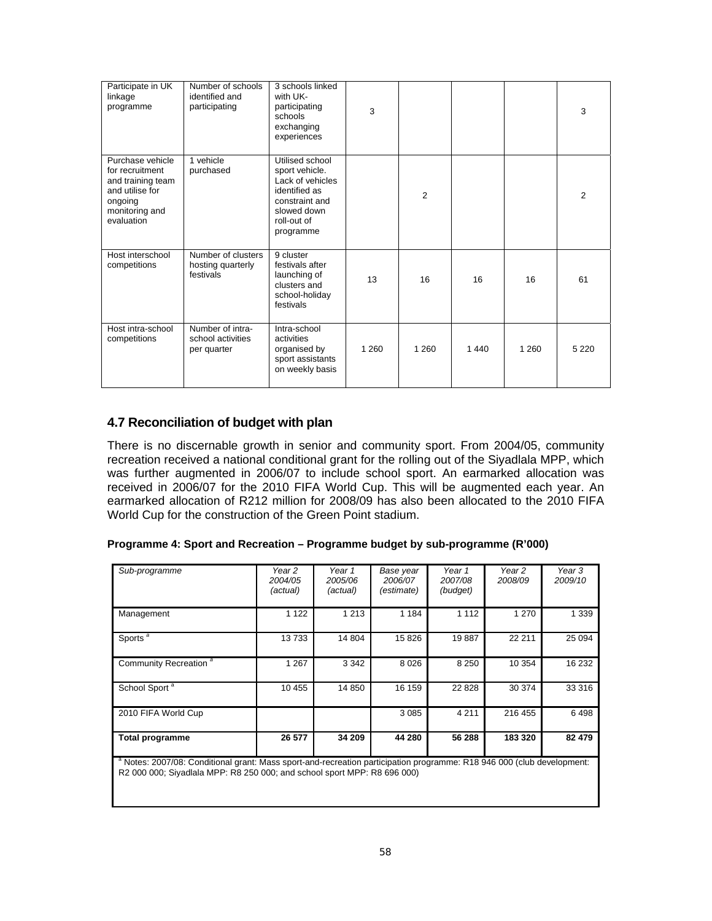| Participate in UK<br>linkage<br>programme                                                                              | Number of schools<br>identified and<br>participating | 3 schools linked<br>with UK-<br>participating<br>schools<br>exchanging<br>experiences                                               | 3       |                |         |         | 3       |
|------------------------------------------------------------------------------------------------------------------------|------------------------------------------------------|-------------------------------------------------------------------------------------------------------------------------------------|---------|----------------|---------|---------|---------|
| Purchase vehicle<br>for recruitment<br>and training team<br>and utilise for<br>ongoing<br>monitoring and<br>evaluation | 1 vehicle<br>purchased                               | Utilised school<br>sport vehicle.<br>Lack of vehicles<br>identified as<br>constraint and<br>slowed down<br>roll-out of<br>programme |         | $\overline{2}$ |         |         | 2       |
| Host interschool<br>competitions                                                                                       | Number of clusters<br>hosting quarterly<br>festivals | 9 cluster<br>festivals after<br>launching of<br>clusters and<br>school-holiday<br>festivals                                         | 13      | 16             | 16      | 16      | 61      |
| Host intra-school<br>competitions                                                                                      | Number of intra-<br>school activities<br>per quarter | Intra-school<br>activities<br>organised by<br>sport assistants<br>on weekly basis                                                   | 1 2 6 0 | 1 2 6 0        | 1 4 4 0 | 1 2 6 0 | 5 2 2 0 |

# **4.7 Reconciliation of budget with plan**

There is no discernable growth in senior and community sport. From 2004/05, community recreation received a national conditional grant for the rolling out of the Siyadlala MPP, which was further augmented in 2006/07 to include school sport. An earmarked allocation was received in 2006/07 for the 2010 FIFA World Cup. This will be augmented each year. An earmarked allocation of R212 million for 2008/09 has also been allocated to the 2010 FIFA World Cup for the construction of the Green Point stadium.

| Programme 4: Sport and Recreation – Programme budget by sub-programme (R'000) |  |  |
|-------------------------------------------------------------------------------|--|--|
|                                                                               |  |  |

| Sub-programme                                                                                                                                                                                                 | Year 2<br>2004/05<br>(actual) | Year 1<br>2005/06<br>(actual) | Base year<br>2006/07<br>(estimate) | Year 1<br>2007/08<br>(budget) | Year 2<br>2008/09 | Year 3<br>2009/10 |
|---------------------------------------------------------------------------------------------------------------------------------------------------------------------------------------------------------------|-------------------------------|-------------------------------|------------------------------------|-------------------------------|-------------------|-------------------|
| Management                                                                                                                                                                                                    | 1 1 2 2                       | 1 2 1 3                       | 1 1 8 4                            | 1 1 1 2                       | 1 2 7 0           | 1 3 3 9           |
| Sports $a$                                                                                                                                                                                                    | 13733                         | 14 804                        | 15826                              | 19887                         | 22 211            | 25 0 94           |
| Community Recreation <sup>a</sup>                                                                                                                                                                             | 1 2 6 7                       | 3 3 4 2                       | 8026                               | 8 2 5 0                       | 10 354            | 16 232            |
| School Sport <sup>a</sup>                                                                                                                                                                                     | 10 455                        | 14 850                        | 16 159                             | 22 8 28                       | 30 374            | 33 316            |
| 2010 FIFA World Cup                                                                                                                                                                                           |                               |                               | 3 0 8 5                            | 4 2 1 1                       | 216 455           | 6498              |
| <b>Total programme</b>                                                                                                                                                                                        | 26 577                        | 34 209                        | 44 280                             | 56 288                        | 183 320           | 82 479            |
| <sup>a</sup> Notes: 2007/08: Conditional grant: Mass sport-and-recreation participation programme: R18 946 000 (club development:<br>R2 000 000; Siyadlala MPP: R8 250 000; and school sport MPP: R8 696 000) |                               |                               |                                    |                               |                   |                   |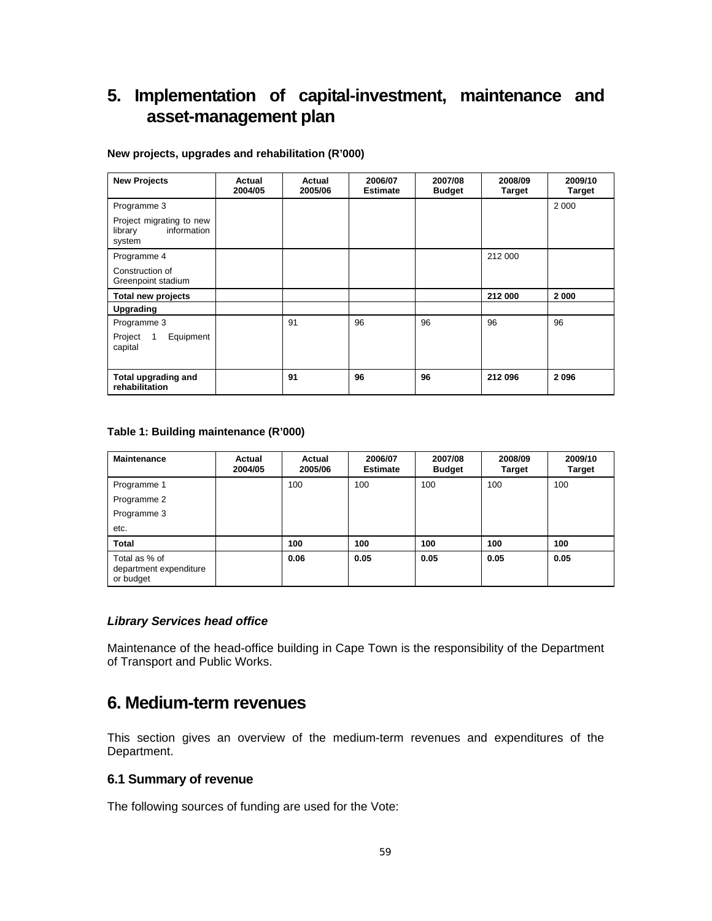# **5. Implementation of capital-investment, maintenance and asset-management plan**

#### **New projects, upgrades and rehabilitation (R'000)**

| <b>New Projects</b>                                          | Actual<br>2004/05 | Actual<br>2005/06 | 2006/07<br><b>Estimate</b> | 2007/08<br><b>Budget</b> | 2008/09<br><b>Target</b> | 2009/10<br><b>Target</b> |
|--------------------------------------------------------------|-------------------|-------------------|----------------------------|--------------------------|--------------------------|--------------------------|
| Programme 3                                                  |                   |                   |                            |                          |                          | 2 0 0 0                  |
| Project migrating to new<br>information<br>library<br>system |                   |                   |                            |                          |                          |                          |
| Programme 4                                                  |                   |                   |                            |                          | 212 000                  |                          |
| Construction of<br>Greenpoint stadium                        |                   |                   |                            |                          |                          |                          |
| Total new projects                                           |                   |                   |                            |                          | 212 000                  | 2000                     |
| Upgrading                                                    |                   |                   |                            |                          |                          |                          |
| Programme 3                                                  |                   | 91                | 96                         | 96                       | 96                       | 96                       |
| Equipment<br>Project<br>$\overline{1}$<br>capital            |                   |                   |                            |                          |                          |                          |
| Total upgrading and<br>rehabilitation                        |                   | 91                | 96                         | 96                       | 212 096                  | 2096                     |

#### **Table 1: Building maintenance (R'000)**

| <b>Maintenance</b>                                   | Actual<br>2004/05 | Actual<br>2005/06 | 2006/07<br><b>Estimate</b> | 2007/08<br><b>Budget</b> | 2008/09<br><b>Target</b> | 2009/10<br><b>Target</b> |
|------------------------------------------------------|-------------------|-------------------|----------------------------|--------------------------|--------------------------|--------------------------|
| Programme 1                                          |                   | 100               | 100                        | 100                      | 100                      | 100                      |
| Programme 2                                          |                   |                   |                            |                          |                          |                          |
| Programme 3                                          |                   |                   |                            |                          |                          |                          |
| etc.                                                 |                   |                   |                            |                          |                          |                          |
| <b>Total</b>                                         |                   | 100               | 100                        | 100                      | 100                      | 100                      |
| Total as % of<br>department expenditure<br>or budget |                   | 0.06              | 0.05                       | 0.05                     | 0.05                     | 0.05                     |

### *Library Services head office*

Maintenance of the head-office building in Cape Town is the responsibility of the Department of Transport and Public Works.

# **6. Medium-term revenues**

This section gives an overview of the medium-term revenues and expenditures of the Department.

#### **6.1 Summary of revenue**

The following sources of funding are used for the Vote: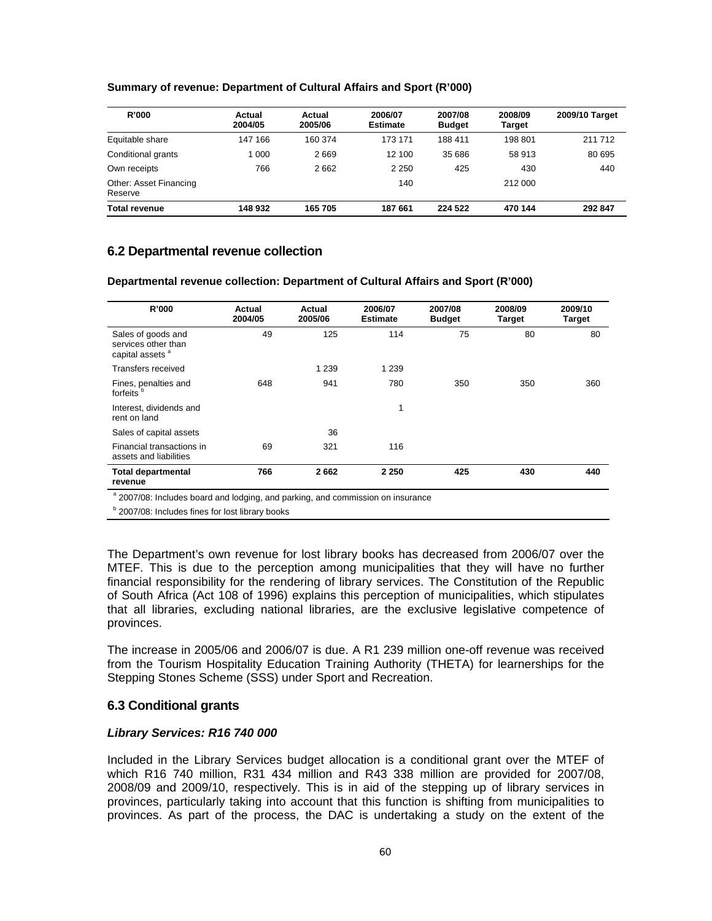## **Summary of revenue: Department of Cultural Affairs and Sport (R'000)**

| R'000                             | Actual<br>2004/05 | Actual<br>2005/06 | 2006/07<br><b>Estimate</b> | 2007/08<br><b>Budget</b> | 2008/09<br><b>Target</b> | 2009/10 Target |
|-----------------------------------|-------------------|-------------------|----------------------------|--------------------------|--------------------------|----------------|
| Equitable share                   | 147 166           | 160 374           | 173 171                    | 188 411                  | 198 801                  | 211712         |
| Conditional grants                | 1 0 0 0           | 2669              | 12 100                     | 35 686                   | 58 913                   | 80 695         |
| Own receipts                      | 766               | 2662              | 2 2 5 0                    | 425                      | 430                      | 440            |
| Other: Asset Financing<br>Reserve |                   |                   | 140                        |                          | 212 000                  |                |
| <b>Total revenue</b>              | 148 932           | 165 705           | 187 661                    | 224 522                  | 470 144                  | 292 847        |

# **6.2 Departmental revenue collection**

**Departmental revenue collection: Department of Cultural Affairs and Sport (R'000)** 

| R'000                                                                    | Actual<br>2004/05 | Actual<br>2005/06 | 2006/07<br><b>Estimate</b> | 2007/08<br><b>Budget</b> | 2008/09<br><b>Target</b> | 2009/10<br><b>Target</b> |
|--------------------------------------------------------------------------|-------------------|-------------------|----------------------------|--------------------------|--------------------------|--------------------------|
| Sales of goods and<br>services other than<br>capital assets <sup>a</sup> | 49                | 125               | 114                        | 75                       | 80                       | 80                       |
| Transfers received                                                       |                   | 1 2 3 9           | 1 2 3 9                    |                          |                          |                          |
| Fines, penalties and<br>forfeits <sup>b</sup>                            | 648               | 941               | 780                        | 350                      | 350                      | 360                      |
| Interest, dividends and<br>rent on land                                  |                   |                   | 1                          |                          |                          |                          |
| Sales of capital assets                                                  |                   | 36                |                            |                          |                          |                          |
| Financial transactions in<br>assets and liabilities                      | 69                | 321               | 116                        |                          |                          |                          |
| <b>Total departmental</b><br>revenue                                     | 766               | 2662              | 2 2 5 0                    | 425                      | 430                      | 440                      |

<sup>a</sup> 2007/08: Includes board and lodging, and parking, and commission on insurance

**b** 2007/08: Includes fines for lost library books

The Department's own revenue for lost library books has decreased from 2006/07 over the MTEF. This is due to the perception among municipalities that they will have no further financial responsibility for the rendering of library services. The Constitution of the Republic of South Africa (Act 108 of 1996) explains this perception of municipalities, which stipulates that all libraries, excluding national libraries, are the exclusive legislative competence of provinces.

The increase in 2005/06 and 2006/07 is due. A R1 239 million one-off revenue was received from the Tourism Hospitality Education Training Authority (THETA) for learnerships for the Stepping Stones Scheme (SSS) under Sport and Recreation.

# **6.3 Conditional grants**

#### *Library Services: R16 740 000*

Included in the Library Services budget allocation is a conditional grant over the MTEF of which R16 740 million, R31 434 million and R43 338 million are provided for 2007/08, 2008/09 and 2009/10, respectively. This is in aid of the stepping up of library services in provinces, particularly taking into account that this function is shifting from municipalities to provinces. As part of the process, the DAC is undertaking a study on the extent of the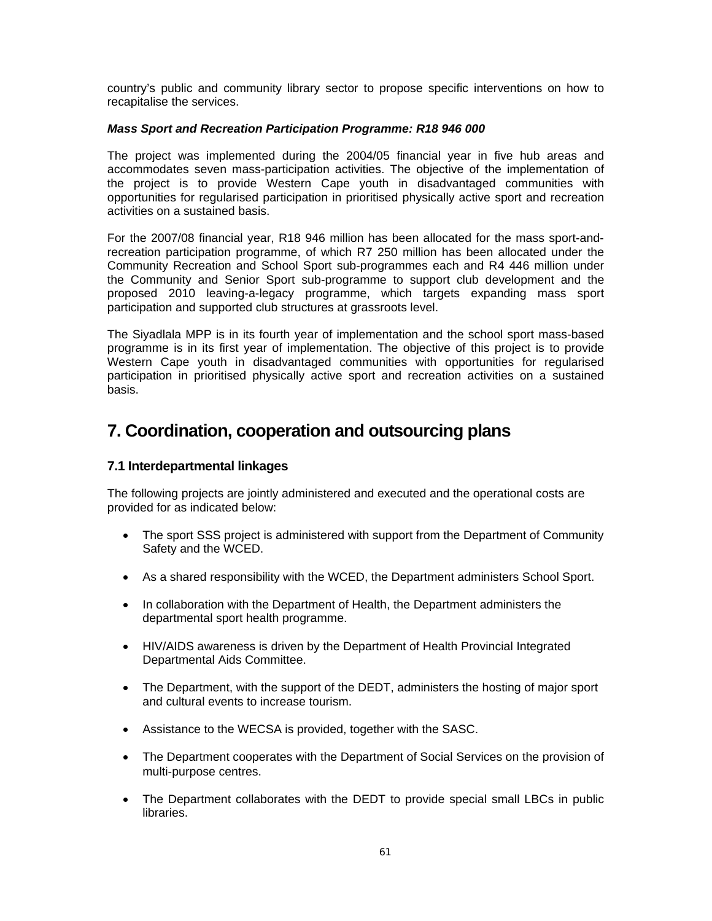country's public and community library sector to propose specific interventions on how to recapitalise the services.

#### *Mass Sport and Recreation Participation Programme: R18 946 000*

The project was implemented during the 2004/05 financial year in five hub areas and accommodates seven mass-participation activities. The objective of the implementation of the project is to provide Western Cape youth in disadvantaged communities with opportunities for regularised participation in prioritised physically active sport and recreation activities on a sustained basis.

For the 2007/08 financial year, R18 946 million has been allocated for the mass sport-andrecreation participation programme, of which R7 250 million has been allocated under the Community Recreation and School Sport sub-programmes each and R4 446 million under the Community and Senior Sport sub-programme to support club development and the proposed 2010 leaving-a-legacy programme, which targets expanding mass sport participation and supported club structures at grassroots level.

The Siyadlala MPP is in its fourth year of implementation and the school sport mass-based programme is in its first year of implementation. The objective of this project is to provide Western Cape youth in disadvantaged communities with opportunities for regularised participation in prioritised physically active sport and recreation activities on a sustained basis.

# **7. Coordination, cooperation and outsourcing plans**

## **7.1 Interdepartmental linkages**

The following projects are jointly administered and executed and the operational costs are provided for as indicated below:

- The sport SSS project is administered with support from the Department of Community Safety and the WCED.
- As a shared responsibility with the WCED, the Department administers School Sport.
- In collaboration with the Department of Health, the Department administers the departmental sport health programme.
- HIV/AIDS awareness is driven by the Department of Health Provincial Integrated Departmental Aids Committee.
- The Department, with the support of the DEDT, administers the hosting of major sport and cultural events to increase tourism.
- Assistance to the WECSA is provided, together with the SASC.
- The Department cooperates with the Department of Social Services on the provision of multi-purpose centres.
- The Department collaborates with the DEDT to provide special small LBCs in public libraries.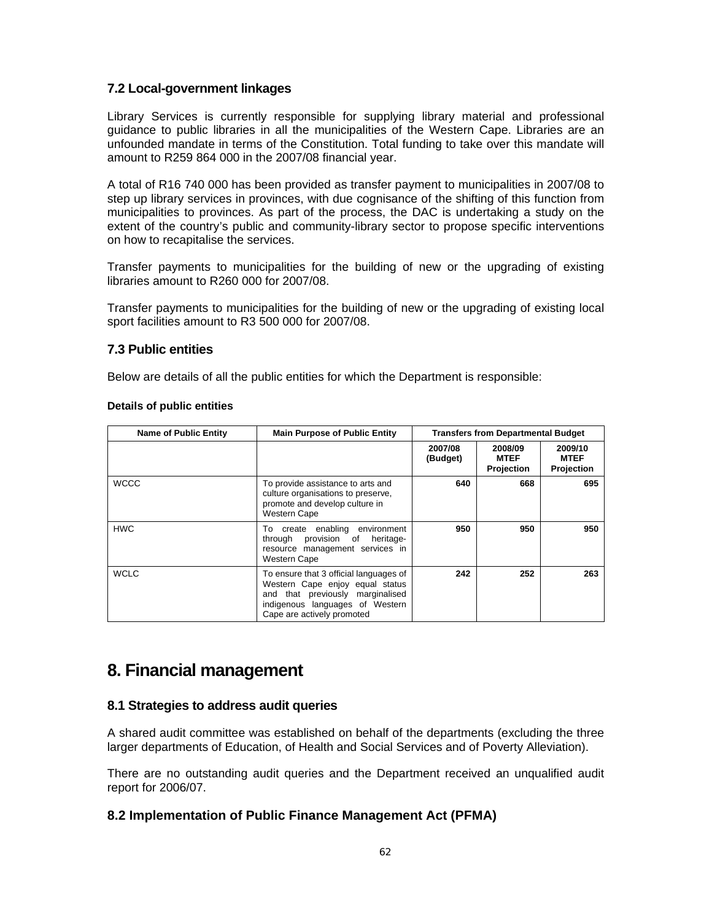# **7.2 Local-government linkages**

Library Services is currently responsible for supplying library material and professional guidance to public libraries in all the municipalities of the Western Cape. Libraries are an unfounded mandate in terms of the Constitution. Total funding to take over this mandate will amount to R259 864 000 in the 2007/08 financial year.

A total of R16 740 000 has been provided as transfer payment to municipalities in 2007/08 to step up library services in provinces, with due cognisance of the shifting of this function from municipalities to provinces. As part of the process, the DAC is undertaking a study on the extent of the country's public and community-library sector to propose specific interventions on how to recapitalise the services.

Transfer payments to municipalities for the building of new or the upgrading of existing libraries amount to R260 000 for 2007/08.

Transfer payments to municipalities for the building of new or the upgrading of existing local sport facilities amount to R3 500 000 for 2007/08.

## **7.3 Public entities**

Below are details of all the public entities for which the Department is responsible:

| <b>Name of Public Entity</b> | <b>Main Purpose of Public Entity</b>                                                                                                                                           | <b>Transfers from Departmental Budget</b> |                                      |                                      |
|------------------------------|--------------------------------------------------------------------------------------------------------------------------------------------------------------------------------|-------------------------------------------|--------------------------------------|--------------------------------------|
|                              |                                                                                                                                                                                | 2007/08<br>(Budget)                       | 2008/09<br><b>MTEF</b><br>Projection | 2009/10<br><b>MTEF</b><br>Projection |
| <b>WCCC</b>                  | To provide assistance to arts and<br>culture organisations to preserve,<br>promote and develop culture in<br><b>Western Cape</b>                                               | 640                                       | 668                                  | 695                                  |
| <b>HWC</b>                   | To create enabling<br>environment<br>provision of<br>through<br>heritage-<br>resource management services in<br><b>Western Cape</b>                                            | 950                                       | 950                                  | 950                                  |
| <b>WCLC</b>                  | To ensure that 3 official languages of<br>Western Cape enjoy equal status<br>and that previously marginalised<br>indigenous languages of Western<br>Cape are actively promoted | 242                                       | 252                                  | 263                                  |

#### **Details of public entities**

# **8. Financial management**

# **8.1 Strategies to address audit queries**

A shared audit committee was established on behalf of the departments (excluding the three larger departments of Education, of Health and Social Services and of Poverty Alleviation).

There are no outstanding audit queries and the Department received an unqualified audit report for 2006/07.

# **8.2 Implementation of Public Finance Management Act (PFMA)**